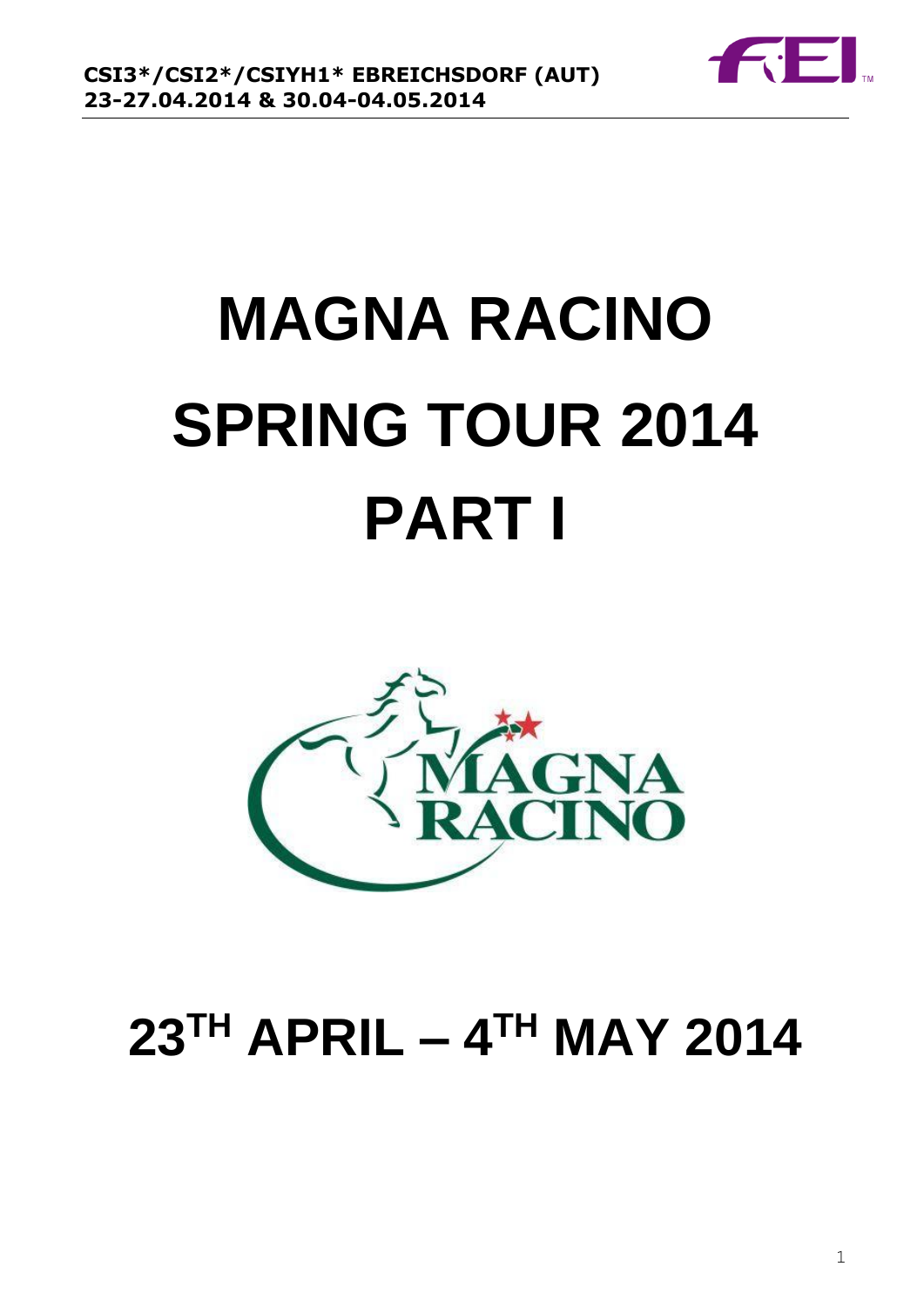

# **MAGNA RACINO SPRING TOUR 2014 PART I**



## **23TH APRIL – 4 TH MAY 2014**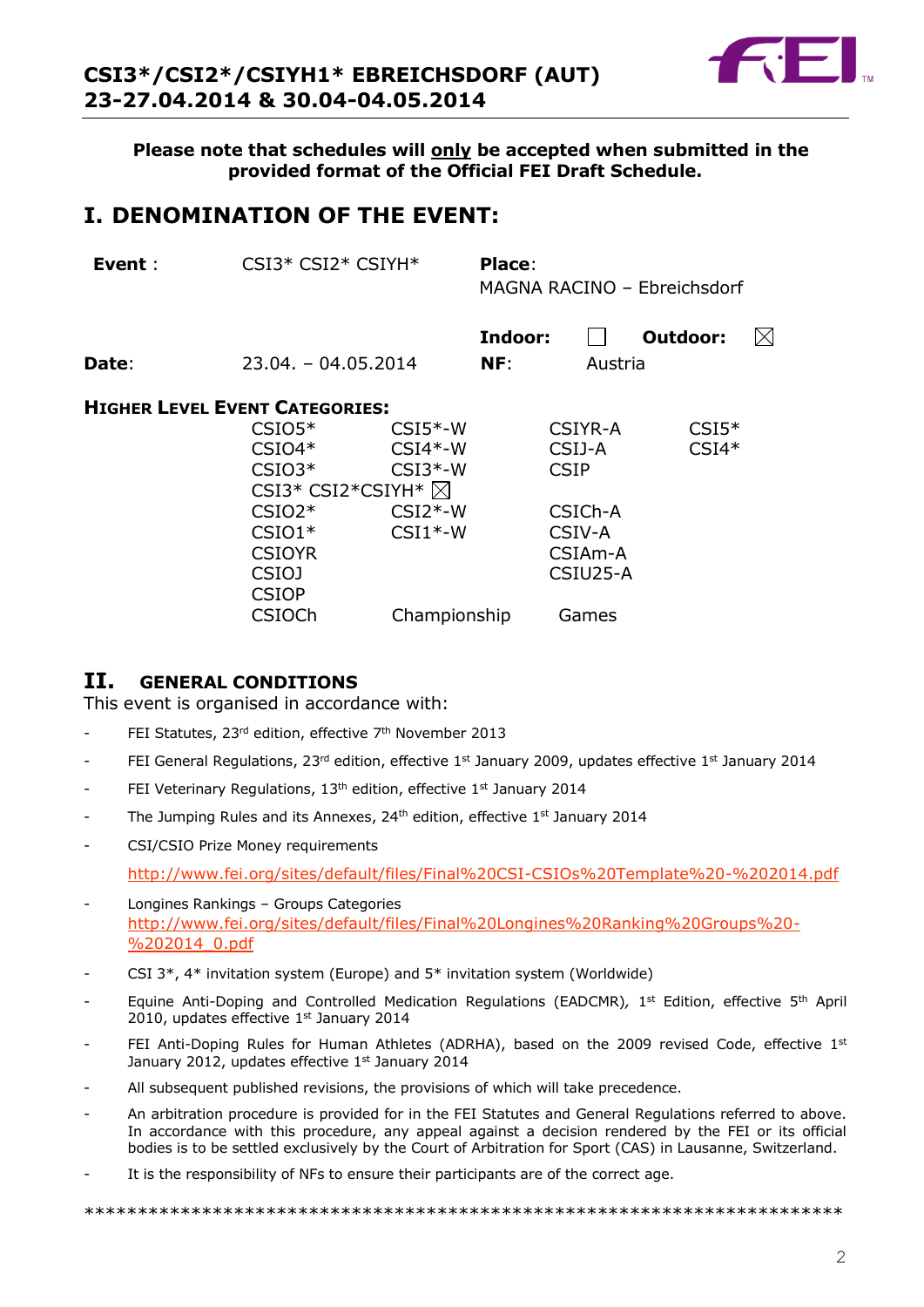

**Please note that schedules will only be accepted when submitted in the provided format of the Official FEI Draft Schedule.**

## **I. DENOMINATION OF THE EVENT:**

| Event :                               | $CSI3*CSI2*CSIYH*$                                                                        |                                                               | Place:<br>MAGNA RACINO - Ebreichsdorf |                                                       |                    |           |
|---------------------------------------|-------------------------------------------------------------------------------------------|---------------------------------------------------------------|---------------------------------------|-------------------------------------------------------|--------------------|-----------|
| Date:                                 | $23.04 - 04.05.2014$                                                                      |                                                               | Indoor:<br>NF:                        | Austria                                               | Outdoor:           | $\bowtie$ |
| <b>HIGHER LEVEL EVENT CATEGORIES:</b> | $CSIO5*$<br>$CSIO4*$<br>$CSIO3*$<br>CSI3* CSI2*CSIYH* $\boxtimes$<br>$CSIO2*$<br>$CSIO1*$ | $CSI5*-W$<br>$CSI4*-W$<br>$CSI3*-W$<br>$CSI2*-W$<br>$CSI1*-W$ |                                       | CSIYR-A<br>CSIJ-A<br><b>CSIP</b><br>CSICh-A<br>CSIV-A | $CSI5*$<br>$CSI4*$ |           |
|                                       | <b>CSIOYR</b><br><b>CSIOJ</b><br><b>CSIOP</b>                                             |                                                               |                                       | CSIA <sub>m</sub> -A<br>CSIU25-A                      |                    |           |

CSIOCh Championship Games

#### **II. GENERAL CONDITIONS**

This event is organised in accordance with:

- FEI Statutes, 23<sup>rd</sup> edition, effective 7<sup>th</sup> November 2013
- FEI General Regulations, 23<sup>rd</sup> edition, effective 1<sup>st</sup> January 2009, updates effective 1<sup>st</sup> January 2014
- FEI Veterinary Regulations, 13<sup>th</sup> edition, effective 1st January 2014
- The Jumping Rules and its Annexes, 24<sup>th</sup> edition, effective 1<sup>st</sup> January 2014
- CSI/CSIO Prize Money requirements

<http://www.fei.org/sites/default/files/Final%20CSI-CSIOs%20Template%20-%202014.pdf>

- Longines Rankings Groups Categories [http://www.fei.org/sites/default/files/Final%20Longines%20Ranking%20Groups%20-](http://www.fei.org/sites/default/files/Final%20Longines%20Ranking%20Groups%20-%202014_0.pdf) [%202014\\_0.pdf](http://www.fei.org/sites/default/files/Final%20Longines%20Ranking%20Groups%20-%202014_0.pdf)
- CSI  $3^*$ ,  $4^*$  invitation system (Europe) and  $5^*$  invitation system (Worldwide)
- Equine Anti-Doping and Controlled Medication Regulations (EADCMR), 1<sup>st</sup> Edition, effective 5<sup>th</sup> April 2010, updates effective 1st January 2014
- FEI Anti-Doping Rules for Human Athletes (ADRHA), based on the 2009 revised Code, effective 1st January 2012, updates effective 1st January 2014
- All subsequent published revisions, the provisions of which will take precedence.
- An arbitration procedure is provided for in the FEI Statutes and General Regulations referred to above. In accordance with this procedure, any appeal against a decision rendered by the FEI or its official bodies is to be settled exclusively by the Court of Arbitration for Sport (CAS) in Lausanne, Switzerland.
- It is the responsibility of NFs to ensure their participants are of the correct age.

\*\*\*\*\*\*\*\*\*\*\*\*\*\*\*\*\*\*\*\*\*\*\*\*\*\*\*\*\*\*\*\*\*\*\*\*\*\*\*\*\*\*\*\*\*\*\*\*\*\*\*\*\*\*\*\*\*\*\*\*\*\*\*\*\*\*\*\*\*\*\*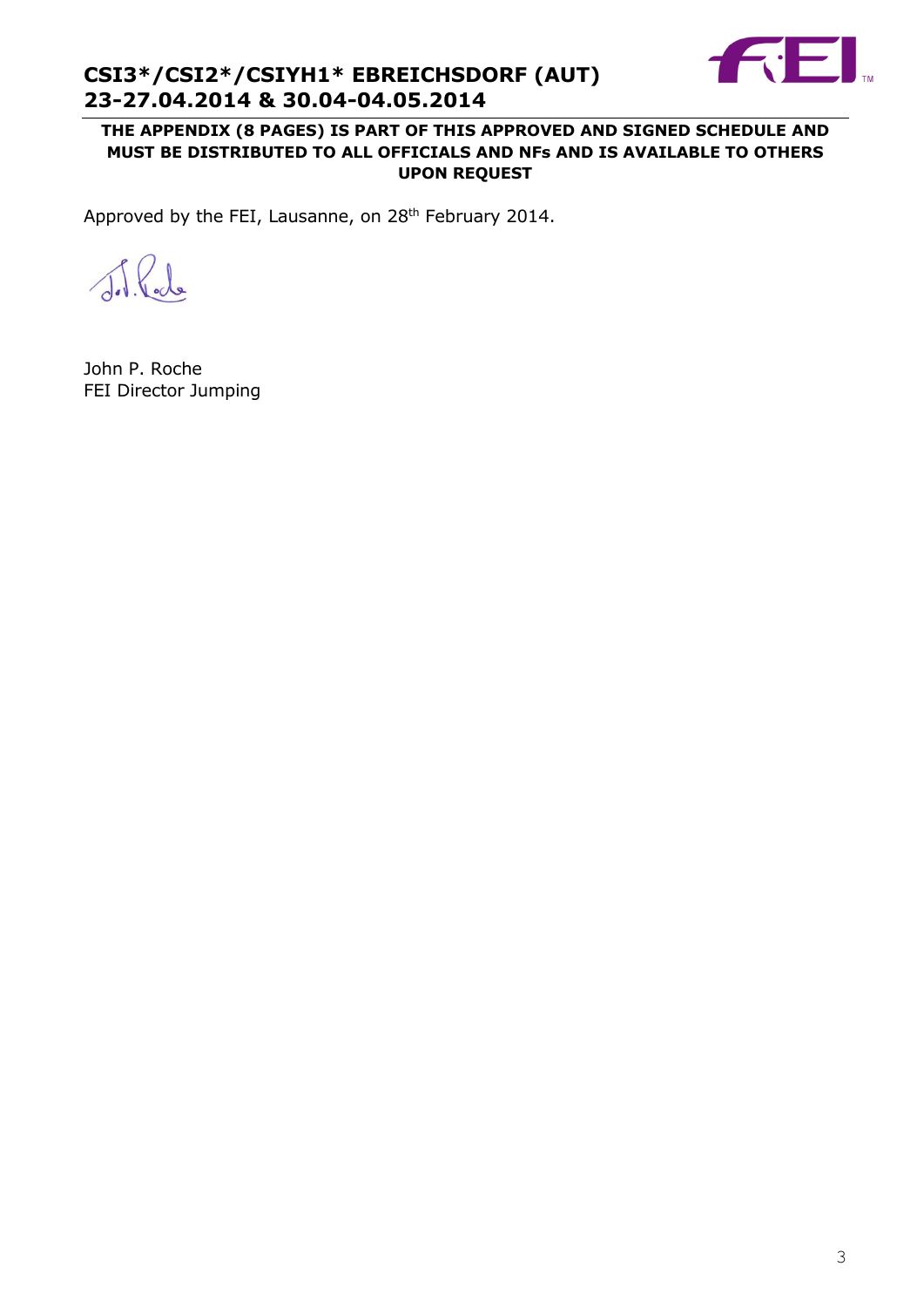

**THE APPENDIX (8 PAGES) IS PART OF THIS APPROVED AND SIGNED SCHEDULE AND MUST BE DISTRIBUTED TO ALL OFFICIALS AND NFs AND IS AVAILABLE TO OTHERS UPON REQUEST**

Approved by the FEI, Lausanne, on 28<sup>th</sup> February 2014.

del Pode

John P. Roche FEI Director Jumping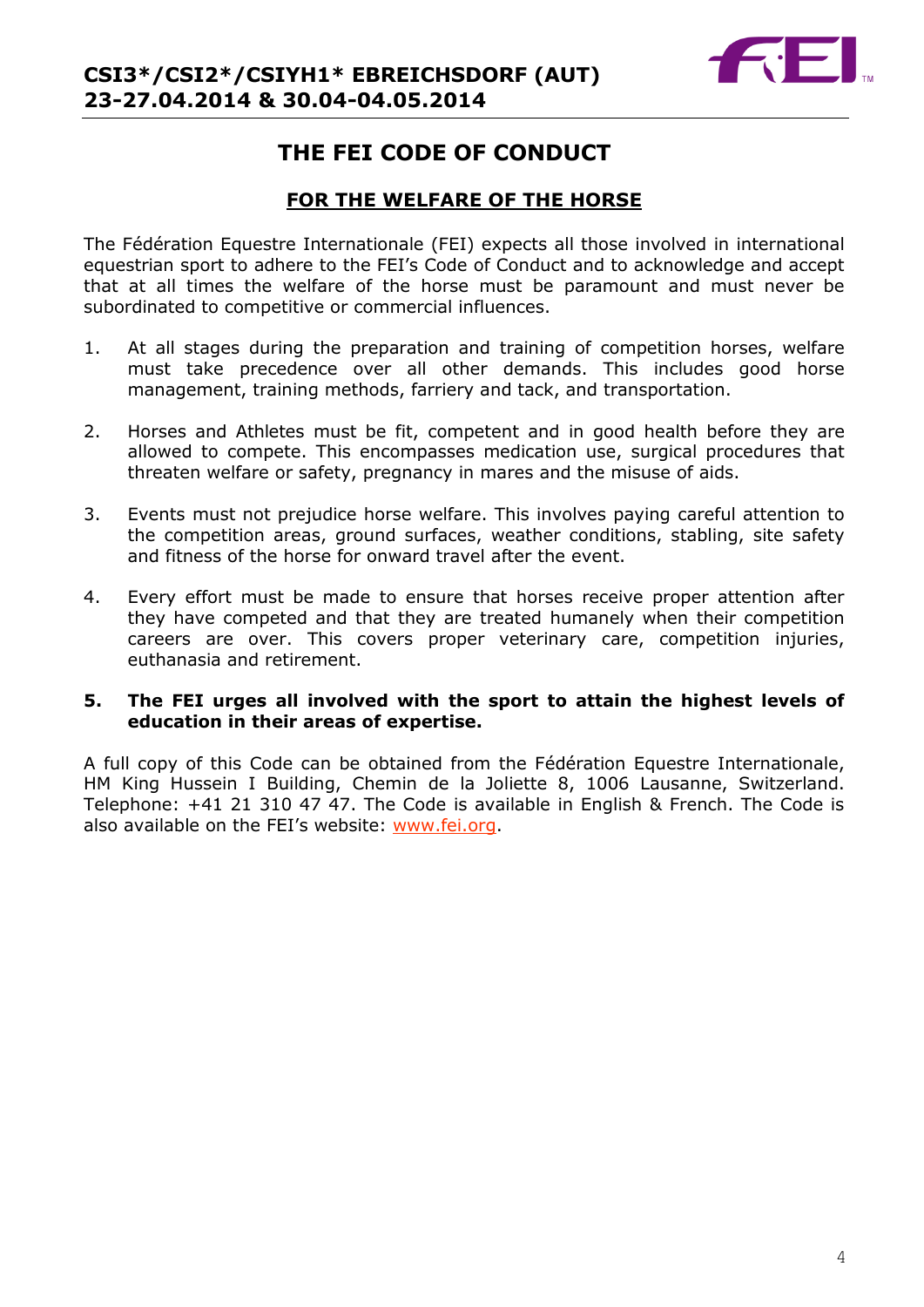## **THE FEI CODE OF CONDUCT**

## **FOR THE WELFARE OF THE HORSE**

The Fédération Equestre Internationale (FEI) expects all those involved in international equestrian sport to adhere to the FEI's Code of Conduct and to acknowledge and accept that at all times the welfare of the horse must be paramount and must never be subordinated to competitive or commercial influences.

- 1. At all stages during the preparation and training of competition horses, welfare must take precedence over all other demands. This includes good horse management, training methods, farriery and tack, and transportation.
- 2. Horses and Athletes must be fit, competent and in good health before they are allowed to compete. This encompasses medication use, surgical procedures that threaten welfare or safety, pregnancy in mares and the misuse of aids.
- 3. Events must not prejudice horse welfare. This involves paying careful attention to the competition areas, ground surfaces, weather conditions, stabling, site safety and fitness of the horse for onward travel after the event.
- 4. Every effort must be made to ensure that horses receive proper attention after they have competed and that they are treated humanely when their competition careers are over. This covers proper veterinary care, competition injuries, euthanasia and retirement.

#### **5. The FEI urges all involved with the sport to attain the highest levels of education in their areas of expertise.**

A full copy of this Code can be obtained from the Fédération Equestre Internationale, HM King Hussein I Building, Chemin de la Joliette 8, 1006 Lausanne, Switzerland. Telephone: +41 21 310 47 47. The Code is available in English & French. The Code is also available on the FEI's website: [www.fei.org.](http://www.fei.org/)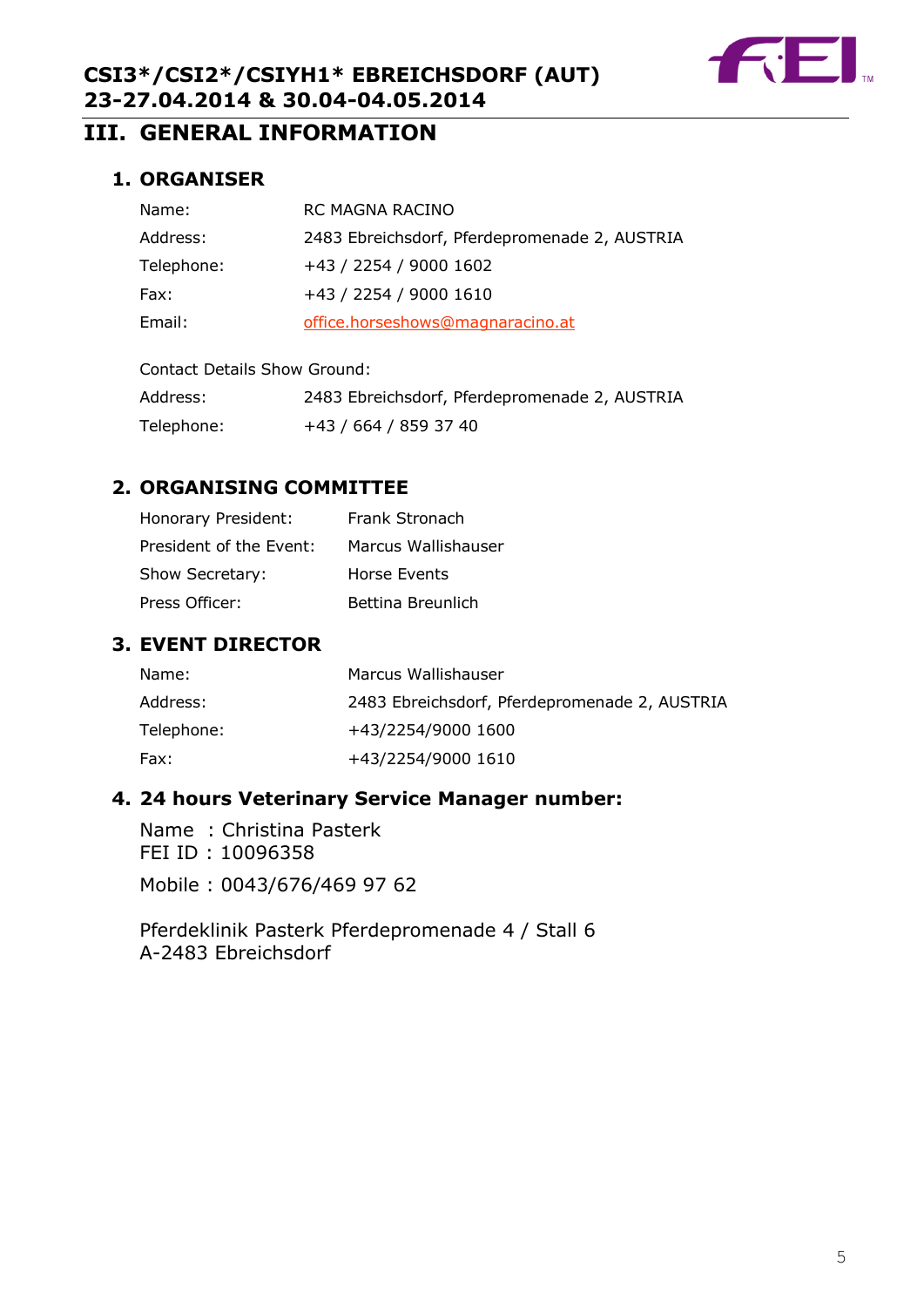

## **III. GENERAL INFORMATION**

## **1. ORGANISER**

| Name:      | RC MAGNA RACINO                               |
|------------|-----------------------------------------------|
| Address:   | 2483 Ebreichsdorf, Pferdepromenade 2, AUSTRIA |
| Telephone: | +43 / 2254 / 9000 1602                        |
| Fax:       | +43 / 2254 / 9000 1610                        |
| Email:     | office.horseshows@magnaracino.at              |
|            |                                               |

| Address:   | 2483 Ebreichsdorf, Pferdepromenade 2, AUSTRIA |
|------------|-----------------------------------------------|
| Telephone: | +43 / 664 / 859 37 40                         |

## **2. ORGANISING COMMITTEE**

| Honorary President:     | Frank Stronach      |
|-------------------------|---------------------|
| President of the Event: | Marcus Wallishauser |
| Show Secretary:         | Horse Events        |
| Press Officer:          | Bettina Breunlich   |

## **3. EVENT DIRECTOR**

| Name:      | Marcus Wallishauser                           |
|------------|-----------------------------------------------|
| Address:   | 2483 Ebreichsdorf, Pferdepromenade 2, AUSTRIA |
| Telephone: | +43/2254/9000 1600                            |
| Fax:       | +43/2254/9000 1610                            |

## **4. 24 hours Veterinary Service Manager number:**

Name : Christina Pasterk FEI ID : 10096358 Mobile : 0043/676/469 97 62

Pferdeklinik Pasterk Pferdepromenade 4 / Stall 6 A-2483 Ebreichsdorf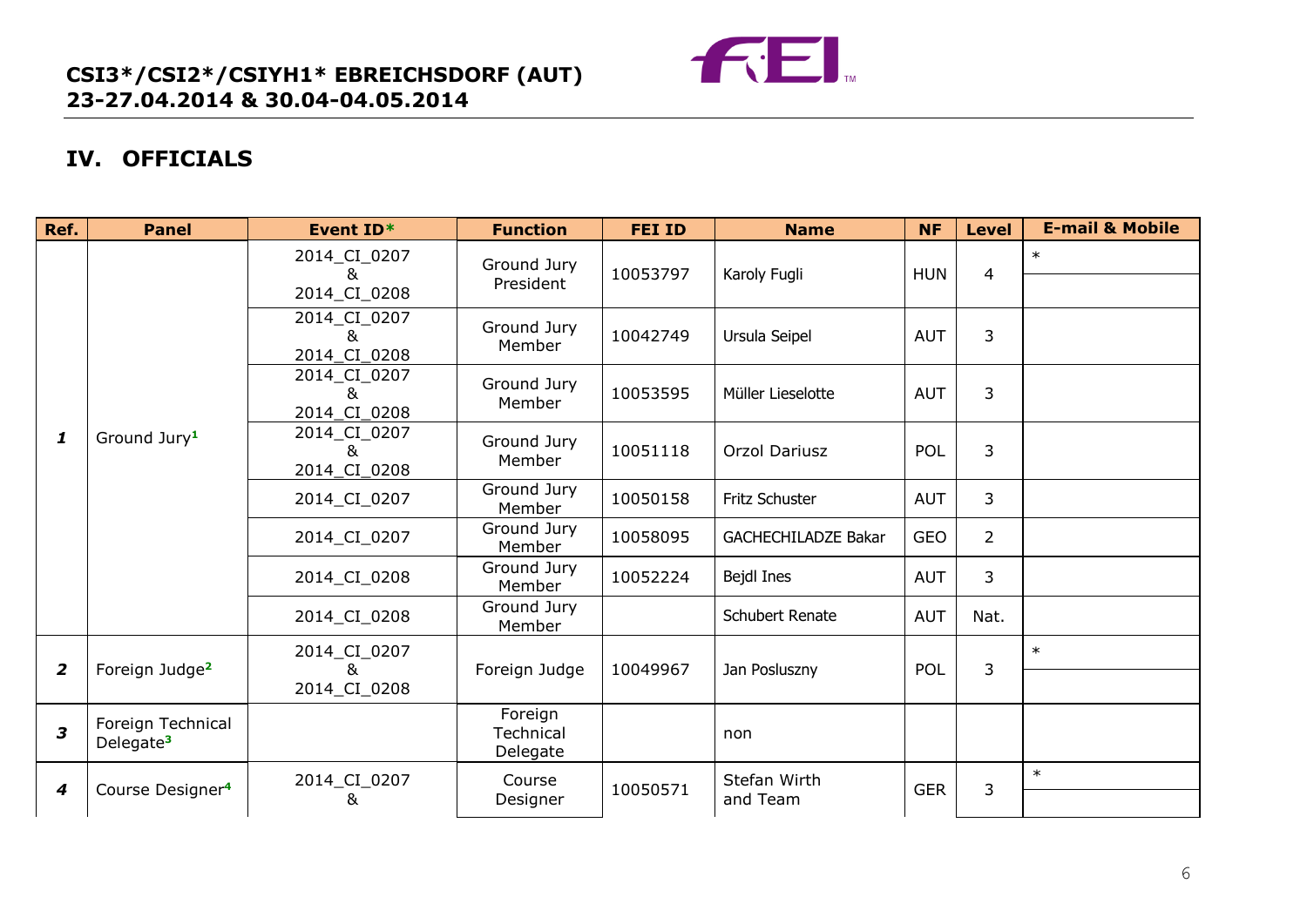

## **IV. OFFICIALS**

| Ref.                    | <b>Panel</b>                               | Event ID*                          | <b>Function</b>                  | <b>FEI ID</b> | <b>Name</b>                | <b>NF</b>  | <b>Level</b>   | <b>E-mail &amp; Mobile</b> |
|-------------------------|--------------------------------------------|------------------------------------|----------------------------------|---------------|----------------------------|------------|----------------|----------------------------|
|                         | Ground Jury <sup>1</sup>                   | 2014_CI_0207<br>&<br>2014_CI_0208  | Ground Jury<br>President         | 10053797      | Karoly Fugli               | <b>HUN</b> | $\overline{4}$ | $\ast$                     |
|                         |                                            | 2014_CI_0207<br>&<br>2014_CI_0208  | Ground Jury<br>Member            | 10042749      | Ursula Seipel              | <b>AUT</b> | 3              |                            |
|                         |                                            | 2014_CI_0207<br>&<br>2014_CI_0208  | Ground Jury<br>Member            | 10053595      | Müller Lieselotte          | <b>AUT</b> | 3              |                            |
| 1                       |                                            | 2014_CI_0207<br>&.<br>2014_CI_0208 | Ground Jury<br>Member            | 10051118      | Orzol Dariusz              | POL        | 3              |                            |
|                         |                                            | 2014_CI_0207                       | Ground Jury<br>Member            | 10050158      | Fritz Schuster             | <b>AUT</b> | $\overline{3}$ |                            |
|                         |                                            | 2014_CI_0207                       | Ground Jury<br>Member            | 10058095      | <b>GACHECHILADZE Bakar</b> | <b>GEO</b> | $\overline{2}$ |                            |
|                         |                                            | 2014_CI_0208                       | Ground Jury<br>Member            | 10052224      | Bejdl Ines                 | <b>AUT</b> | 3              |                            |
|                         |                                            | 2014_CI_0208                       | Ground Jury<br>Member            |               | <b>Schubert Renate</b>     | <b>AUT</b> | Nat.           |                            |
| $\overline{2}$          | Foreign Judge <sup>2</sup>                 | 2014_CI_0207<br>&                  | Foreign Judge                    | 10049967      | Jan Posluszny              | POL        | 3              | $\ast$                     |
|                         |                                            | 2014_CI_0208                       |                                  |               |                            |            |                |                            |
| $\overline{\mathbf{3}}$ | Foreign Technical<br>Delegate <sup>3</sup> |                                    | Foreign<br>Technical<br>Delegate |               | non                        |            |                |                            |
| 4                       | Course Designer <sup>4</sup>               | 2014_CI_0207<br>&                  | Course<br>Designer               | 10050571      | Stefan Wirth<br>and Team   | <b>GER</b> | 3              | $\ast$                     |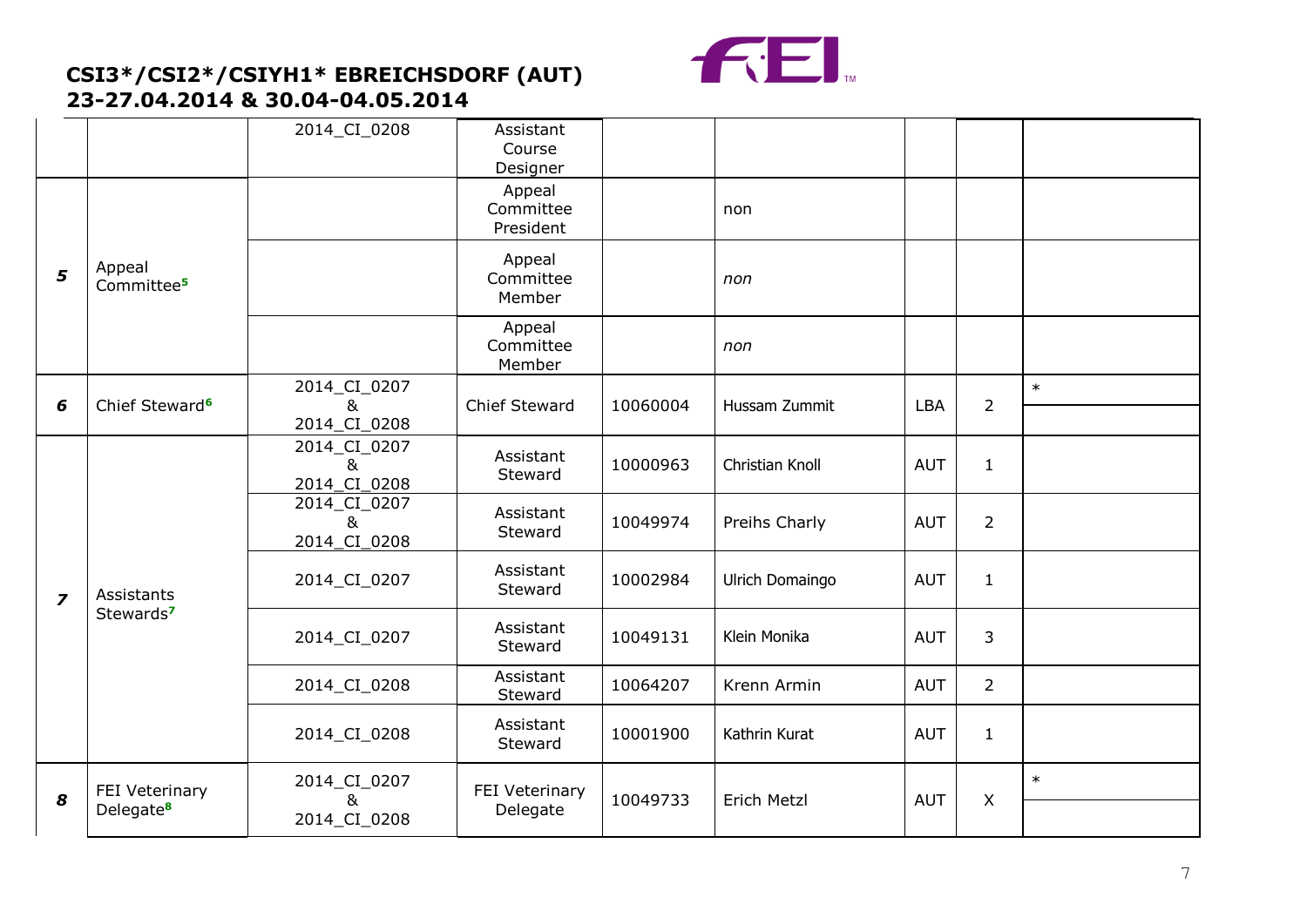

|                |                                     | 2014_CI_0208                      | Assistant<br>Course<br>Designer  |          |                 |            |                |        |
|----------------|-------------------------------------|-----------------------------------|----------------------------------|----------|-----------------|------------|----------------|--------|
|                | Appeal<br>Committee <sup>5</sup>    |                                   | Appeal<br>Committee<br>President |          | non             |            |                |        |
| 5              |                                     |                                   | Appeal<br>Committee<br>Member    |          | non             |            |                |        |
|                |                                     |                                   | Appeal<br>Committee<br>Member    |          | non             |            |                |        |
| 6              | Chief Steward <sup>6</sup>          | 2014_CI_0207<br>&<br>2014_CI_0208 | <b>Chief Steward</b>             | 10060004 | Hussam Zummit   | LBA        | $\overline{2}$ | $\ast$ |
|                | Assistants<br>Stewards <sup>7</sup> | 2014_CI_0207<br>&<br>2014 CI 0208 | Assistant<br>Steward             | 10000963 | Christian Knoll | <b>AUT</b> | $\mathbf{1}$   |        |
|                |                                     | 2014_CI_0207<br>&<br>2014_CI_0208 | Assistant<br>Steward             | 10049974 | Preihs Charly   | <b>AUT</b> | $\overline{2}$ |        |
| $\overline{z}$ |                                     | 2014_CI_0207                      | Assistant<br>Steward             | 10002984 | Ulrich Domaingo | <b>AUT</b> | $\mathbf{1}$   |        |
|                |                                     | 2014_CI_0207                      | Assistant<br>Steward             | 10049131 | Klein Monika    | <b>AUT</b> | 3              |        |
|                |                                     | 2014_CI_0208                      | Assistant<br>Steward             | 10064207 | Krenn Armin     | <b>AUT</b> | $\overline{2}$ |        |
|                |                                     | 2014_CI_0208                      | Assistant<br>Steward             | 10001900 | Kathrin Kurat   | <b>AUT</b> | $\mathbf{1}$   |        |
| 8              | FEI Veterinary                      | 2014_CI_0207<br>&                 | FEI Veterinary                   | 10049733 | Erich Metzl     | <b>AUT</b> | $\mathsf{X}$   | $\ast$ |
|                | Delegate <sup>8</sup>               | 2014_CI_0208                      | Delegate                         |          |                 |            |                |        |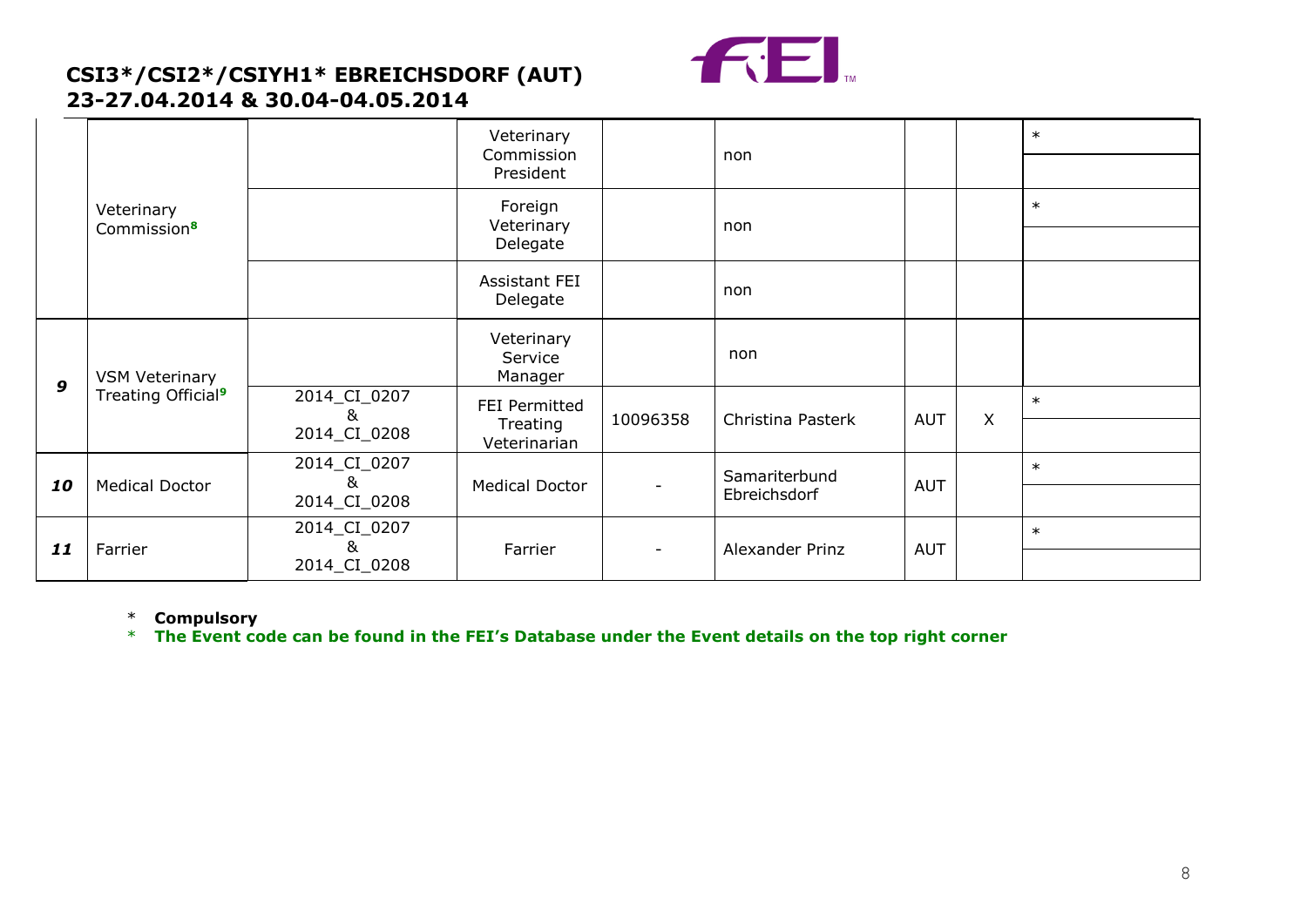

|                  |                                |                                | Veterinary<br>Commission         |              | non               |            |   | $\ast$ |
|------------------|--------------------------------|--------------------------------|----------------------------------|--------------|-------------------|------------|---|--------|
|                  | Veterinary                     |                                | President                        |              |                   |            |   |        |
|                  |                                |                                | Foreign<br>Veterinary            |              | non               |            |   | $\ast$ |
|                  | Commission <sup>8</sup>        |                                | Delegate                         |              |                   |            |   |        |
|                  |                                |                                | Assistant FEI<br>Delegate        |              | non               |            |   |        |
|                  | <b>VSM Veterinary</b>          |                                | Veterinary<br>Service<br>Manager |              | non               |            |   |        |
| $\boldsymbol{9}$ | Treating Official <sup>9</sup> | 2014_CI_0207<br>8 <sub>k</sub> | FEI Permitted<br>Treating        | 10096358     | Christina Pasterk | <b>AUT</b> | X | $\ast$ |
|                  |                                | 2014_CI_0208                   | Veterinarian                     |              |                   |            |   |        |
| 10               | <b>Medical Doctor</b>          | 2014_CI_0207<br>&              | <b>Medical Doctor</b>            |              | Samariterbund     | <b>AUT</b> |   | $\ast$ |
|                  |                                | 2014_CI_0208                   |                                  | Ebreichsdorf |                   |            |   |        |
| 11               | Farrier                        | 2014_CI_0207<br>&              |                                  |              |                   |            |   | $\ast$ |
|                  |                                | 2014_CI_0208                   | Farrier                          |              | Alexander Prinz   | <b>AUT</b> |   |        |

\* **Compulsory**

\* **The Event code can be found in the FEI's Database under the Event details on the top right corner**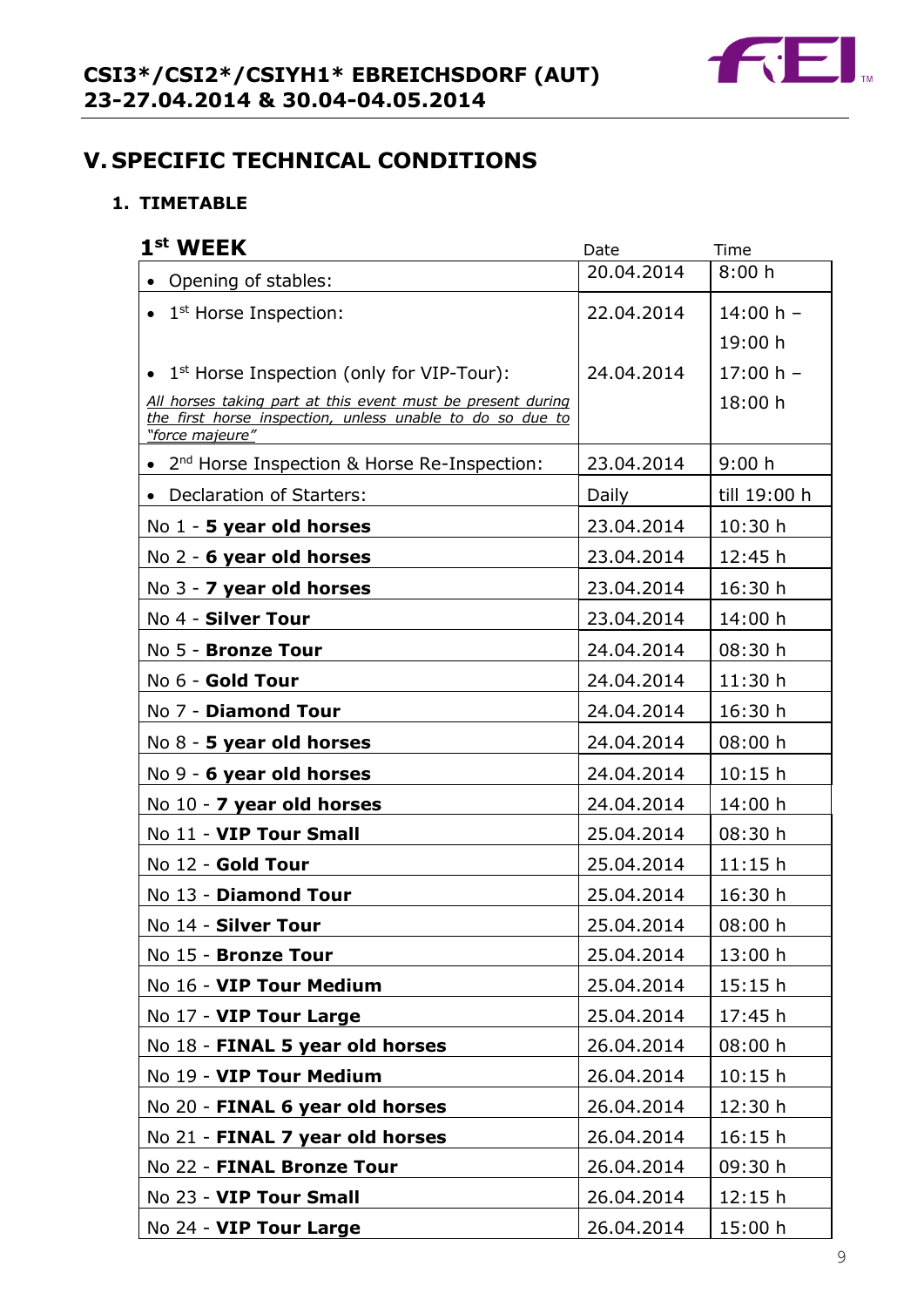

## **V. SPECIFIC TECHNICAL CONDITIONS**

### **1. TIMETABLE**

| 1 <sup>st</sup> WEEK                                                         | Date       | Time         |
|------------------------------------------------------------------------------|------------|--------------|
| Opening of stables:                                                          | 20.04.2014 | 8:00h        |
| 1 <sup>st</sup> Horse Inspection:                                            | 22.04.2014 | 14:00 h $-$  |
|                                                                              |            | 19:00 h      |
| 1 <sup>st</sup> Horse Inspection (only for VIP-Tour):                        | 24.04.2014 | $17:00 h -$  |
| All horses taking part at this event must be present during                  |            | 18:00 h      |
| the first horse inspection, unless unable to do so due to<br>"force majeure" |            |              |
| 2 <sup>nd</sup> Horse Inspection & Horse Re-Inspection:                      | 23.04.2014 | 9:00 h       |
| • Declaration of Starters:                                                   | Daily      | till 19:00 h |
| No 1 - 5 year old horses                                                     | 23.04.2014 | 10:30h       |
| No $2 - 6$ year old horses                                                   | 23.04.2014 | 12:45 h      |
| No 3 - 7 year old horses                                                     | 23.04.2014 | 16:30 h      |
| No 4 - Silver Tour                                                           | 23.04.2014 | 14:00 h      |
| No 5 - Bronze Tour                                                           | 24.04.2014 | 08:30 h      |
| No 6 - Gold Tour                                                             | 24.04.2014 | 11:30h       |
| No 7 - Diamond Tour                                                          | 24.04.2014 | 16:30 h      |
| No 8 - 5 year old horses                                                     | 24.04.2014 | 08:00 h      |
| No 9 - 6 year old horses                                                     | 24.04.2014 | 10:15h       |
| No 10 - 7 year old horses                                                    | 24.04.2014 | 14:00 h      |
| No 11 - VIP Tour Small                                                       | 25.04.2014 | 08:30 h      |
| No 12 - Gold Tour                                                            | 25.04.2014 | 11:15h       |
| No 13 - Diamond Tour                                                         | 25.04.2014 | 16:30 h      |
| No 14 - Silver Tour                                                          | 25.04.2014 | 08:00 h      |
| No 15 - Bronze Tour                                                          | 25.04.2014 | 13:00 h      |
| No 16 - VIP Tour Medium                                                      | 25.04.2014 | 15:15h       |
| No 17 - VIP Tour Large                                                       | 25.04.2014 | 17:45 h      |
| No 18 - FINAL 5 year old horses                                              | 26.04.2014 | 08:00 h      |
| No 19 - VIP Tour Medium                                                      | 26.04.2014 | 10:15h       |
| No 20 - FINAL 6 year old horses                                              | 26.04.2014 | 12:30 h      |
| No 21 - FINAL 7 year old horses                                              | 26.04.2014 | 16:15h       |
| No 22 - FINAL Bronze Tour                                                    | 26.04.2014 | 09:30 h      |
| No 23 - VIP Tour Small                                                       | 26.04.2014 | 12:15h       |
| No 24 - VIP Tour Large                                                       | 26.04.2014 | 15:00 h      |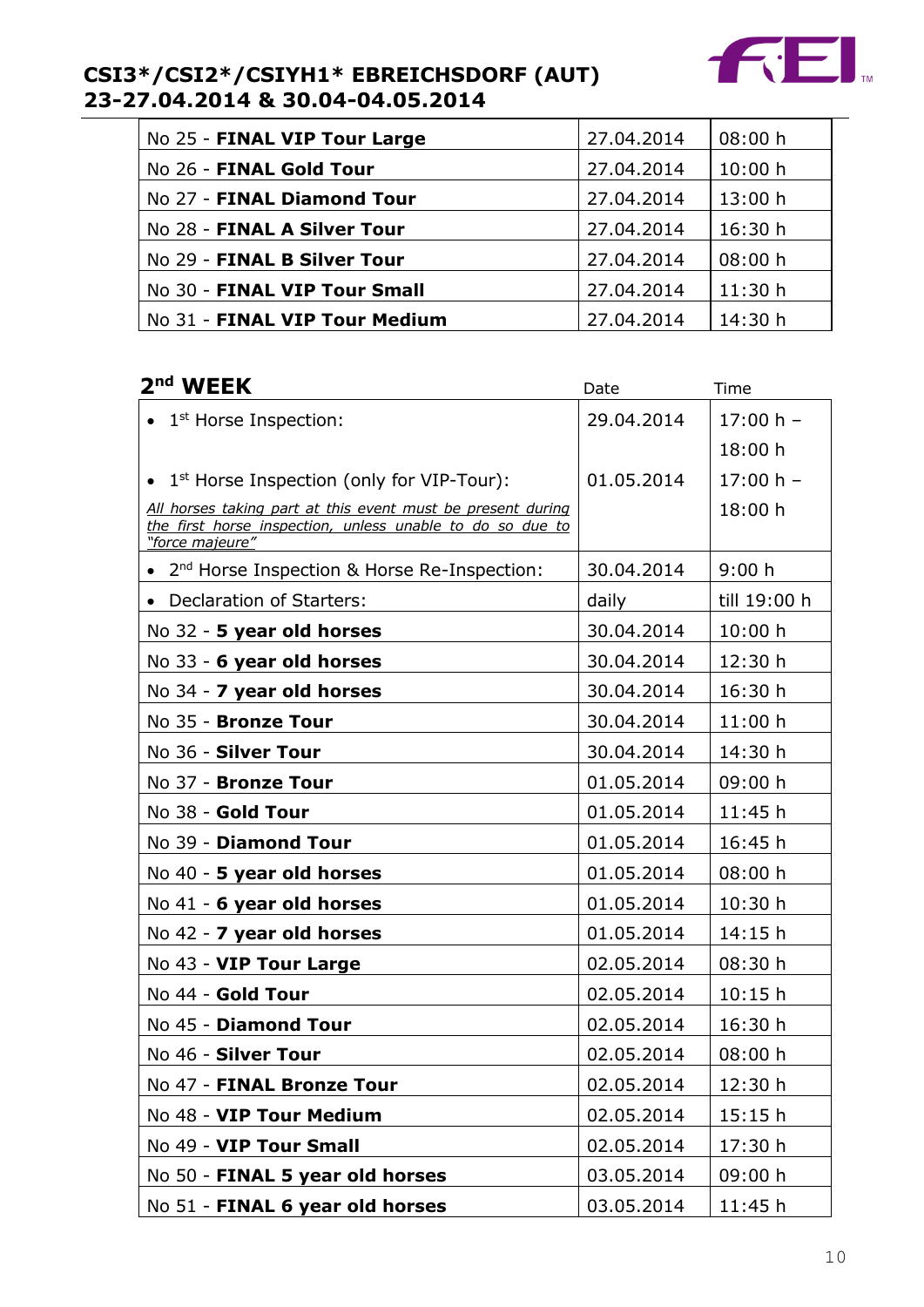

| No 25 - FINAL VIP Tour Large  | 27.04.2014 | 08:00 h |
|-------------------------------|------------|---------|
| No 26 - FINAL Gold Tour       | 27.04.2014 | 10:00 h |
| No 27 - FINAL Diamond Tour    | 27.04.2014 | 13:00 h |
| No 28 - FINAL A Silver Tour   | 27.04.2014 | 16:30 h |
| No 29 - FINAL B Silver Tour   | 27.04.2014 | 08:00 h |
| No 30 - FINAL VIP Tour Small  | 27.04.2014 | 11:30h  |
| No 31 - FINAL VIP Tour Medium | 27.04.2014 | 14:30 h |

## 2<sup>nd</sup> WFFK

| 2 <sup>nd</sup> WEEK                                                                                                                        | Date       | Time         |
|---------------------------------------------------------------------------------------------------------------------------------------------|------------|--------------|
| 1 <sup>st</sup> Horse Inspection:                                                                                                           | 29.04.2014 | $17:00 h -$  |
|                                                                                                                                             |            | 18:00 h      |
| 1 <sup>st</sup> Horse Inspection (only for VIP-Tour):                                                                                       | 01.05.2014 | $17:00 h -$  |
| All horses taking part at this event must be present during<br>the first horse inspection, unless unable to do so due to<br>"force majeure" |            | 18:00 h      |
| 2 <sup>nd</sup> Horse Inspection & Horse Re-Inspection:                                                                                     | 30.04.2014 | 9:00 h       |
| • Declaration of Starters:                                                                                                                  | daily      | till 19:00 h |
| No 32 - 5 year old horses                                                                                                                   | 30.04.2014 | 10:00 h      |
| No 33 - 6 year old horses                                                                                                                   | 30.04.2014 | 12:30 h      |
| No 34 - 7 year old horses                                                                                                                   | 30.04.2014 | 16:30 h      |
| No 35 - Bronze Tour                                                                                                                         | 30.04.2014 | 11:00h       |
| No 36 - Silver Tour                                                                                                                         | 30.04.2014 | 14:30 h      |
| No 37 - Bronze Tour                                                                                                                         | 01.05.2014 | 09:00 h      |
| No 38 - Gold Tour                                                                                                                           | 01.05.2014 | 11:45h       |
| No 39 - Diamond Tour                                                                                                                        | 01.05.2014 | 16:45 h      |
| No 40 - 5 year old horses                                                                                                                   | 01.05.2014 | 08:00 h      |
| No 41 - 6 year old horses                                                                                                                   | 01.05.2014 | 10:30h       |
| No 42 - 7 year old horses                                                                                                                   | 01.05.2014 | 14:15h       |
| No 43 - VIP Tour Large                                                                                                                      | 02.05.2014 | 08:30 h      |
| No 44 - Gold Tour                                                                                                                           | 02.05.2014 | 10:15h       |
| No 45 - Diamond Tour                                                                                                                        | 02.05.2014 | 16:30 h      |
| No 46 - Silver Tour                                                                                                                         | 02.05.2014 | 08:00 h      |
| No 47 - FINAL Bronze Tour                                                                                                                   | 02.05.2014 | 12:30 h      |
| No 48 - VIP Tour Medium                                                                                                                     | 02.05.2014 | 15:15h       |
| No 49 - VIP Tour Small                                                                                                                      | 02.05.2014 | 17:30 h      |
| No 50 - FINAL 5 year old horses                                                                                                             | 03.05.2014 | 09:00 h      |
| No 51 - FINAL 6 year old horses                                                                                                             | 03.05.2014 | 11:45 h      |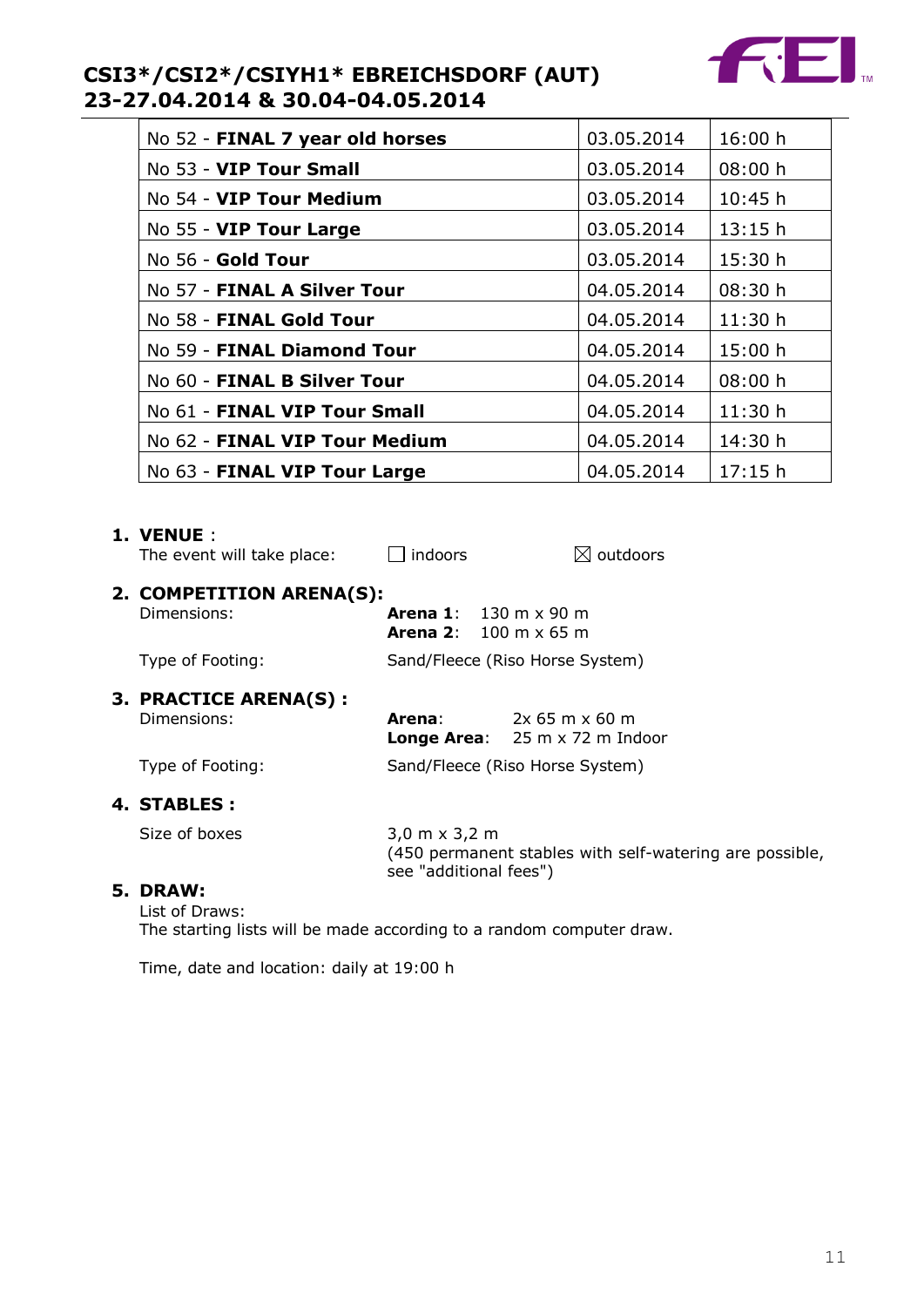

| No 52 - FINAL 7 year old horses | 03.05.2014 | 16:00 h |
|---------------------------------|------------|---------|
| No 53 - VIP Tour Small          | 03.05.2014 | 08:00 h |
| No 54 - <b>VIP Tour Medium</b>  | 03.05.2014 | 10:45 h |
| No 55 - VIP Tour Large          | 03.05.2014 | 13:15h  |
| No 56 - Gold Tour               | 03.05.2014 | 15:30 h |
| No 57 - FINAL A Silver Tour     | 04.05.2014 | 08:30 h |
| No 58 - FINAL Gold Tour         | 04.05.2014 | 11:30h  |
| No 59 - FINAL Diamond Tour      | 04.05.2014 | 15:00 h |
| No 60 - FINAL B Silver Tour     | 04.05.2014 | 08:00 h |
| No 61 - FINAL VIP Tour Small    | 04.05.2014 | 11:30h  |
| No 62 - FINAL VIP Tour Medium   | 04.05.2014 | 14:30 h |
| No 63 - FINAL VIP Tour Large    | 04.05.2014 | 17:15h  |

#### **1. VENUE** :

| The event will take place:              | indoors                                                        |                                                                                  | $\boxtimes$ outdoors                                    |  |
|-----------------------------------------|----------------------------------------------------------------|----------------------------------------------------------------------------------|---------------------------------------------------------|--|
| 2. COMPETITION ARENA(S):<br>Dimensions: | <b>Arena 1:</b> 130 m x 90 m<br><b>Arena 2:</b> 100 m x 65 m   |                                                                                  |                                                         |  |
| Type of Footing:                        |                                                                | Sand/Fleece (Riso Horse System)                                                  |                                                         |  |
| 3. PRACTICE ARENA(S):<br>Dimensions:    | Arena:                                                         | $2x$ 65 m x 60 m<br><b>Longe Area:</b> $25 \text{ m} \times 72 \text{ m}$ Indoor |                                                         |  |
| Type of Footing:                        |                                                                | Sand/Fleece (Riso Horse System)                                                  |                                                         |  |
| 4. STABLES :                            |                                                                |                                                                                  |                                                         |  |
| Size of boxes                           | $3,0 \text{ m} \times 3,2 \text{ m}$<br>see "additional fees") |                                                                                  | (450 permanent stables with self-watering are possible, |  |
| 5. DRAW:<br>List of Draws:              |                                                                |                                                                                  |                                                         |  |

#### The starting lists will be made according to a random computer draw.

Time, date and location: daily at 19:00 h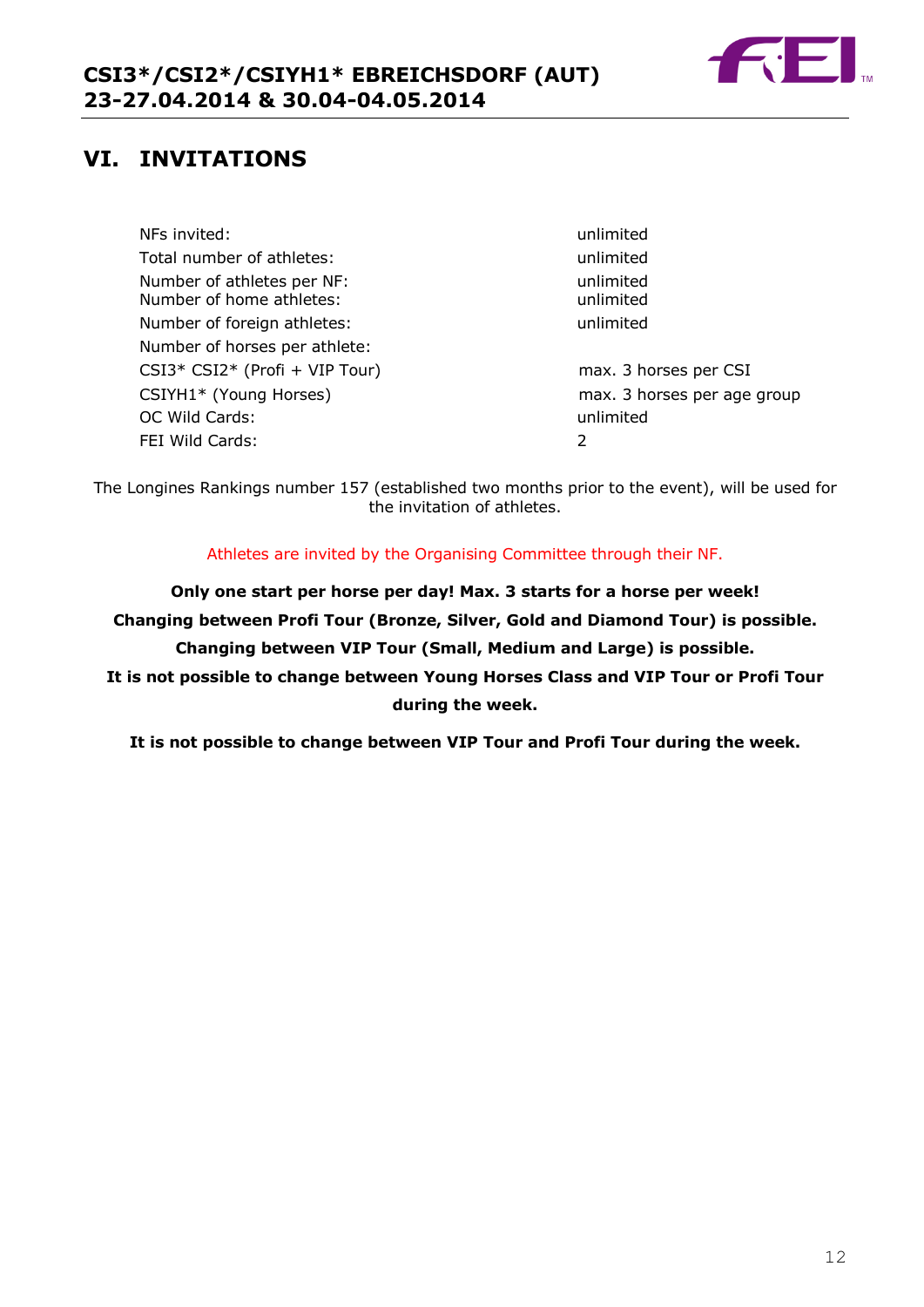

## **VI. INVITATIONS**

NFs invited: unlimited Total number of athletes: The unimited unlimited Number of athletes per NF: unlimited Number of home athletes: which we have a unlimited Number of foreign athletes: unlimited Number of horses per athlete: CSI3\* CSI2\* (Profi + VIP Tour) max. 3 horses per CSI CSIYH1\* (Young Horses) max. 3 horses per age group OC Wild Cards: unlimited FEI Wild Cards: 2

The Longines Rankings number 157 (established two months prior to the event), will be used for the invitation of athletes.

Athletes are invited by the Organising Committee through their NF.

**Only one start per horse per day! Max. 3 starts for a horse per week! Changing between Profi Tour (Bronze, Silver, Gold and Diamond Tour) is possible. Changing between VIP Tour (Small, Medium and Large) is possible. It is not possible to change between Young Horses Class and VIP Tour or Profi Tour during the week.**

**It is not possible to change between VIP Tour and Profi Tour during the week.**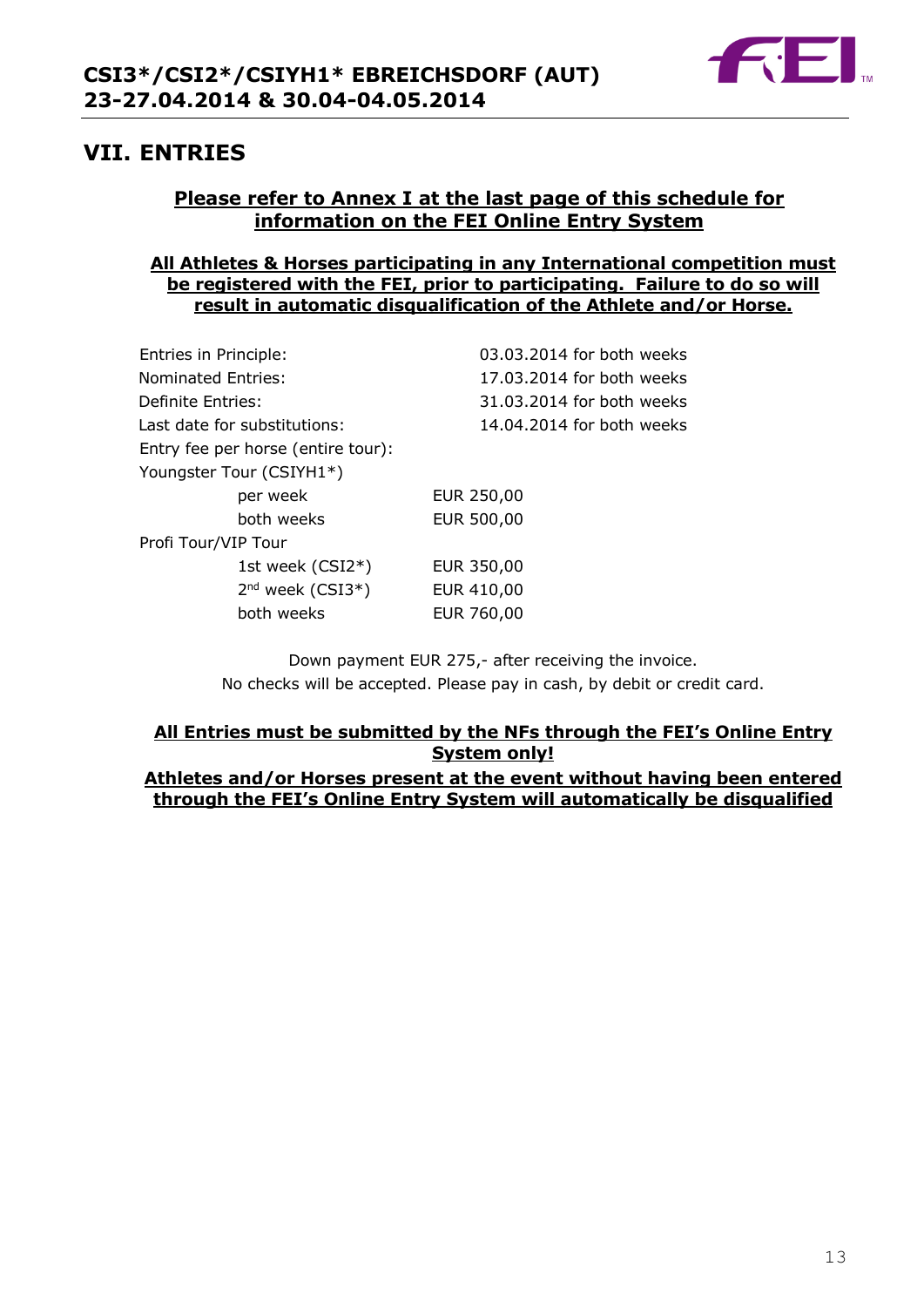

## **VII. ENTRIES**

## **Please refer to Annex I at the last page of this schedule for information on the FEI Online Entry System**

#### **All Athletes & Horses participating in any International competition must be registered with the FEI, prior to participating. Failure to do so will result in automatic disqualification of the Athlete and/or Horse.**

| Entries in Principle:              | 03.03.2014 for both weeks |
|------------------------------------|---------------------------|
| Nominated Entries:                 | 17.03.2014 for both weeks |
| Definite Entries:                  | 31.03.2014 for both weeks |
| Last date for substitutions:       | 14.04.2014 for both weeks |
| Entry fee per horse (entire tour): |                           |
| Youngster Tour (CSIYH1*)           |                           |
| per week                           | EUR 250,00                |
| both weeks                         | EUR 500,00                |
| Profi Tour/VIP Tour                |                           |
| 1st week (CSI2*)                   | EUR 350,00                |
| 2 <sup>nd</sup> week (CSI3*)       | EUR 410,00                |
| both weeks                         | EUR 760,00                |
|                                    |                           |

Down payment EUR 275,- after receiving the invoice. No checks will be accepted. Please pay in cash, by debit or credit card.

## **All Entries must be submitted by the NFs through the FEI's Online Entry System only!**

#### **Athletes and/or Horses present at the event without having been entered through the FEI's Online Entry System will automatically be disqualified**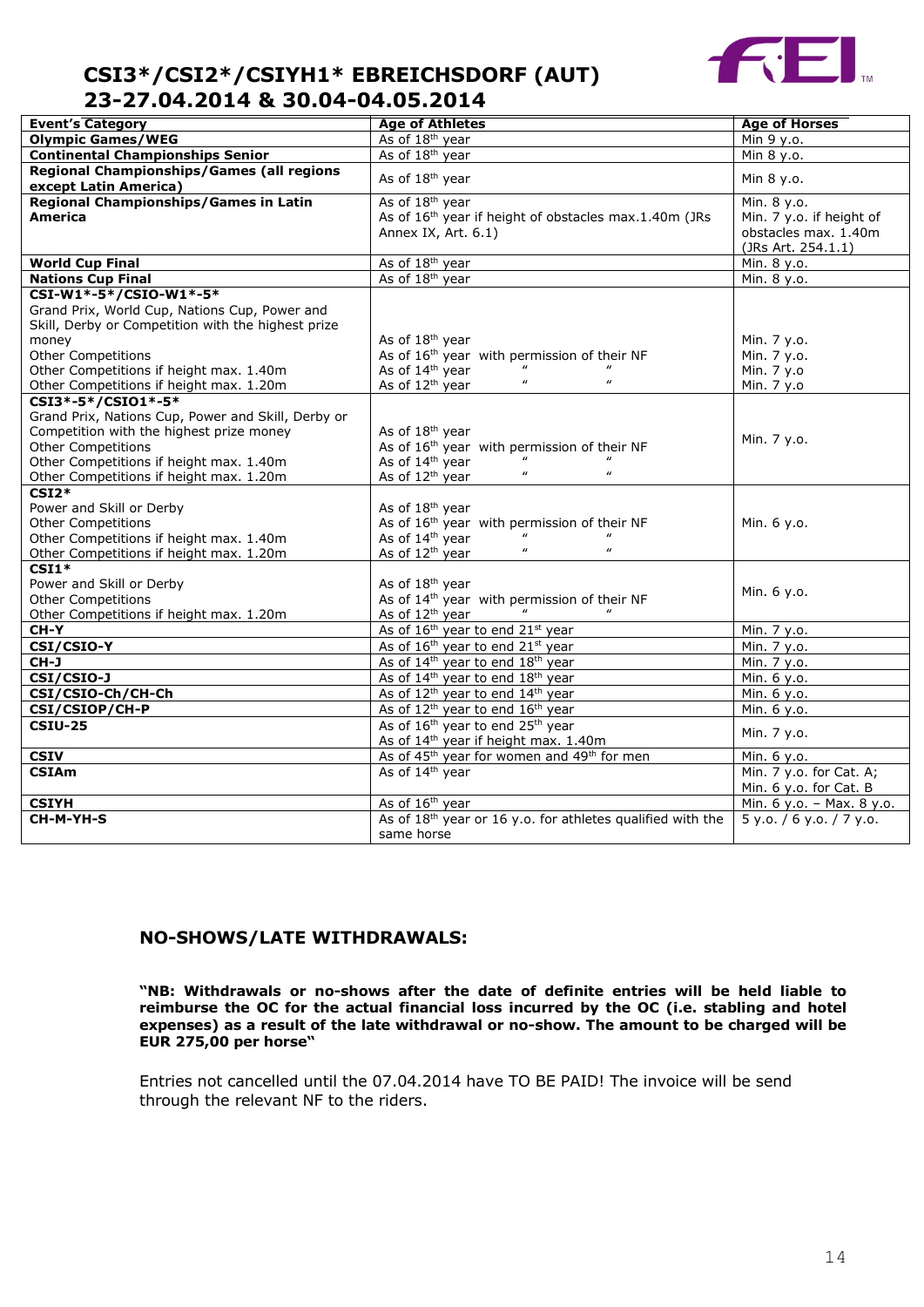

| <b>Event's Category</b>                            | <b>Age of Athletes</b>                                                           | <b>Age of Horses</b>                       |
|----------------------------------------------------|----------------------------------------------------------------------------------|--------------------------------------------|
| <b>Olympic Games/WEG</b>                           | As of 18 <sup>th</sup> year                                                      | Min 9 y.o.                                 |
| <b>Continental Championships Senior</b>            | As of 18 <sup>th</sup> year                                                      | Min 8 y.o.                                 |
| <b>Regional Championships/Games (all regions</b>   |                                                                                  |                                            |
| except Latin America)                              | As of 18 <sup>th</sup> year                                                      | Min 8 y.o.                                 |
| <b>Regional Championships/Games in Latin</b>       | As of 18 <sup>th</sup> year                                                      | Min. 8 y.o.                                |
| America                                            | As of 16 <sup>th</sup> year if height of obstacles max.1.40m (JRs                | Min. 7 y.o. if height of                   |
|                                                    | Annex IX, Art. 6.1)                                                              | obstacles max. 1.40m<br>(JRs Art. 254.1.1) |
| <b>World Cup Final</b>                             | As of 18 <sup>th</sup> year                                                      | Min. 8 y.o.                                |
| <b>Nations Cup Final</b>                           | As of 18 <sup>th</sup> year                                                      | Min. 8 y.o.                                |
| CSI-W1*-5*/CSIO-W1*-5*                             |                                                                                  |                                            |
| Grand Prix, World Cup, Nations Cup, Power and      |                                                                                  |                                            |
| Skill, Derby or Competition with the highest prize |                                                                                  |                                            |
| money                                              | As of 18 <sup>th</sup> year                                                      | Min. 7 y.o.                                |
| Other Competitions                                 | As of 16 <sup>th</sup> year with permission of their NF                          | Min. 7 y.o.                                |
| Other Competitions if height max. 1.40m            | As of 14 <sup>th</sup> year                                                      | Min. 7 y.o                                 |
| Other Competitions if height max. 1.20m            | $\boldsymbol{\prime\prime}$<br>$\boldsymbol{\mu}$<br>As of 12 <sup>th</sup> year | Min. 7 y.o                                 |
| CSI3*-5*/CSI01*-5*                                 |                                                                                  |                                            |
| Grand Prix, Nations Cup, Power and Skill, Derby or |                                                                                  |                                            |
| Competition with the highest prize money           | As of 18 <sup>th</sup> year                                                      | Min. 7 y.o.                                |
| <b>Other Competitions</b>                          | As of 16 <sup>th</sup> year with permission of their NF                          |                                            |
| Other Competitions if height max. 1.40m            | As of 14 <sup>th</sup> year                                                      |                                            |
| Other Competitions if height max. 1.20m            | $\boldsymbol{u}$<br>As of 12 <sup>th</sup> year                                  |                                            |
| $CSI2*$                                            |                                                                                  |                                            |
| Power and Skill or Derby                           | As of 18 <sup>th</sup> year                                                      |                                            |
| <b>Other Competitions</b>                          | As of 16 <sup>th</sup> year with permission of their NF                          | Min. 6 y.o.                                |
| Other Competitions if height max. 1.40m            | As of 14 <sup>th</sup> year                                                      |                                            |
| Other Competitions if height max. 1.20m            | $\boldsymbol{u}$<br>$\boldsymbol{u}$<br>As of 12 <sup>th</sup> year              |                                            |
| $\overline{\text{CSI1*}}$                          |                                                                                  |                                            |
| Power and Skill or Derby                           | As of 18 <sup>th</sup> year                                                      | Min. 6 y.o.                                |
| <b>Other Competitions</b>                          | As of 14 <sup>th</sup> year with permission of their NF                          |                                            |
| Other Competitions if height max. 1.20m            | As of 12 <sup>th</sup> year                                                      |                                            |
| $CH-Y$                                             | As of 16 <sup>th</sup> year to end 21 <sup>st</sup> year                         | Min. 7 y.o.                                |
| CSI/CSIO-Y                                         | As of 16 <sup>th</sup> year to end 21 <sup>st</sup> year                         | Min. 7 y.o.                                |
| CH-J                                               | As of 14 <sup>th</sup> year to end 18 <sup>th</sup> year                         | Min. 7 y.o.                                |
| <b>CSI/CSI0-J</b>                                  | As of 14 <sup>th</sup> year to end 18 <sup>th</sup> year                         | Min. 6 y.o.                                |
| CSI/CSIO-Ch/CH-Ch                                  | As of 12 <sup>th</sup> year to end 14 <sup>th</sup> year                         | Min. 6 y.o.                                |
| CSI/CSIOP/CH-P                                     | As of 12 <sup>th</sup> year to end 16 <sup>th</sup> year                         | Min. 6 y.o.                                |
| <b>CSIU-25</b>                                     | As of 16 <sup>th</sup> year to end 25 <sup>th</sup> year                         |                                            |
|                                                    | As of 14 <sup>th</sup> year if height max. 1.40m                                 | Min. 7 y.o.                                |
| <b>CSIV</b>                                        | As of 45 <sup>th</sup> year for women and 49 <sup>th</sup> for men               | Min. 6 y.o.                                |
| <b>CSIAm</b>                                       | As of 14 <sup>th</sup> year                                                      | Min. 7 y.o. for Cat. A;                    |
|                                                    |                                                                                  | Min. 6 y.o. for Cat. B                     |
| <b>CSIYH</b>                                       | As of 16 <sup>th</sup> year                                                      | Min. 6 y.o. - Max. 8 y.o.                  |
| CH-M-YH-S                                          | As of 18 <sup>th</sup> year or 16 y.o. for athletes qualified with the           | 5 y.0. / 6 y.0. / 7 y.0.                   |
|                                                    | same horse                                                                       |                                            |
|                                                    |                                                                                  |                                            |

#### **NO-SHOWS/LATE WITHDRAWALS:**

**"NB: Withdrawals or no-shows after the date of definite entries will be held liable to reimburse the OC for the actual financial loss incurred by the OC (i.e. stabling and hotel expenses) as a result of the late withdrawal or no-show. The amount to be charged will be EUR 275,00 per horse"**

Entries not cancelled until the 07.04.2014 have TO BE PAID! The invoice will be send through the relevant NF to the riders.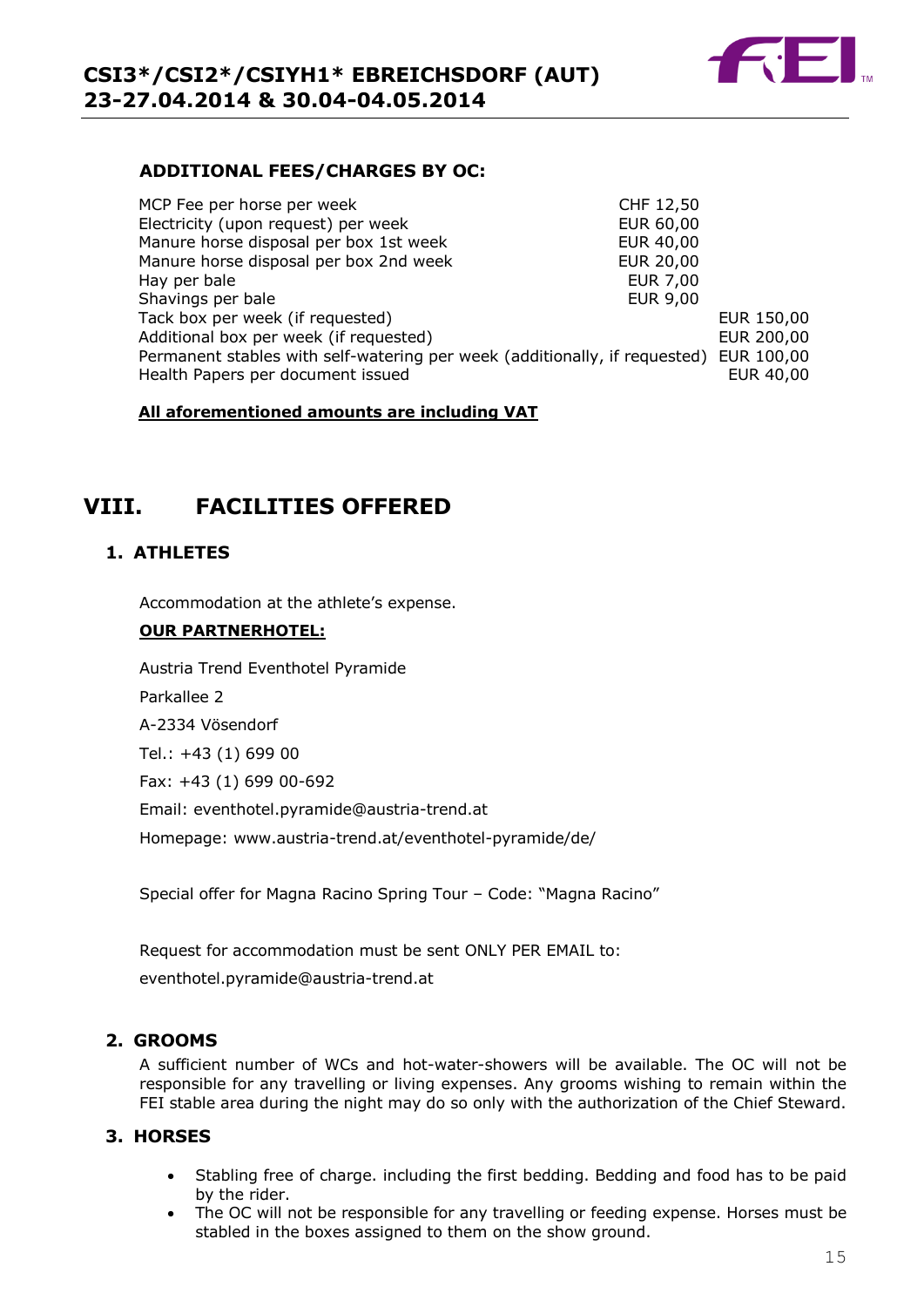

#### **ADDITIONAL FEES/CHARGES BY OC:**

| MCP Fee per horse per week                                                 | CHF 12,50        |            |
|----------------------------------------------------------------------------|------------------|------------|
| Electricity (upon request) per week                                        | EUR 60,00        |            |
| Manure horse disposal per box 1st week                                     | EUR 40,00        |            |
| Manure horse disposal per box 2nd week                                     | <b>EUR 20,00</b> |            |
| Hay per bale                                                               | <b>EUR 7,00</b>  |            |
| Shavings per bale                                                          | <b>EUR 9,00</b>  |            |
| Tack box per week (if requested)                                           |                  | EUR 150,00 |
| Additional box per week (if requested)                                     |                  | EUR 200,00 |
| Permanent stables with self-watering per week (additionally, if requested) |                  | EUR 100,00 |
| Health Papers per document issued                                          |                  | EUR 40,00  |

#### **All aforementioned amounts are including VAT**

## **VIII. FACILITIES OFFERED**

#### **1. ATHLETES**

Accommodation at the athlete's expense.

#### **OUR PARTNERHOTEL:**

Austria Trend Eventhotel Pyramide Parkallee 2 A-2334 Vösendorf Tel.: +43 (1) 699 00 Fax: +43 (1) 699 00-692 Email: [eventhotel.pyramide@austria-trend.at](mailto:eventhotel.pyramide@austria-trend.at) Homepage: [www.austria-trend.at/eventhotel-pyramide/de/](http://www.austria-trend.at/eventhotel-pyramide/de/)

Special offer for Magna Racino Spring Tour – Code: "Magna Racino"

Request for accommodation must be sent ONLY PER EMAIL to:

[eventhotel.pyramide@austria-trend.at](mailto:eventhotel.pyramide@austria-trend.at)

#### **2. GROOMS**

A sufficient number of WCs and hot-water-showers will be available. The OC will not be responsible for any travelling or living expenses. Any grooms wishing to remain within the FEI stable area during the night may do so only with the authorization of the Chief Steward.

#### **3. HORSES**

- Stabling free of charge. including the first bedding. Bedding and food has to be paid by the rider.
- The OC will not be responsible for any travelling or feeding expense. Horses must be stabled in the boxes assigned to them on the show ground.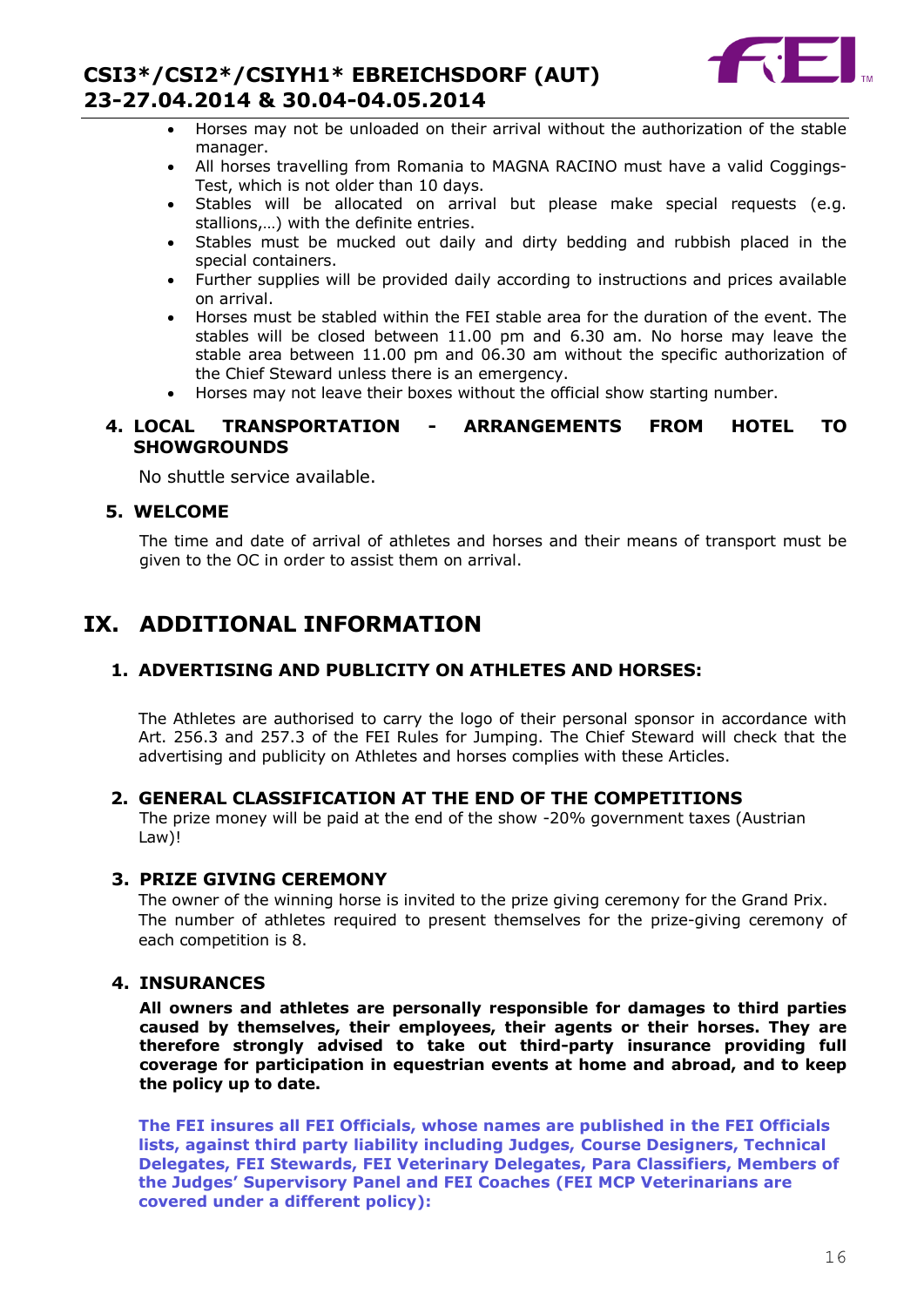

- Horses may not be unloaded on their arrival without the authorization of the stable manager.
- All horses travelling from Romania to MAGNA RACINO must have a valid Coggings-Test, which is not older than 10 days.
- Stables will be allocated on arrival but please make special requests (e.g. stallions,…) with the definite entries.
- Stables must be mucked out daily and dirty bedding and rubbish placed in the special containers.
- Further supplies will be provided daily according to instructions and prices available on arrival.
- Horses must be stabled within the FEI stable area for the duration of the event. The stables will be closed between 11.00 pm and 6.30 am. No horse may leave the stable area between 11.00 pm and 06.30 am without the specific authorization of the Chief Steward unless there is an emergency.
- Horses may not leave their boxes without the official show starting number.

#### **4. LOCAL TRANSPORTATION - ARRANGEMENTS FROM HOTEL TO SHOWGROUNDS**

No shuttle service available.

#### **5. WELCOME**

The time and date of arrival of athletes and horses and their means of transport must be given to the OC in order to assist them on arrival.

## **IX. ADDITIONAL INFORMATION**

#### **1. ADVERTISING AND PUBLICITY ON ATHLETES AND HORSES:**

The Athletes are authorised to carry the logo of their personal sponsor in accordance with Art. 256.3 and 257.3 of the FEI Rules for Jumping. The Chief Steward will check that the advertising and publicity on Athletes and horses complies with these Articles.

#### **2. GENERAL CLASSIFICATION AT THE END OF THE COMPETITIONS**

The prize money will be paid at the end of the show -20% government taxes (Austrian Law)!

#### **3. PRIZE GIVING CEREMONY**

The owner of the winning horse is invited to the prize giving ceremony for the Grand Prix. The number of athletes required to present themselves for the prize-giving ceremony of each competition is 8.

#### **4. INSURANCES**

**All owners and athletes are personally responsible for damages to third parties caused by themselves, their employees, their agents or their horses. They are therefore strongly advised to take out third-party insurance providing full coverage for participation in equestrian events at home and abroad, and to keep the policy up to date.**

**The FEI insures all FEI Officials, whose names are published in the FEI Officials lists, against third party liability including Judges, Course Designers, Technical Delegates, FEI Stewards, FEI Veterinary Delegates, Para Classifiers, Members of the Judges' Supervisory Panel and FEI Coaches (FEI MCP Veterinarians are covered under a different policy):**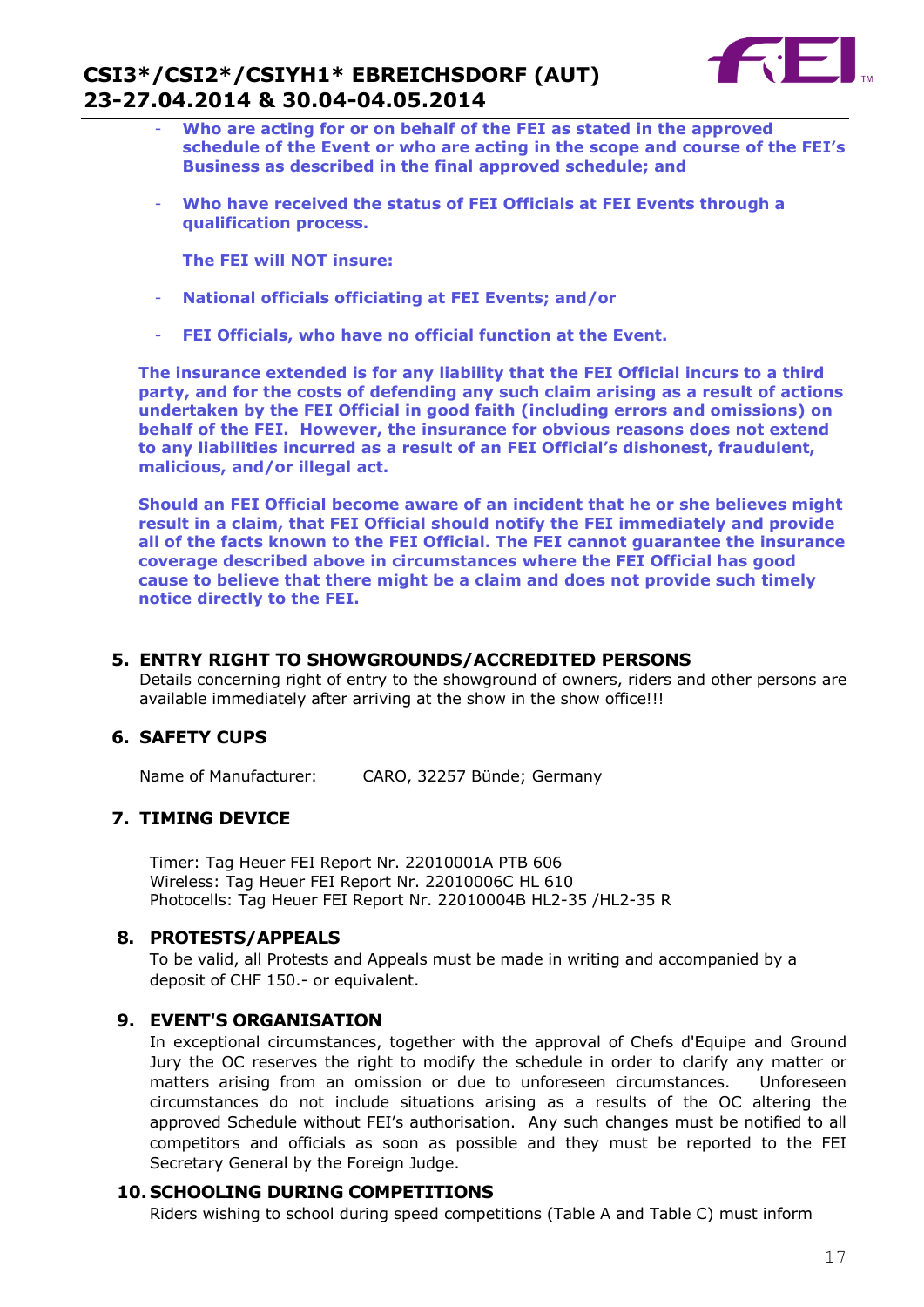

- **Who are acting for or on behalf of the FEI as stated in the approved schedule of the Event or who are acting in the scope and course of the FEI's Business as described in the final approved schedule; and**
- **Who have received the status of FEI Officials at FEI Events through a qualification process.**

**The FEI will NOT insure:**

- **National officials officiating at FEI Events; and/or**
- **FEI Officials, who have no official function at the Event.**

**The insurance extended is for any liability that the FEI Official incurs to a third party, and for the costs of defending any such claim arising as a result of actions undertaken by the FEI Official in good faith (including errors and omissions) on behalf of the FEI. However, the insurance for obvious reasons does not extend to any liabilities incurred as a result of an FEI Official's dishonest, fraudulent, malicious, and/or illegal act.**

**Should an FEI Official become aware of an incident that he or she believes might result in a claim, that FEI Official should notify the FEI immediately and provide all of the facts known to the FEI Official. The FEI cannot guarantee the insurance coverage described above in circumstances where the FEI Official has good cause to believe that there might be a claim and does not provide such timely notice directly to the FEI.**

#### **5. ENTRY RIGHT TO SHOWGROUNDS/ACCREDITED PERSONS**

Details concerning right of entry to the showground of owners, riders and other persons are available immediately after arriving at the show in the show office!!!

#### **6. SAFETY CUPS**

Name of Manufacturer: CARO, 32257 Bünde; Germany

#### **7. TIMING DEVICE**

Timer: Tag Heuer FEI Report Nr. 22010001A PTB 606 Wireless: Tag Heuer FEI Report Nr. 22010006C HL 610 Photocells: Tag Heuer FEI Report Nr. 22010004B HL2-35 /HL2-35 R

#### **8. PROTESTS/APPEALS**

To be valid, all Protests and Appeals must be made in writing and accompanied by a deposit of CHF 150.- or equivalent.

#### **9. EVENT'S ORGANISATION**

In exceptional circumstances, together with the approval of Chefs d'Equipe and Ground Jury the OC reserves the right to modify the schedule in order to clarify any matter or matters arising from an omission or due to unforeseen circumstances. Unforeseen circumstances do not include situations arising as a results of the OC altering the approved Schedule without FEI's authorisation. Any such changes must be notified to all competitors and officials as soon as possible and they must be reported to the FEI Secretary General by the Foreign Judge.

#### **10. SCHOOLING DURING COMPETITIONS**

Riders wishing to school during speed competitions (Table A and Table C) must inform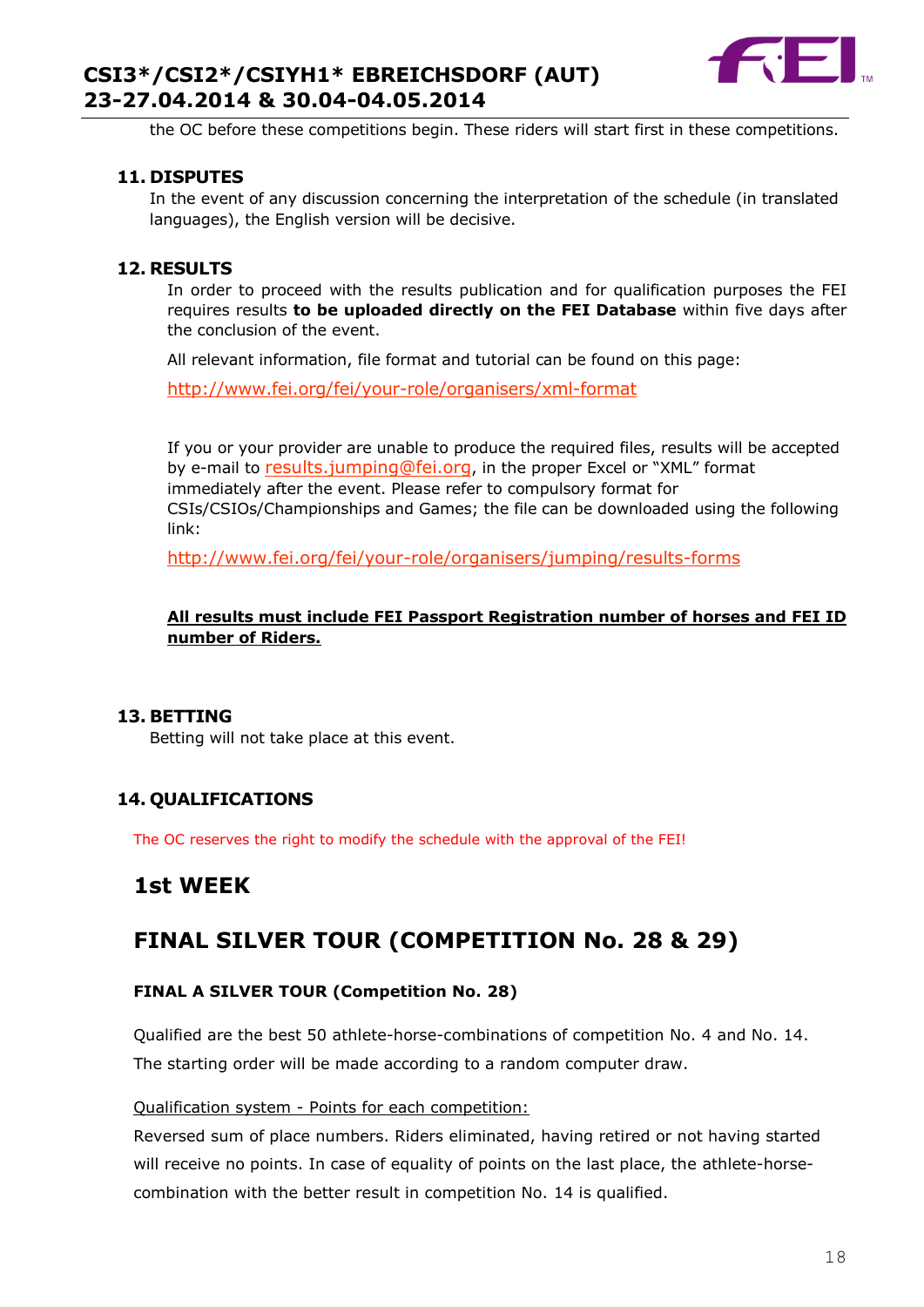

the OC before these competitions begin. These riders will start first in these competitions.

#### **11. DISPUTES**

In the event of any discussion concerning the interpretation of the schedule (in translated languages), the English version will be decisive.

#### **12. RESULTS**

In order to proceed with the results publication and for qualification purposes the FEI requires results **to be uploaded directly on the FEI Database** within five days after the conclusion of the event.

All relevant information, file format and tutorial can be found on this page:

<http://www.fei.org/fei/your-role/organisers/xml-format>

If you or your provider are unable to produce the required files, results will be accepted by e-mail to [results.jumping@fei.org](mailto:results.jumping@fei.org), in the proper Excel or "XML" format immediately after the event. Please refer to compulsory format for CSIs/CSIOs/Championships and Games; the file can be downloaded using the following link:

<http://www.fei.org/fei/your-role/organisers/jumping/results-forms>

#### **All results must include FEI Passport Registration number of horses and FEI ID number of Riders.**

#### **13. BETTING**

Betting will not take place at this event.

#### **14. QUALIFICATIONS**

The OC reserves the right to modify the schedule with the approval of the FEI!

## **1st WEEK**

## **FINAL SILVER TOUR (COMPETITION No. 28 & 29)**

#### **FINAL A SILVER TOUR (Competition No. 28)**

Qualified are the best 50 athlete-horse-combinations of competition No. 4 and No. 14. The starting order will be made according to a random computer draw.

#### Qualification system - Points for each competition:

Reversed sum of place numbers. Riders eliminated, having retired or not having started will receive no points. In case of equality of points on the last place, the athlete-horsecombination with the better result in competition No. 14 is qualified.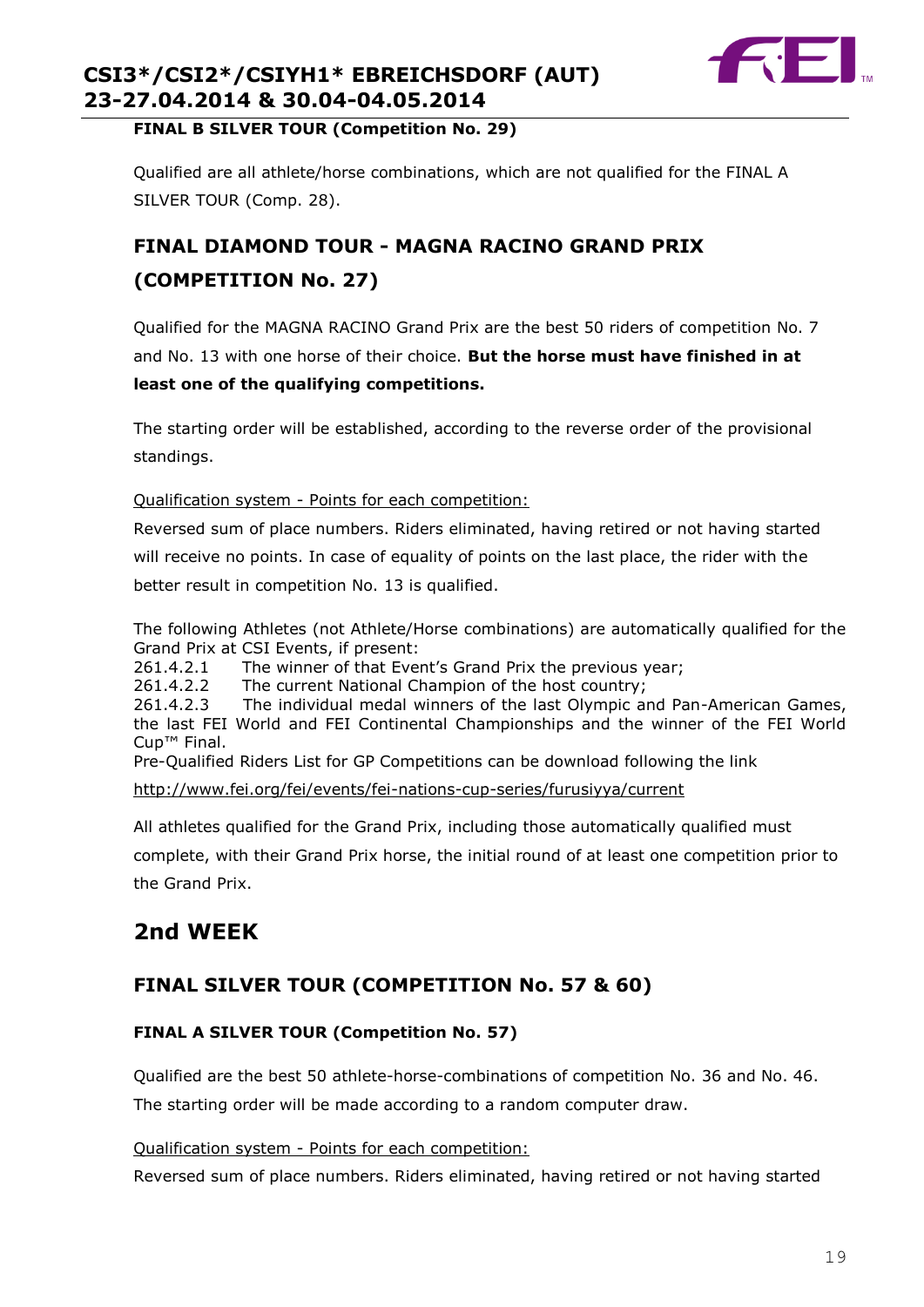

#### **FINAL B SILVER TOUR (Competition No. 29)**

Qualified are all athlete/horse combinations, which are not qualified for the FINAL A SILVER TOUR (Comp. 28).

## **FINAL DIAMOND TOUR - MAGNA RACINO GRAND PRIX (COMPETITION No. 27)**

Qualified for the MAGNA RACINO Grand Prix are the best 50 riders of competition No. 7 and No. 13 with one horse of their choice. **But the horse must have finished in at least one of the qualifying competitions.**

The starting order will be established, according to the reverse order of the provisional standings.

#### Qualification system - Points for each competition:

Reversed sum of place numbers. Riders eliminated, having retired or not having started will receive no points. In case of equality of points on the last place, the rider with the better result in competition No. 13 is qualified.

The following Athletes (not Athlete/Horse combinations) are automatically qualified for the Grand Prix at CSI Events, if present:

261.4.2.1 The winner of that Event's Grand Prix the previous year;

261.4.2.2 The current National Champion of the host country;<br>261.4.2.3 The individual medal winners of the last Olympic an The individual medal winners of the last Olympic and Pan-American Games, the last FEI World and FEI Continental Championships and the winner of the FEI World Cup™ Final.

Pre-Qualified Riders List for GP Competitions can be download following the link

<http://www.fei.org/fei/events/fei-nations-cup-series/furusiyya/current>

All athletes qualified for the Grand Prix, including those automatically qualified must

complete, with their Grand Prix horse, the initial round of at least one competition prior to the Grand Prix.

## **2nd WEEK**

## **FINAL SILVER TOUR (COMPETITION No. 57 & 60)**

#### **FINAL A SILVER TOUR (Competition No. 57)**

Qualified are the best 50 athlete-horse-combinations of competition No. 36 and No. 46. The starting order will be made according to a random computer draw.

#### Qualification system - Points for each competition:

Reversed sum of place numbers. Riders eliminated, having retired or not having started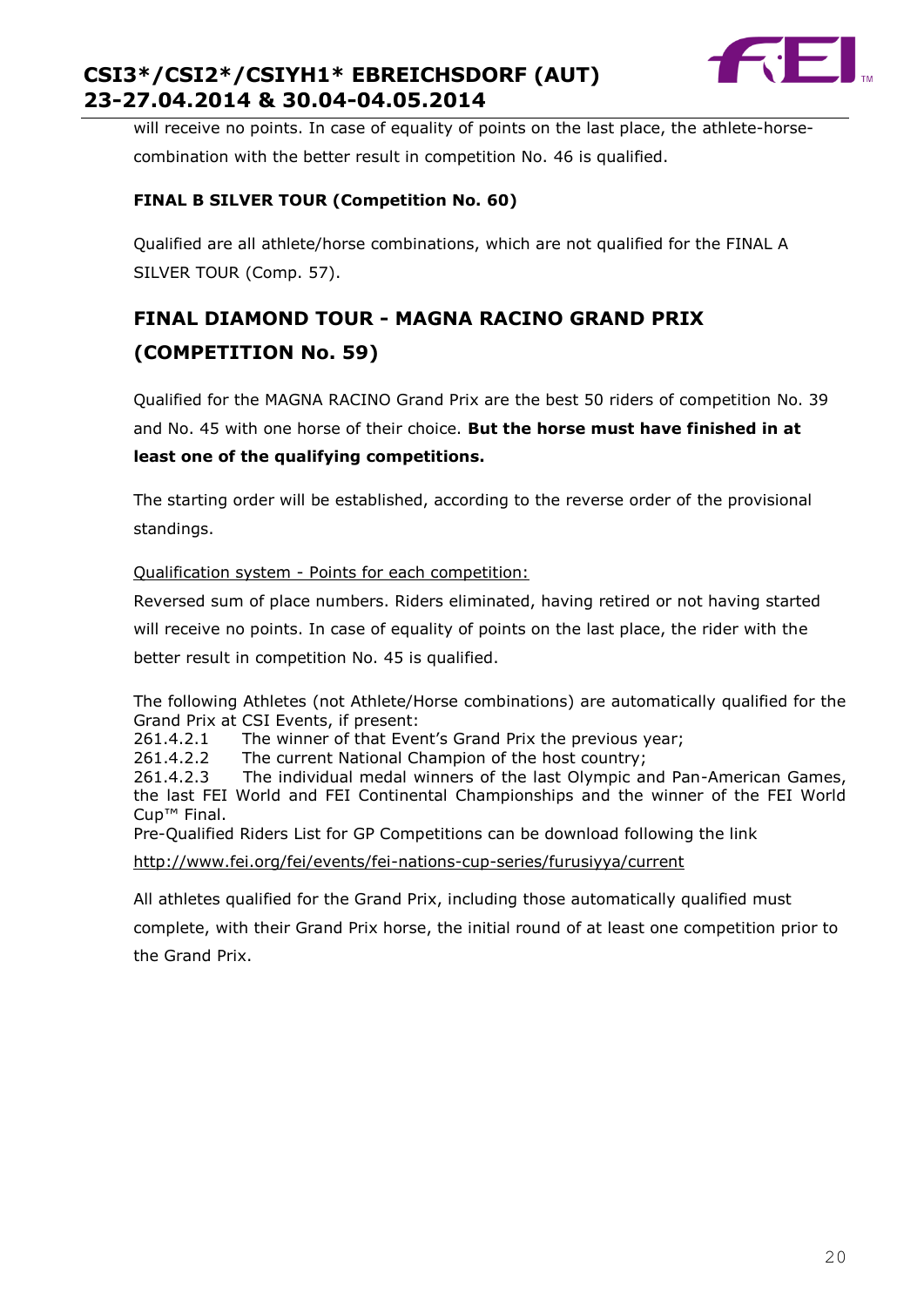

will receive no points. In case of equality of points on the last place, the athlete-horsecombination with the better result in competition No. 46 is qualified.

#### **FINAL B SILVER TOUR (Competition No. 60)**

Qualified are all athlete/horse combinations, which are not qualified for the FINAL A SILVER TOUR (Comp. 57).

## **FINAL DIAMOND TOUR - MAGNA RACINO GRAND PRIX (COMPETITION No. 59)**

Qualified for the MAGNA RACINO Grand Prix are the best 50 riders of competition No. 39 and No. 45 with one horse of their choice. **But the horse must have finished in at least one of the qualifying competitions.**

The starting order will be established, according to the reverse order of the provisional standings.

#### Qualification system - Points for each competition:

Reversed sum of place numbers. Riders eliminated, having retired or not having started will receive no points. In case of equality of points on the last place, the rider with the better result in competition No. 45 is qualified.

The following Athletes (not Athlete/Horse combinations) are automatically qualified for the Grand Prix at CSI Events, if present:

261.4.2.1 The winner of that Event's Grand Prix the previous year;

261.4.2.2 The current National Champion of the host country;

261.4.2.3 The individual medal winners of the last Olympic and Pan-American Games, the last FEI World and FEI Continental Championships and the winner of the FEI World Cup™ Final.

Pre-Qualified Riders List for GP Competitions can be download following the link

<http://www.fei.org/fei/events/fei-nations-cup-series/furusiyya/current>

All athletes qualified for the Grand Prix, including those automatically qualified must

complete, with their Grand Prix horse, the initial round of at least one competition prior to the Grand Prix.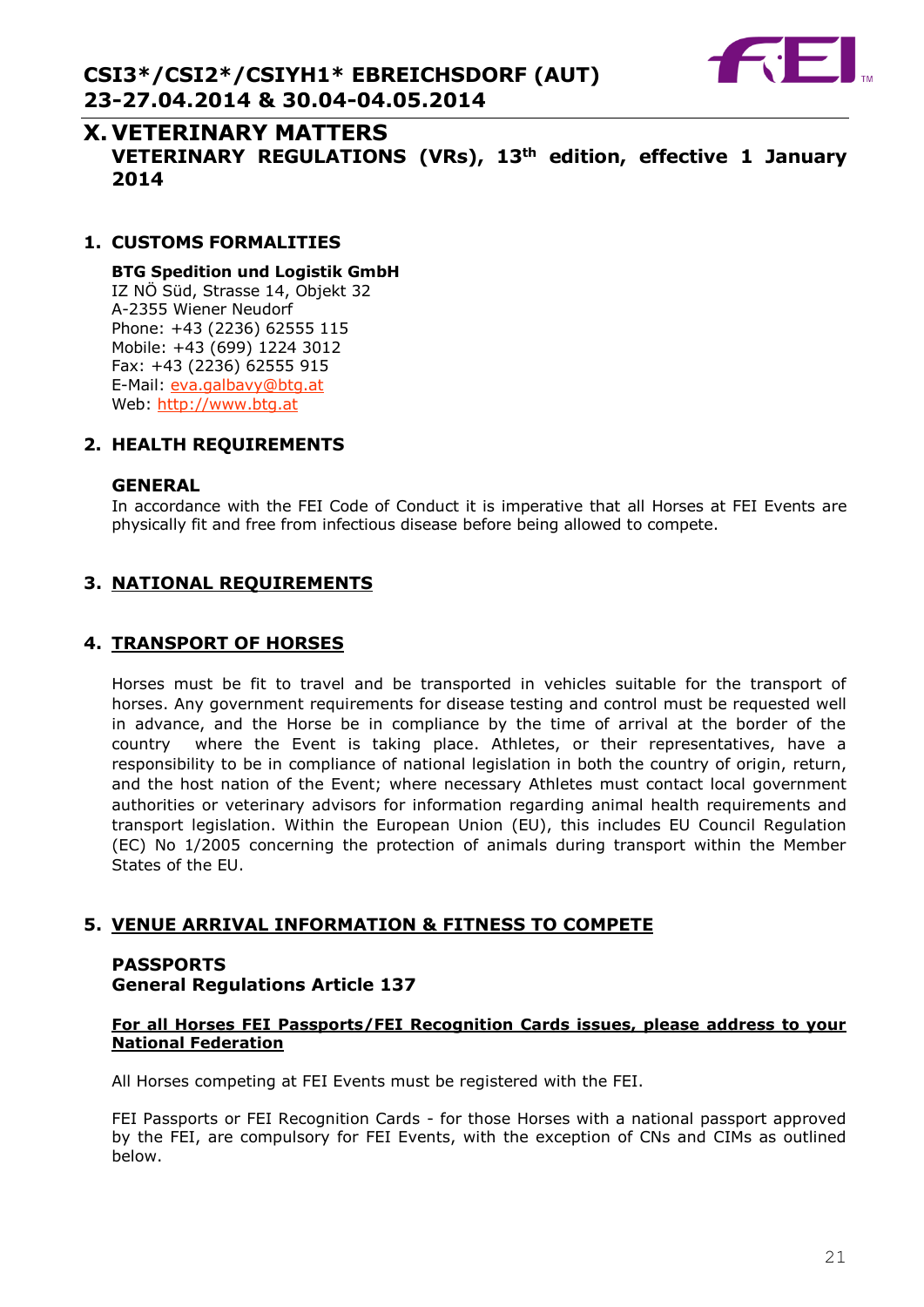

## **X. VETERINARY MATTERS VETERINARY REGULATIONS (VRs), 13th edition, effective 1 January 2014**

#### **1. CUSTOMS FORMALITIES**

**BTG Spedition und Logistik GmbH** IZ NÖ Süd, Strasse 14, Objekt 32 A-2355 Wiener Neudorf Phone: +43 (2236) 62555 115 Mobile: +43 (699) 1224 3012 Fax: +43 (2236) 62555 915 E-Mail: [eva.galbavy@btg.at](mailto:eva.galbavy@btg.at) Web: [http://www.btg.at](http://www.btg.at/)

#### **2. HEALTH REQUIREMENTS**

#### **GENERAL**

In accordance with the FEI Code of Conduct it is imperative that all Horses at FEI Events are physically fit and free from infectious disease before being allowed to compete.

#### **3. NATIONAL REQUIREMENTS**

#### **4. TRANSPORT OF HORSES**

Horses must be fit to travel and be transported in vehicles suitable for the transport of horses. Any government requirements for disease testing and control must be requested well in advance, and the Horse be in compliance by the time of arrival at the border of the country where the Event is taking place. Athletes, or their representatives, have a responsibility to be in compliance of national legislation in both the country of origin, return, and the host nation of the Event; where necessary Athletes must contact local government authorities or veterinary advisors for information regarding animal health requirements and transport legislation. Within the European Union (EU), this includes EU Council Regulation (EC) No 1/2005 concerning the protection of animals during transport within the Member States of the EU.

#### **5. VENUE ARRIVAL INFORMATION & FITNESS TO COMPETE**

#### **PASSPORTS General Regulations Article 137**

#### **For all Horses FEI Passports/FEI Recognition Cards issues, please address to your National Federation**

All Horses competing at FEI Events must be registered with the FEI.

FEI Passports or FEI Recognition Cards - for those Horses with a national passport approved by the FEI, are compulsory for FEI Events, with the exception of CNs and CIMs as outlined below.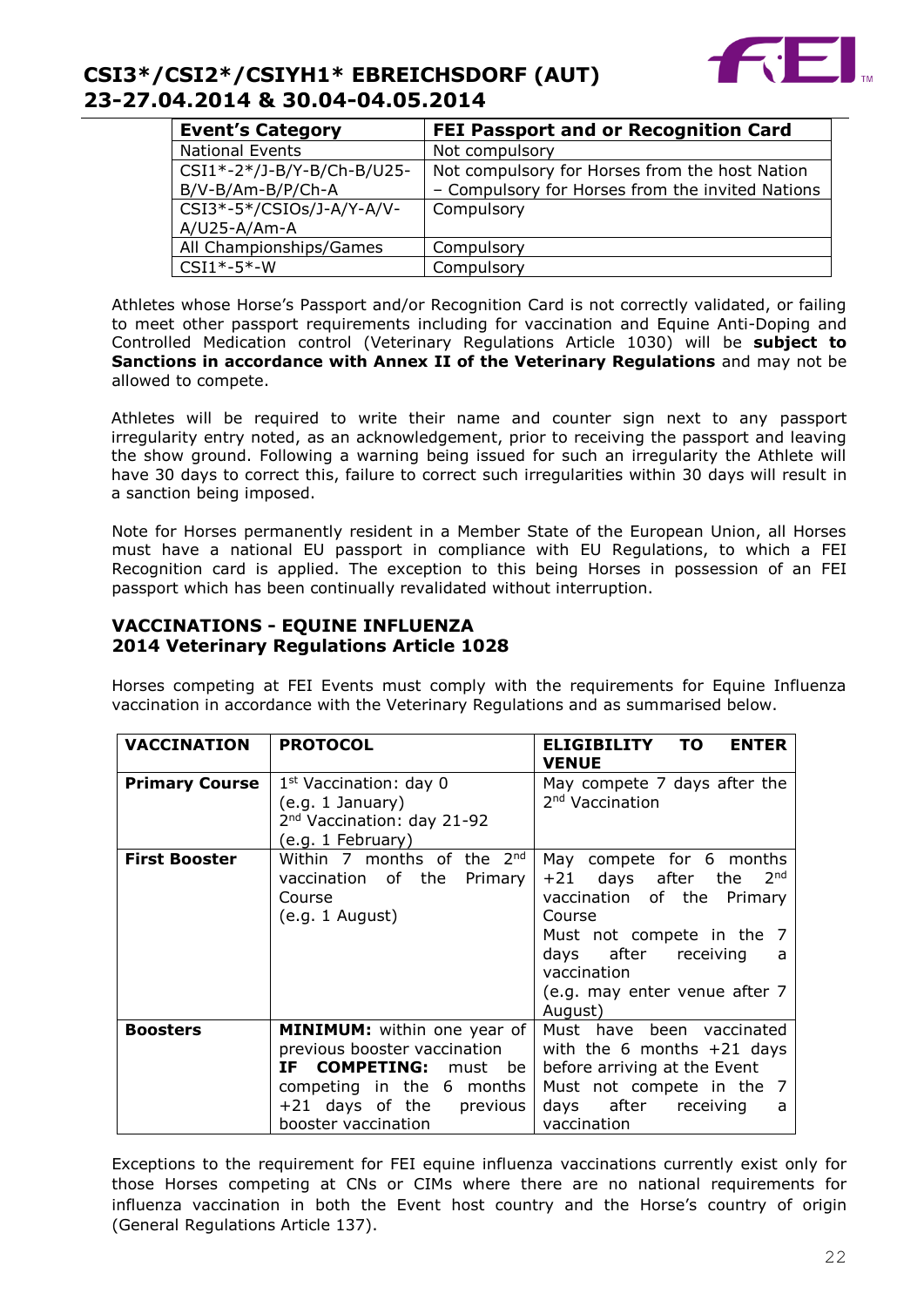

| <b>Event's Category</b>                         | <b>FEI Passport and or Recognition Card</b>                                                        |
|-------------------------------------------------|----------------------------------------------------------------------------------------------------|
| <b>National Events</b>                          | Not compulsory                                                                                     |
| CSI1*-2*/J-B/Y-B/Ch-B/U25-<br>B/V-B/Am-B/P/Ch-A | Not compulsory for Horses from the host Nation<br>- Compulsory for Horses from the invited Nations |
| CSI3*-5*/CSIOs/J-A/Y-A/V-<br>$A/U25-A/Am-A$     | Compulsory                                                                                         |
| All Championships/Games                         | Compulsory                                                                                         |
| $CSI1*-5*-W$                                    | Compulsory                                                                                         |

Athletes whose Horse's Passport and/or Recognition Card is not correctly validated, or failing to meet other passport requirements including for vaccination and Equine Anti-Doping and Controlled Medication control (Veterinary Regulations Article 1030) will be **subject to Sanctions in accordance with Annex II of the Veterinary Regulations** and may not be allowed to compete.

Athletes will be required to write their name and counter sign next to any passport irregularity entry noted, as an acknowledgement, prior to receiving the passport and leaving the show ground. Following a warning being issued for such an irregularity the Athlete will have 30 days to correct this, failure to correct such irregularities within 30 days will result in a sanction being imposed.

Note for Horses permanently resident in a Member State of the European Union, all Horses must have a national EU passport in compliance with EU Regulations, to which a FEI Recognition card is applied. The exception to this being Horses in possession of an FEI passport which has been continually revalidated without interruption.

#### **VACCINATIONS - EQUINE INFLUENZA 2014 Veterinary Regulations Article 1028**

Horses competing at FEI Events must comply with the requirements for Equine Influenza vaccination in accordance with the Veterinary Regulations and as summarised below.

| <b>VACCINATION</b>    | <b>PROTOCOL</b>                                                                                                                                                                                                                                                                                                   | ELIGIBILITY TO<br><b>ENTER</b><br><b>VENUE</b>                                                                                                                     |
|-----------------------|-------------------------------------------------------------------------------------------------------------------------------------------------------------------------------------------------------------------------------------------------------------------------------------------------------------------|--------------------------------------------------------------------------------------------------------------------------------------------------------------------|
| <b>Primary Course</b> | $1st$ Vaccination: day 0<br>(e.g. 1 January)<br>2 <sup>nd</sup> Vaccination: day 21-92<br>(e.g. 1 February)                                                                                                                                                                                                       | May compete 7 days after the<br>2 <sup>nd</sup> Vaccination                                                                                                        |
| <b>First Booster</b>  | Within 7 months of the 2nd<br>May compete for 6 months<br>vaccination of the Primary<br>$+21$ days after the 2 <sup>nd</sup><br>vaccination of the Primary<br>Course<br>(e.g. 1 August)<br>Course<br>Must not compete in the 7<br>days after receiving<br>vaccination<br>(e.g. may enter venue after 7<br>August) |                                                                                                                                                                    |
| <b>Boosters</b>       | <b>MINIMUM:</b> within one year of<br>previous booster vaccination<br>IF COMPETING: must be<br>competing in the 6 months<br>+21 days of the previous<br>booster vaccination                                                                                                                                       | Must have been vaccinated<br>with the 6 months $+21$ days<br>before arriving at the Event<br>Must not compete in the 7<br>days after receiving<br>a<br>vaccination |

Exceptions to the requirement for FEI equine influenza vaccinations currently exist only for those Horses competing at CNs or CIMs where there are no national requirements for influenza vaccination in both the Event host country and the Horse's country of origin (General Regulations Article 137).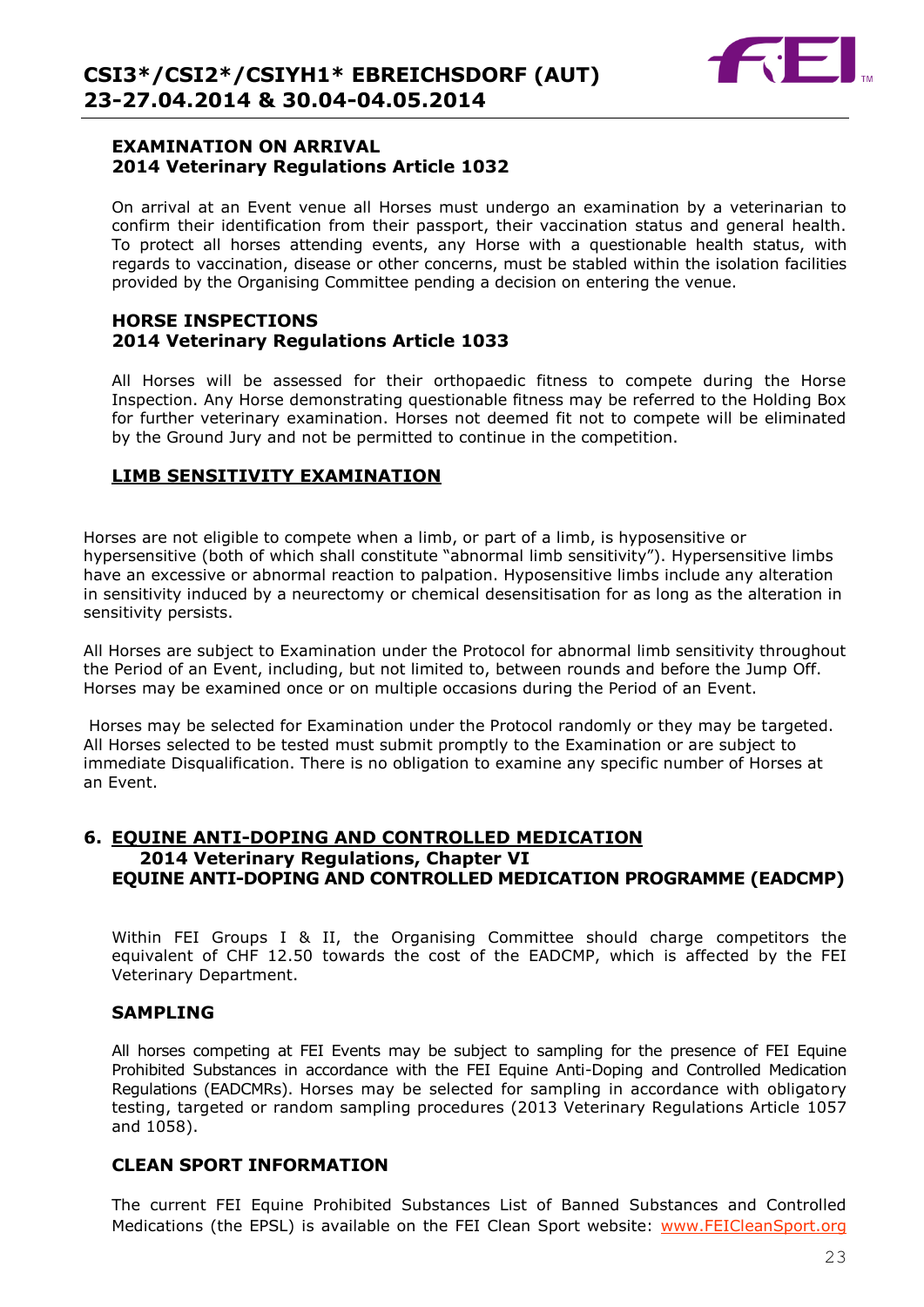

#### **EXAMINATION ON ARRIVAL 2014 Veterinary Regulations Article 1032**

On arrival at an Event venue all Horses must undergo an examination by a veterinarian to confirm their identification from their passport, their vaccination status and general health. To protect all horses attending events, any Horse with a questionable health status, with regards to vaccination, disease or other concerns, must be stabled within the isolation facilities provided by the Organising Committee pending a decision on entering the venue.

#### **HORSE INSPECTIONS 2014 Veterinary Regulations Article 1033**

All Horses will be assessed for their orthopaedic fitness to compete during the Horse Inspection. Any Horse demonstrating questionable fitness may be referred to the Holding Box for further veterinary examination. Horses not deemed fit not to compete will be eliminated by the Ground Jury and not be permitted to continue in the competition.

#### **LIMB SENSITIVITY EXAMINATION**

Horses are not eligible to compete when a limb, or part of a limb, is hyposensitive or hypersensitive (both of which shall constitute "abnormal limb sensitivity"). Hypersensitive limbs have an excessive or abnormal reaction to palpation. Hyposensitive limbs include any alteration in sensitivity induced by a neurectomy or chemical desensitisation for as long as the alteration in sensitivity persists.

All Horses are subject to Examination under the Protocol for abnormal limb sensitivity throughout the Period of an Event, including, but not limited to, between rounds and before the Jump Off. Horses may be examined once or on multiple occasions during the Period of an Event.

Horses may be selected for Examination under the Protocol randomly or they may be targeted. All Horses selected to be tested must submit promptly to the Examination or are subject to immediate Disqualification. There is no obligation to examine any specific number of Horses at an Event.

#### **6. EQUINE ANTI-DOPING AND CONTROLLED MEDICATION 2014 Veterinary Regulations, Chapter VI EQUINE ANTI-DOPING AND CONTROLLED MEDICATION PROGRAMME (EADCMP)**

Within FEI Groups I & II, the Organising Committee should charge competitors the equivalent of CHF 12.50 towards the cost of the EADCMP, which is affected by the FEI Veterinary Department.

#### **SAMPLING**

All horses competing at FEI Events may be subject to sampling for the presence of FEI Equine Prohibited Substances in accordance with the FEI Equine Anti-Doping and Controlled Medication Regulations (EADCMRs). Horses may be selected for sampling in accordance with obligatory testing, targeted or random sampling procedures (2013 Veterinary Regulations Article 1057 and 1058).

#### **CLEAN SPORT INFORMATION**

The current FEI Equine Prohibited Substances List of Banned Substances and Controlled Medications (the EPSL) is available on the FEI Clean Sport website: [www.FEICleanSport.org](http://www.feicleansport.org/)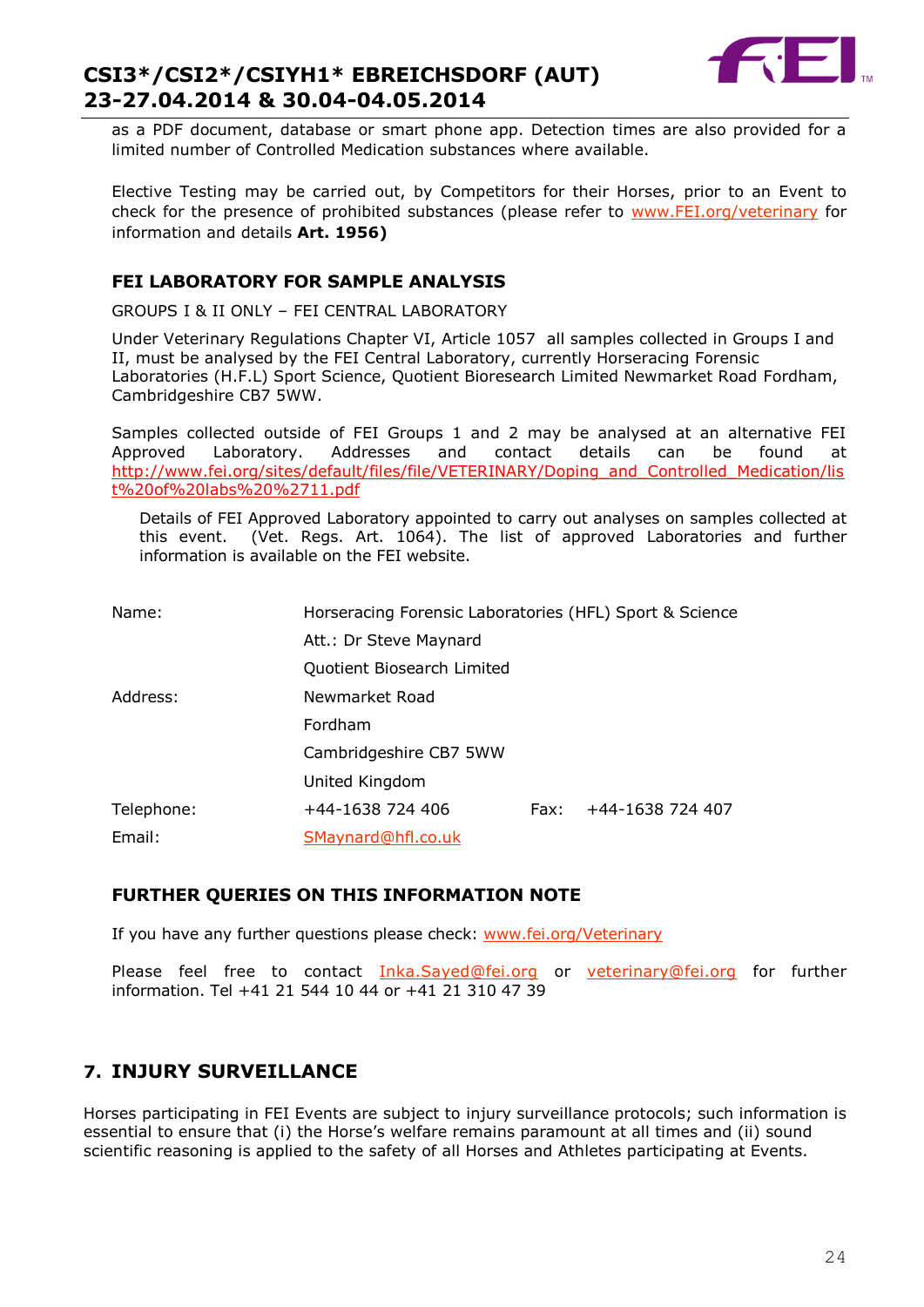

as a PDF document, database or smart phone app. Detection times are also provided for a limited number of Controlled Medication substances where available.

Elective Testing may be carried out, by Competitors for their Horses, prior to an Event to check for the presence of prohibited substances (please refer to [www.FEI.org/veterinary](http://www.fei.org/veterinary) for information and details **Art. 1956)**

#### **FEI LABORATORY FOR SAMPLE ANALYSIS**

GROUPS I & II ONLY – FEI CENTRAL LABORATORY

Under Veterinary Regulations Chapter VI, Article 1057 all samples collected in Groups I and II, must be analysed by the FEI Central Laboratory, currently Horseracing Forensic Laboratories (H.F.L) Sport Science, Quotient Bioresearch Limited Newmarket Road Fordham, Cambridgeshire CB7 5WW.

Samples collected outside of FEI Groups 1 and 2 may be analysed at an alternative FEI Approved Laboratory. Addresses and contact details can be found at [http://www.fei.org/sites/default/files/file/VETERINARY/Doping\\_and\\_Controlled\\_Medication/lis](http://www.fei.org/sites/default/files/file/VETERINARY/Doping_and_Controlled_Medication/list%20of%20labs%20%2711.pdf) [t%20of%20labs%20%2711.pdf](http://www.fei.org/sites/default/files/file/VETERINARY/Doping_and_Controlled_Medication/list%20of%20labs%20%2711.pdf)

Details of FEI Approved Laboratory appointed to carry out analyses on samples collected at this event. (Vet. Regs. Art. 1064). The list of approved Laboratories and further information is available on the FEI website.

| Name:      | Horseracing Forensic Laboratories (HFL) Sport & Science |      |                  |
|------------|---------------------------------------------------------|------|------------------|
|            | Att.: Dr Steve Maynard                                  |      |                  |
|            | Quotient Biosearch Limited                              |      |                  |
| Address:   | Newmarket Road                                          |      |                  |
|            | Fordham                                                 |      |                  |
|            | Cambridgeshire CB7 5WW                                  |      |                  |
|            | United Kingdom                                          |      |                  |
| Telephone: | +44-1638 724 406                                        | Fax: | +44-1638 724 407 |
| Email:     | SMaynard@hfl.co.uk                                      |      |                  |

#### **FURTHER QUERIES ON THIS INFORMATION NOTE**

If you have any further questions please check: [www.fei.org/Veterinary](file:///C:/Users/mzo/AppData/Local/Microsoft/VEU/AppData/Local/Microsoft/Windows/Temporary%20Internet%20Files/Content.Outlook/1W63BF58/www.fei.org/Veterinary)

Please feel free to contact [Inka.Sayed@fei.org](mailto:Inka.Sayed@fei.org) or veterinary@fei.org for further information. Tel +41 21 544 10 44 or +41 21 310 47 39

## **7. INJURY SURVEILLANCE**

Horses participating in FEI Events are subject to injury surveillance protocols; such information is essential to ensure that (i) the Horse's welfare remains paramount at all times and (ii) sound scientific reasoning is applied to the safety of all Horses and Athletes participating at Events.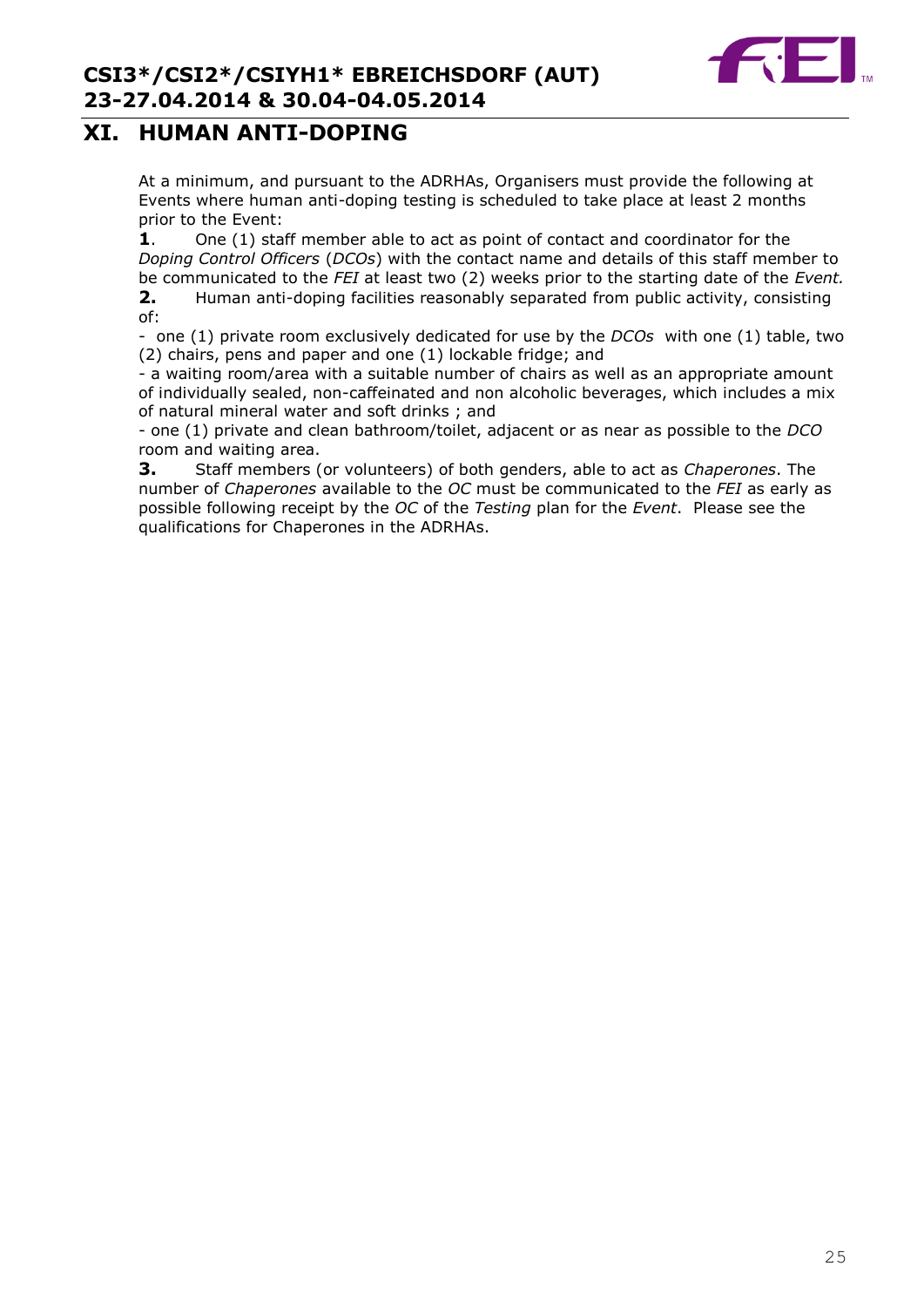## **XI. HUMAN ANTI-DOPING**

At a minimum, and pursuant to the ADRHAs, Organisers must provide the following at Events where human anti-doping testing is scheduled to take place at least 2 months prior to the Event:

**1**. One (1) staff member able to act as point of contact and coordinator for the *Doping Control Officers* (*DCOs*) with the contact name and details of this staff member to be communicated to the *FEI* at least two (2) weeks prior to the starting date of the *Event.*

**2.** Human anti-doping facilities reasonably separated from public activity, consisting of:

- one (1) private room exclusively dedicated for use by the *DCOs* with one (1) table, two (2) chairs, pens and paper and one (1) lockable fridge; and

- a waiting room/area with a suitable number of chairs as well as an appropriate amount of individually sealed, non-caffeinated and non alcoholic beverages, which includes a mix of natural mineral water and soft drinks ; and

- one (1) private and clean bathroom/toilet, adjacent or as near as possible to the *DCO* room and waiting area.

**3.** Staff members (or volunteers) of both genders, able to act as *Chaperones*. The number of *Chaperones* available to the *OC* must be communicated to the *FEI* as early as possible following receipt by the *OC* of the *Testing* plan for the *Event*. Please see the qualifications for Chaperones in the ADRHAs.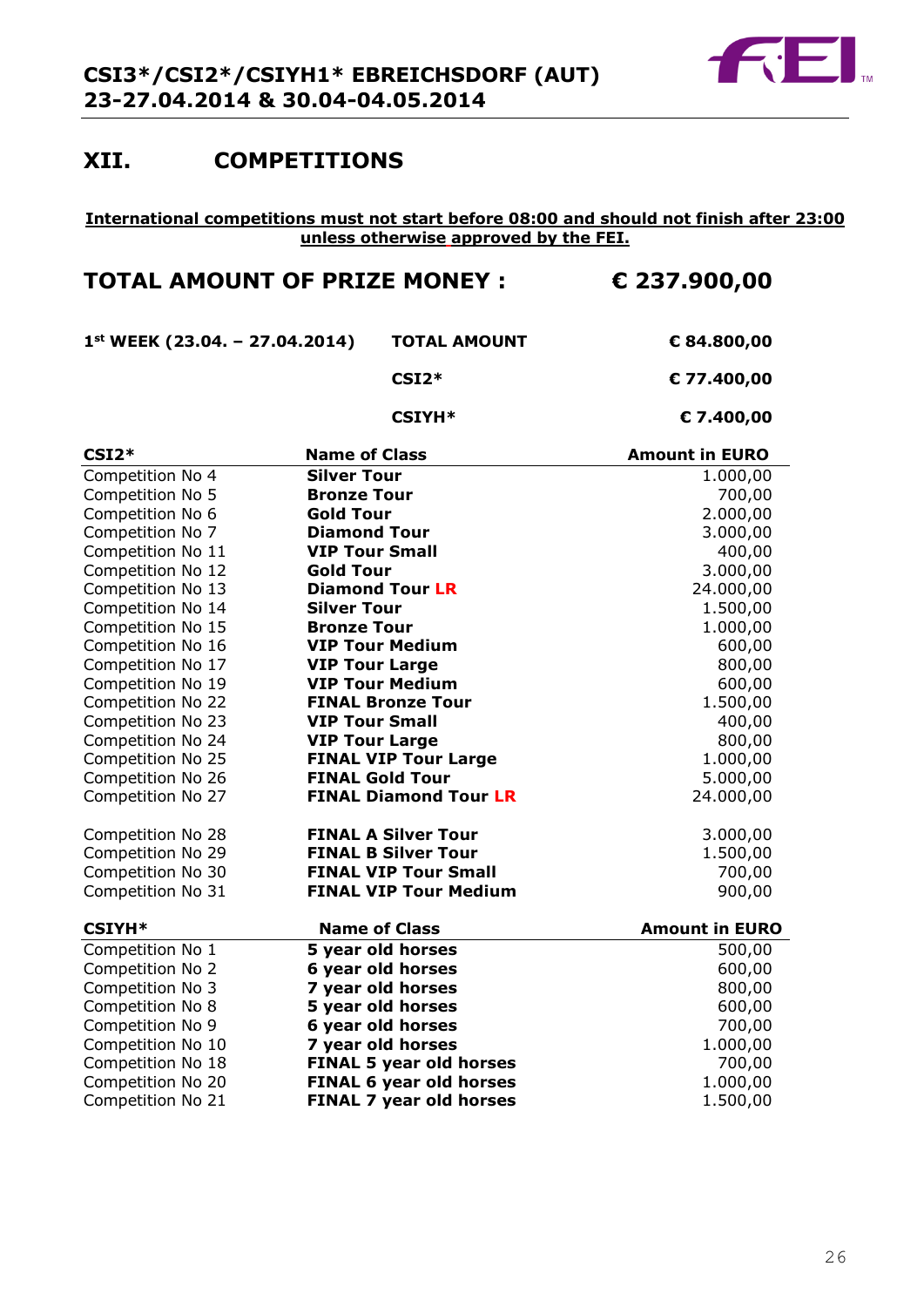

## **XII. COMPETITIONS**

#### **International competitions must not start before 08:00 and should not finish after 23:00 unless otherwise approved by the FEI.**

## **TOTAL AMOUNT OF PRIZE MONEY : € 237.900,00**

**1st WEEK (23.04. – 27.04.2014) TOTAL AMOUNT € 84.800,00**

**CSI2\* € 77.400,00**

#### **CSIYH\* € 7.400,00**

| $CSI2*$           | <b>Name of Class</b>           | <b>Amount in EURO</b> |
|-------------------|--------------------------------|-----------------------|
| Competition No 4  | <b>Silver Tour</b>             | 1.000,00              |
| Competition No 5  | <b>Bronze Tour</b>             | 700,00                |
| Competition No 6  | <b>Gold Tour</b>               | 2.000,00              |
| Competition No 7  | <b>Diamond Tour</b>            | 3.000,00              |
| Competition No 11 | <b>VIP Tour Small</b>          | 400,00                |
| Competition No 12 | <b>Gold Tour</b>               | 3.000,00              |
| Competition No 13 | <b>Diamond Tour LR</b>         | 24.000,00             |
| Competition No 14 | <b>Silver Tour</b>             | 1.500,00              |
| Competition No 15 | <b>Bronze Tour</b>             | 1.000,00              |
| Competition No 16 | <b>VIP Tour Medium</b>         | 600,00                |
| Competition No 17 | <b>VIP Tour Large</b>          | 800,00                |
| Competition No 19 | <b>VIP Tour Medium</b>         | 600,00                |
| Competition No 22 | <b>FINAL Bronze Tour</b>       | 1.500,00              |
| Competition No 23 | <b>VIP Tour Small</b>          | 400,00                |
| Competition No 24 | <b>VIP Tour Large</b>          | 800,00                |
| Competition No 25 | <b>FINAL VIP Tour Large</b>    | 1.000,00              |
| Competition No 26 | <b>FINAL Gold Tour</b>         | 5.000,00              |
| Competition No 27 | <b>FINAL Diamond Tour LR</b>   | 24.000,00             |
| Competition No 28 | <b>FINAL A Silver Tour</b>     | 3.000,00              |
| Competition No 29 | <b>FINAL B Silver Tour</b>     | 1.500,00              |
| Competition No 30 | <b>FINAL VIP Tour Small</b>    | 700,00                |
| Competition No 31 | <b>FINAL VIP Tour Medium</b>   | 900,00                |
| <b>CSIYH*</b>     | <b>Name of Class</b>           | <b>Amount in EURO</b> |
| Competition No 1  | 5 year old horses              | 500,00                |
| Competition No 2  | 6 year old horses              | 600,00                |
| Competition No 3  | 7 year old horses              | 800,00                |
| Competition No 8  | 5 year old horses              | 600,00                |
| Competition No 9  | 6 year old horses              | 700,00                |
| Competition No 10 | 7 year old horses              | 1.000,00              |
| Competition No 18 | <b>FINAL 5 year old horses</b> | 700,00                |
| Competition No 20 | <b>FINAL 6 year old horses</b> | 1.000,00              |
| Competition No 21 | <b>FINAL 7 year old horses</b> | 1.500,00              |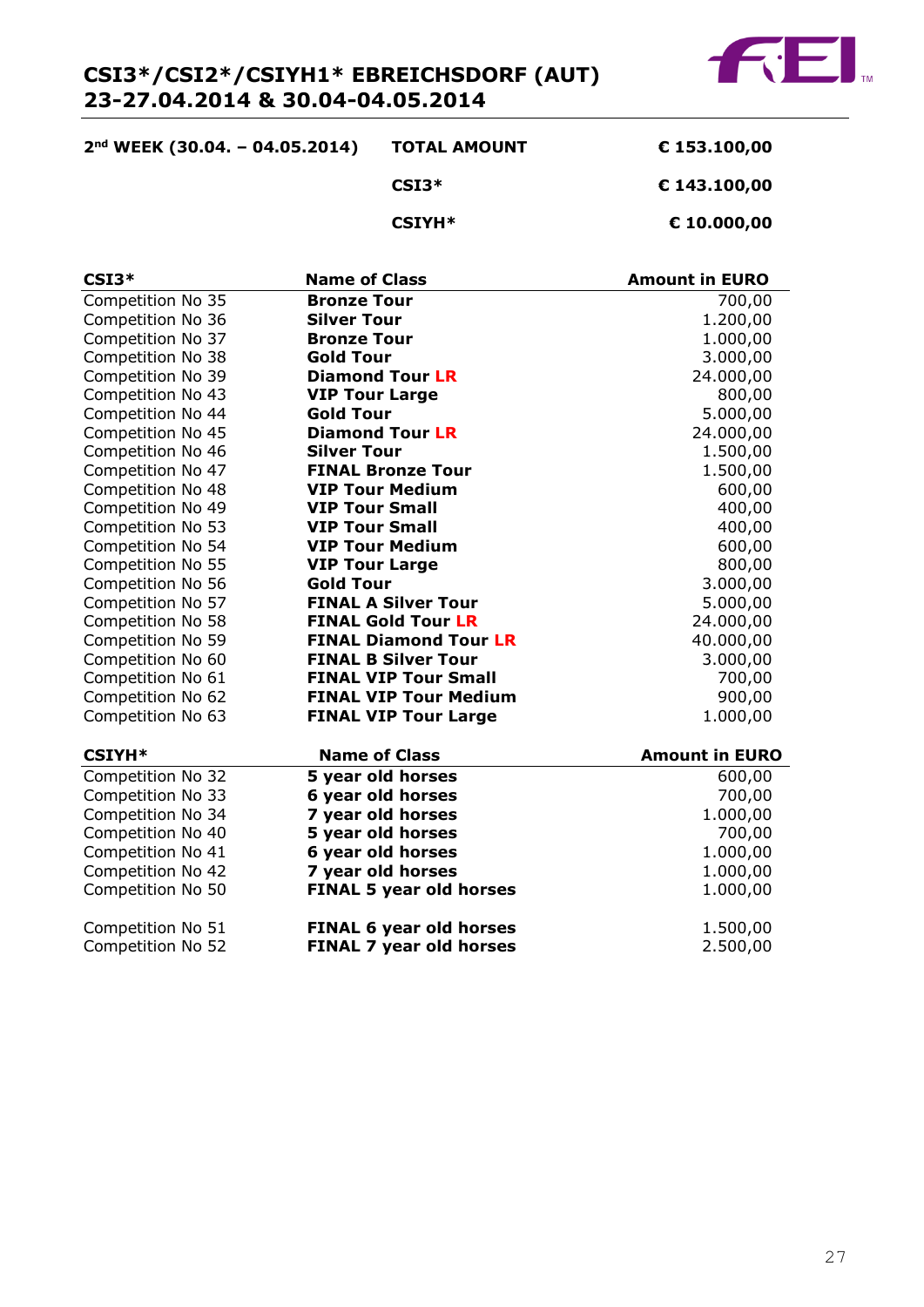

| $2nd$ WEEK (30.04. - 04.05.2014) | <b>TOTAL AMOUNT</b> | € 153.100,00 |
|----------------------------------|---------------------|--------------|
|                                  | $CSI3*$             | € 143.100,00 |
|                                  | $CSIYH*$            | € 10.000,00  |

| $CSI3*$           | <b>Name of Class</b>           | <b>Amount in EURO</b> |
|-------------------|--------------------------------|-----------------------|
| Competition No 35 | <b>Bronze Tour</b>             | 700,00                |
| Competition No 36 | <b>Silver Tour</b>             | 1.200,00              |
| Competition No 37 | <b>Bronze Tour</b>             | 1.000,00              |
| Competition No 38 | <b>Gold Tour</b>               | 3.000,00              |
| Competition No 39 | <b>Diamond Tour LR</b>         | 24.000,00             |
| Competition No 43 | <b>VIP Tour Large</b>          | 800,00                |
| Competition No 44 | <b>Gold Tour</b>               | 5.000,00              |
| Competition No 45 | <b>Diamond Tour LR</b>         | 24.000,00             |
| Competition No 46 | <b>Silver Tour</b>             | 1.500,00              |
| Competition No 47 | <b>FINAL Bronze Tour</b>       | 1.500,00              |
| Competition No 48 | <b>VIP Tour Medium</b>         | 600,00                |
| Competition No 49 | <b>VIP Tour Small</b>          | 400,00                |
| Competition No 53 | <b>VIP Tour Small</b>          | 400,00                |
| Competition No 54 | <b>VIP Tour Medium</b>         | 600,00                |
| Competition No 55 | <b>VIP Tour Large</b>          | 800,00                |
| Competition No 56 | <b>Gold Tour</b>               | 3.000,00              |
| Competition No 57 | <b>FINAL A Silver Tour</b>     | 5.000,00              |
| Competition No 58 | <b>FINAL Gold Tour LR</b>      | 24.000,00             |
| Competition No 59 | <b>FINAL Diamond Tour LR</b>   | 40.000,00             |
| Competition No 60 | <b>FINAL B Silver Tour</b>     | 3.000,00              |
| Competition No 61 | <b>FINAL VIP Tour Small</b>    | 700,00                |
| Competition No 62 | <b>FINAL VIP Tour Medium</b>   | 900,00                |
| Competition No 63 | <b>FINAL VIP Tour Large</b>    | 1.000,00              |
| <b>CSIYH*</b>     | <b>Name of Class</b>           | <b>Amount in EURO</b> |
| Competition No 32 | 5 year old horses              | 600,00                |
| Competition No 33 | 6 year old horses              | 700,00                |
| Competition No 34 | 7 year old horses              | 1.000,00              |
| Competition No 40 | 5 year old horses              | 700,00                |
| Competition No 41 | 6 year old horses              | 1.000,00              |
| Competition No 42 | 7 year old horses              | 1.000,00              |
| Competition No 50 | <b>FINAL 5 year old horses</b> | 1.000,00              |

| Competition No 51 | <b>FINAL 6 year old horses</b> | 1.500,00 |
|-------------------|--------------------------------|----------|
| Competition No 52 | <b>FINAL 7 year old horses</b> | 2.500,00 |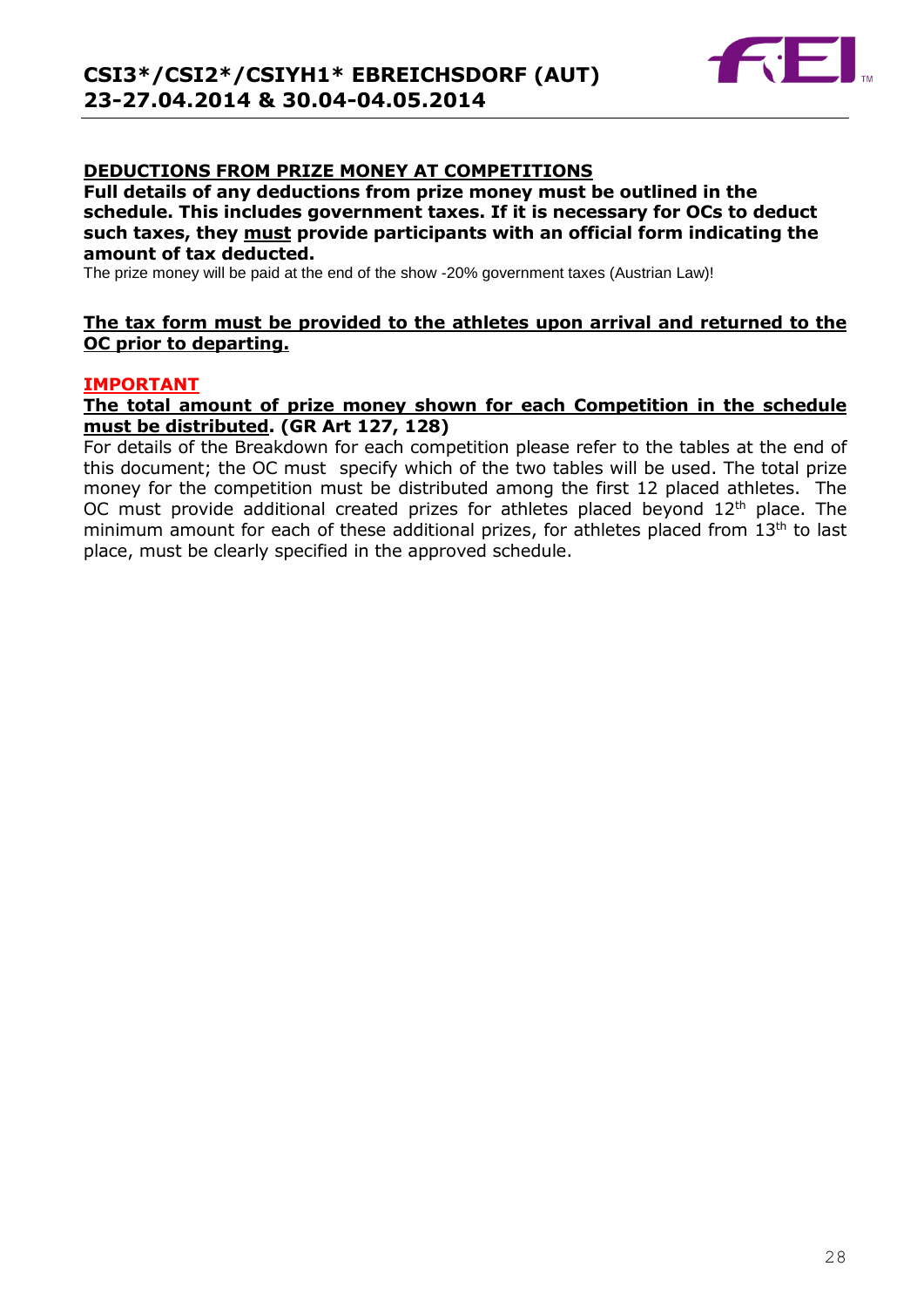

#### **DEDUCTIONS FROM PRIZE MONEY AT COMPETITIONS**

**Full details of any deductions from prize money must be outlined in the schedule. This includes government taxes. If it is necessary for OCs to deduct such taxes, they must provide participants with an official form indicating the amount of tax deducted.** 

The prize money will be paid at the end of the show -20% government taxes (Austrian Law)!

#### **The tax form must be provided to the athletes upon arrival and returned to the OC prior to departing.**

#### **IMPORTANT**

#### **The total amount of prize money shown for each Competition in the schedule must be distributed. (GR Art 127, 128)**

For details of the Breakdown for each competition please refer to the tables at the end of this document; the OC must specify which of the two tables will be used. The total prize money for the competition must be distributed among the first 12 placed athletes. The OC must provide additional created prizes for athletes placed beyond  $12<sup>th</sup>$  place. The minimum amount for each of these additional prizes, for athletes placed from 13<sup>th</sup> to last place, must be clearly specified in the approved schedule.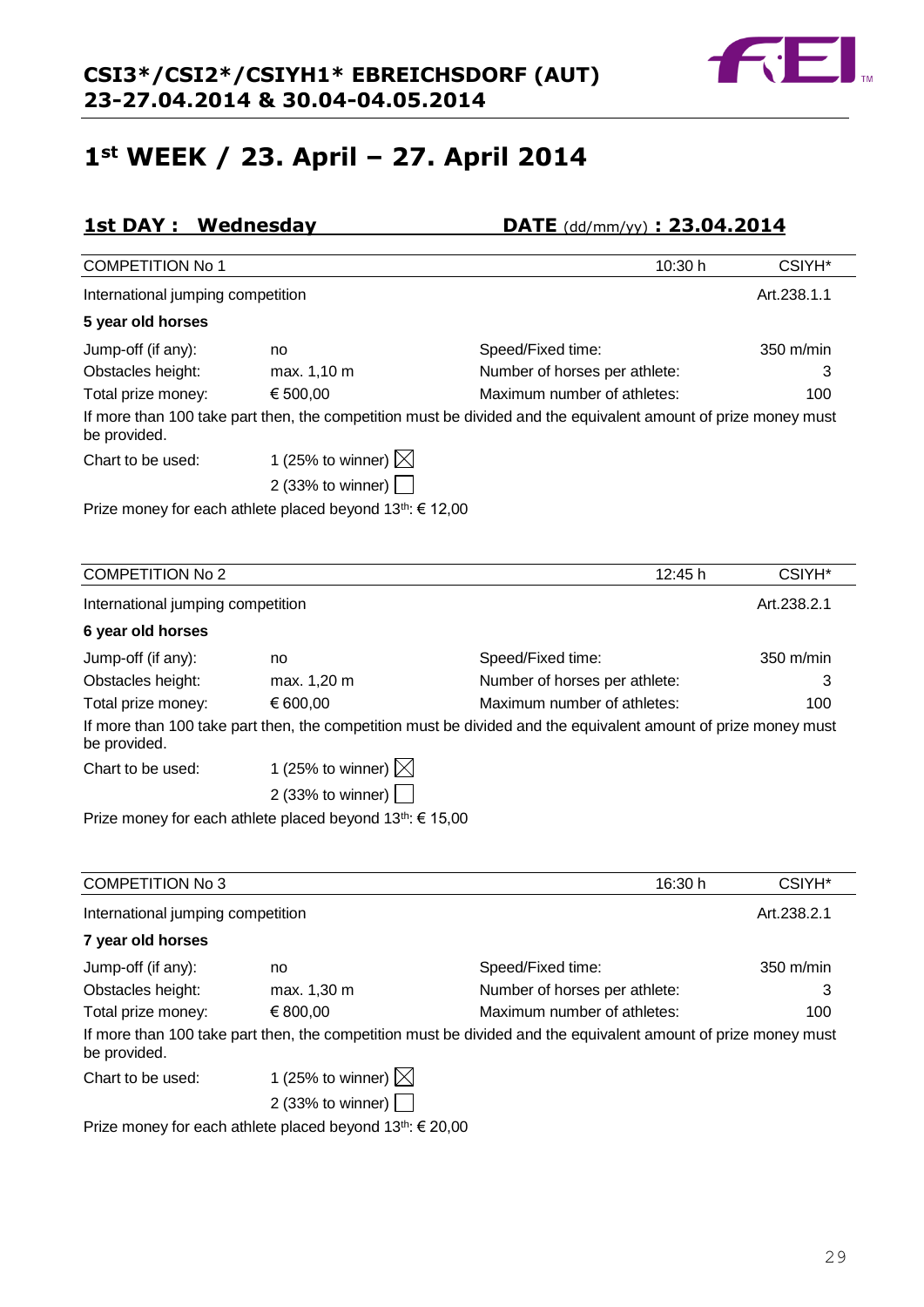## **1st WEEK / 23. April – 27. April 2014**

## **1st DAY : Wednesday DATE** (dd/mm/yy) **: 23.04.2014**

| <b>COMPETITION No 1</b>           |                                                                    | 10:30 h                                                                                                        | CSIYH*      |
|-----------------------------------|--------------------------------------------------------------------|----------------------------------------------------------------------------------------------------------------|-------------|
| International jumping competition |                                                                    |                                                                                                                | Art.238.1.1 |
| 5 year old horses                 |                                                                    |                                                                                                                |             |
| Jump-off (if any):                | no                                                                 | Speed/Fixed time:                                                                                              | 350 m/min   |
| Obstacles height:                 | max. 1,10 m                                                        | Number of horses per athlete:                                                                                  | 3           |
| Total prize money:                | € 500,00                                                           | Maximum number of athletes:                                                                                    | 100         |
| be provided.                      |                                                                    | If more than 100 take part then, the competition must be divided and the equivalent amount of prize money must |             |
| Chart to be used:                 | 1 (25% to winner) $\boxtimes$                                      |                                                                                                                |             |
|                                   | 2 (33% to winner) $ $                                              |                                                                                                                |             |
|                                   | Prize money for each athlete placed beyond $13^{th}$ : $\in$ 12,00 |                                                                                                                |             |
|                                   |                                                                    |                                                                                                                |             |
|                                   |                                                                    |                                                                                                                |             |
| <b>COMPETITION No 2</b>           |                                                                    | 12:45 h                                                                                                        | CSIYH*      |
| International jumping competition |                                                                    |                                                                                                                | Art.238.2.1 |
| 6 year old horses                 |                                                                    |                                                                                                                |             |
| Jump-off (if any):                | no                                                                 | Speed/Fixed time:                                                                                              | 350 m/min   |
| Obstacles height:                 | max. 1,20 m                                                        | Number of horses per athlete:                                                                                  | 3           |
| Total prize money:                | € 600,00                                                           | Maximum number of athletes:                                                                                    | 100         |
| be provided.                      |                                                                    | If more than 100 take part then, the competition must be divided and the equivalent amount of prize money must |             |
| Chart to be used:                 | 1 (25% to winner) $\boxtimes$                                      |                                                                                                                |             |

2 (33% to winner) Prize money for each athlete placed beyond 13<sup>th</sup>: € 15,00

| <b>COMPETITION No 3</b>           |                                                               | 16:30 h                                                                                                        | CSIYH <sup>*</sup>  |
|-----------------------------------|---------------------------------------------------------------|----------------------------------------------------------------------------------------------------------------|---------------------|
| International jumping competition |                                                               |                                                                                                                | Art.238.2.1         |
| 7 year old horses                 |                                                               |                                                                                                                |                     |
| Jump-off (if any):                | no                                                            | Speed/Fixed time:                                                                                              | $350 \text{ m/min}$ |
| Obstacles height:                 | max. 1,30 m                                                   | Number of horses per athlete:                                                                                  | 3                   |
| Total prize money:                | € 800,00                                                      | Maximum number of athletes:                                                                                    | 100                 |
| be provided.                      |                                                               | If more than 100 take part then, the competition must be divided and the equivalent amount of prize money must |                     |
| Chart to be used:                 | 1 (25% to winner) $\boxtimes$                                 |                                                                                                                |                     |
|                                   | 2 (33% to winner) $\vert \ \vert$                             |                                                                                                                |                     |
|                                   | $Dirizo monov for each athata placed bounded 13th \in 20.00.$ |                                                                                                                |                     |

Prize money for each athlete placed beyond  $13^{\text{th}}$ :  $\epsilon$  20,00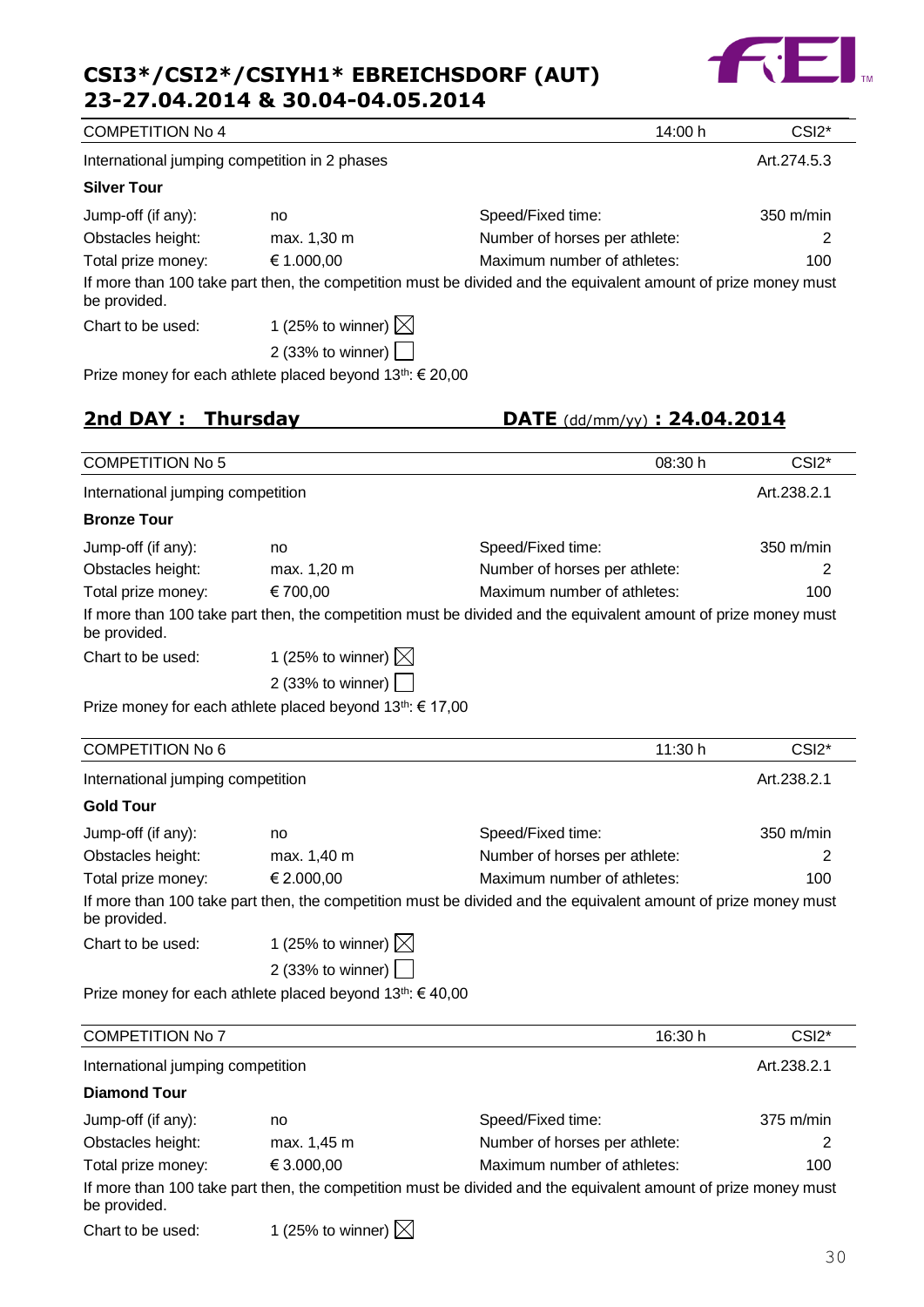

| <b>COMPETITION No 4</b>                       |                                                                       | 14:00 h                                                                                                        | CSI <sub>2</sub> * |
|-----------------------------------------------|-----------------------------------------------------------------------|----------------------------------------------------------------------------------------------------------------|--------------------|
| International jumping competition in 2 phases |                                                                       |                                                                                                                | Art.274.5.3        |
| <b>Silver Tour</b>                            |                                                                       |                                                                                                                |                    |
| Jump-off (if any):                            | no                                                                    | Speed/Fixed time:                                                                                              | 350 m/min          |
| Obstacles height:                             | max. 1,30 m                                                           | Number of horses per athlete:                                                                                  | 2                  |
| Total prize money:                            | € 1.000,00                                                            | Maximum number of athletes:                                                                                    | 100                |
| be provided.                                  |                                                                       | If more than 100 take part then, the competition must be divided and the equivalent amount of prize money must |                    |
| Chart to be used:                             | 1 (25% to winner) $\boxtimes$                                         |                                                                                                                |                    |
|                                               | 2 (33% to winner) $\vert$                                             |                                                                                                                |                    |
|                                               | Prize money for each athlete placed beyond 13 <sup>th</sup> : € 20,00 |                                                                                                                |                    |
| 2nd DAY: Thursday                             |                                                                       | DATE $(dd/\text{mm/yy})$ : 24.04.2014                                                                          |                    |
| <b>COMPETITION No 5</b>                       |                                                                       | 08:30 h                                                                                                        | CSI <sub>2</sub> * |
| International jumping competition             |                                                                       |                                                                                                                | Art.238.2.1        |
| <b>Bronze Tour</b>                            |                                                                       |                                                                                                                |                    |
| Jump-off (if any):                            | no                                                                    | Speed/Fixed time:                                                                                              | 350 m/min          |
| Obstacles height:                             | max. 1,20 m                                                           | Number of horses per athlete:                                                                                  | 2                  |
| Total prize money:                            | € 700,00                                                              | Maximum number of athletes:                                                                                    | 100                |
| be provided.                                  |                                                                       | If more than 100 take part then, the competition must be divided and the equivalent amount of prize money must |                    |
| Chart to be used:                             | 1 (25% to winner) $\boxtimes$                                         |                                                                                                                |                    |
|                                               | 2 (33% to winner) $\vert$                                             |                                                                                                                |                    |
|                                               | Prize money for each athlete placed beyond 13 <sup>th</sup> : € 17,00 |                                                                                                                |                    |
| <b>COMPETITION No 6</b>                       |                                                                       | 11:30 h                                                                                                        | CSI <sub>2</sub> * |
| International jumping competition             |                                                                       |                                                                                                                | Art.238.2.1        |
| <b>Gold Tour</b>                              |                                                                       |                                                                                                                |                    |
| Jump-off (if any):                            | no                                                                    | Speed/Fixed time:                                                                                              | 350 m/min          |
| Obstacles height:                             | max. 1,40 m                                                           | Number of horses per athlete:                                                                                  | 2                  |
| Total prize money:                            | € 2.000,00                                                            | Maximum number of athletes:                                                                                    | 100                |
| be provided.                                  |                                                                       | If more than 100 take part then, the competition must be divided and the equivalent amount of prize money must |                    |
| Chart to be used:                             | 1 (25% to winner) $\boxtimes$                                         |                                                                                                                |                    |
|                                               | 2 (33% to winner) [                                                   |                                                                                                                |                    |
|                                               | Prize money for each athlete placed beyond 13 <sup>th</sup> : €40,00  |                                                                                                                |                    |
| <b>COMPETITION No 7</b>                       |                                                                       | 16:30 h                                                                                                        | CSI <sub>2</sub> * |
|                                               |                                                                       |                                                                                                                |                    |

| <b>UUIVIFETITIUIN INUT</b>        |                               | וו טכ.סו                                                                                                       | ∠וט                 |
|-----------------------------------|-------------------------------|----------------------------------------------------------------------------------------------------------------|---------------------|
| International jumping competition |                               |                                                                                                                | Art.238.2.1         |
| <b>Diamond Tour</b>               |                               |                                                                                                                |                     |
| Jump-off (if any):                | no                            | Speed/Fixed time:                                                                                              | $375 \text{ m/min}$ |
| Obstacles height:                 | max. 1,45 m                   | Number of horses per athlete:                                                                                  | 2                   |
| Total prize money:                | € 3.000,00                    | Maximum number of athletes:                                                                                    | 100                 |
| be provided.                      |                               | If more than 100 take part then, the competition must be divided and the equivalent amount of prize money must |                     |
| Chart to be used:                 | 1 (25% to winner) $\boxtimes$ |                                                                                                                |                     |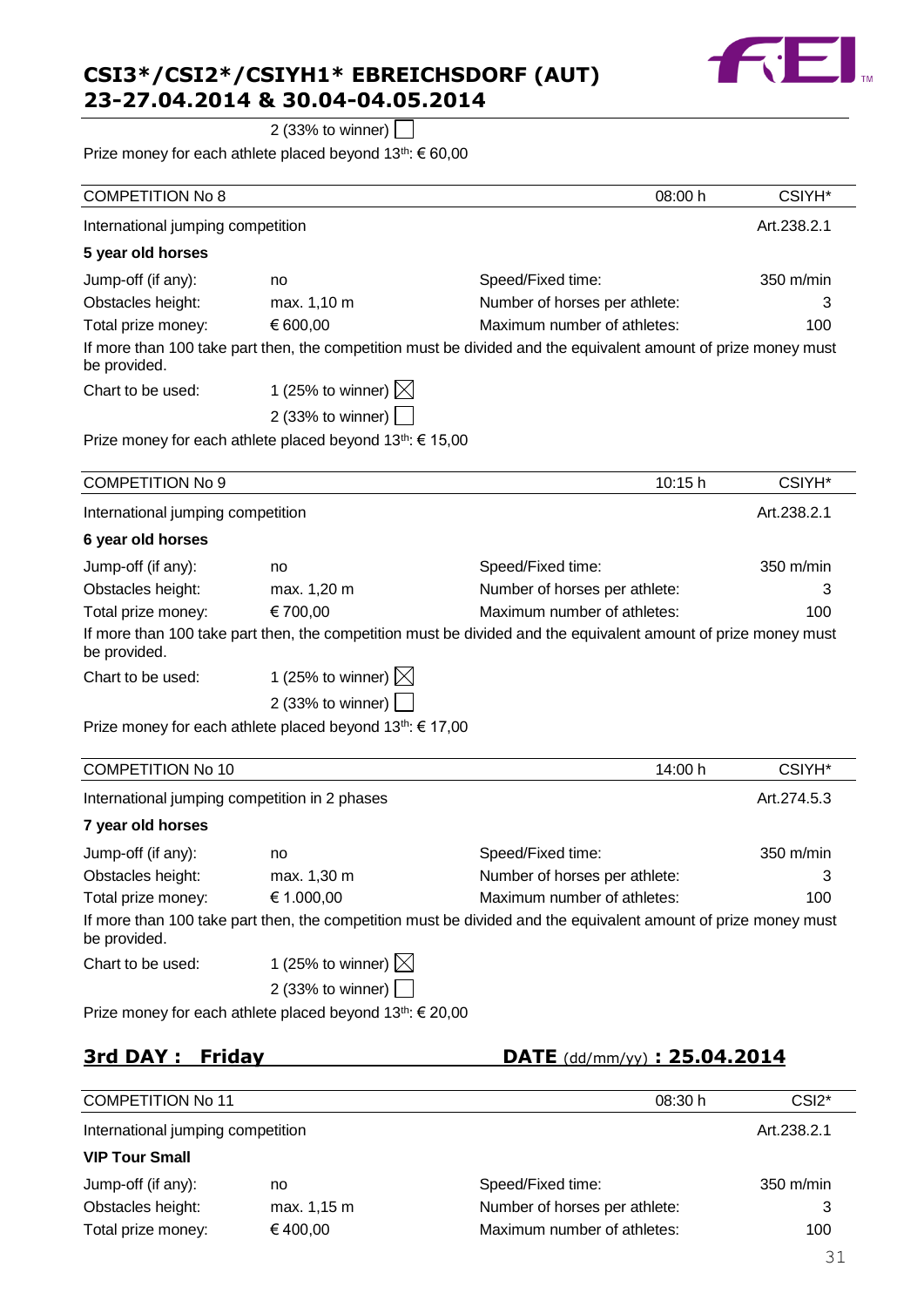

2 (33% to winner)  $\Box$ 

Prize money for each athlete placed beyond 13<sup>th</sup>: € 60,00

| <b>COMPETITION No 8</b>                       |                                                                       | 08:00 h                                                                                                        | CSIYH*      |
|-----------------------------------------------|-----------------------------------------------------------------------|----------------------------------------------------------------------------------------------------------------|-------------|
| International jumping competition             |                                                                       |                                                                                                                | Art.238.2.1 |
| 5 year old horses                             |                                                                       |                                                                                                                |             |
| Jump-off (if any):                            | no                                                                    | Speed/Fixed time:                                                                                              | 350 m/min   |
| Obstacles height:                             | max. 1,10 m                                                           | Number of horses per athlete:                                                                                  | 3           |
| Total prize money:                            | € 600,00                                                              | Maximum number of athletes:                                                                                    | 100         |
| be provided.                                  |                                                                       | If more than 100 take part then, the competition must be divided and the equivalent amount of prize money must |             |
| Chart to be used:                             | 1 (25% to winner) $\boxtimes$                                         |                                                                                                                |             |
|                                               | 2 (33% to winner)                                                     |                                                                                                                |             |
|                                               | Prize money for each athlete placed beyond 13 <sup>th</sup> : € 15,00 |                                                                                                                |             |
| <b>COMPETITION No 9</b>                       |                                                                       | 10:15 h                                                                                                        | CSIYH*      |
| International jumping competition             |                                                                       |                                                                                                                | Art.238.2.1 |
| 6 year old horses                             |                                                                       |                                                                                                                |             |
| Jump-off (if any):                            | no                                                                    | Speed/Fixed time:                                                                                              | 350 m/min   |
| Obstacles height:                             | max. 1,20 m                                                           | Number of horses per athlete:                                                                                  | 3           |
| Total prize money:                            | € 700,00                                                              | Maximum number of athletes:                                                                                    | 100         |
| be provided.                                  |                                                                       | If more than 100 take part then, the competition must be divided and the equivalent amount of prize money must |             |
| Chart to be used:                             | 1 (25% to winner) $\boxtimes$                                         |                                                                                                                |             |
|                                               | 2 (33% to winner)                                                     |                                                                                                                |             |
|                                               | Prize money for each athlete placed beyond 13 <sup>th</sup> : € 17,00 |                                                                                                                |             |
| <b>COMPETITION No 10</b>                      |                                                                       | 14:00 h                                                                                                        | CSIYH*      |
| International jumping competition in 2 phases |                                                                       |                                                                                                                | Art.274.5.3 |
| 7 year old horses                             |                                                                       |                                                                                                                |             |
| Jump-off (if any):                            | no                                                                    | Speed/Fixed time:                                                                                              | 350 m/min   |
| Obstacles height:                             | max. 1,30 m                                                           | Number of horses per athlete:                                                                                  |             |
| Total prize money:                            | € 1.000,00                                                            | Maximum number of athletes:                                                                                    | 100         |
| be provided.                                  |                                                                       | If more than 100 take part then, the competition must be divided and the equivalent amount of prize money must |             |
| Chart to be used:                             | 1 (25% to winner) $\boxtimes$                                         |                                                                                                                |             |
|                                               | 2 (33% to winner) $ $                                                 |                                                                                                                |             |
|                                               | Prize money for each athlete placed beyond 13 <sup>th</sup> : € 20,00 |                                                                                                                |             |
| <b>3rd DAY: Friday</b>                        |                                                                       | <b>DATE</b> (dd/mm/yy) : 25.04.2014                                                                            |             |
|                                               |                                                                       |                                                                                                                |             |

| <b>COMPETITION No 11</b>          |             | 08:30 h                       | CSI <sub>2</sub> *  |
|-----------------------------------|-------------|-------------------------------|---------------------|
| International jumping competition |             |                               | Art.238.2.1         |
| <b>VIP Tour Small</b>             |             |                               |                     |
| Jump-off (if any):                | no          | Speed/Fixed time:             | $350 \text{ m/min}$ |
| Obstacles height:                 | max. 1,15 m | Number of horses per athlete: | 3                   |
| Total prize money:                | €400.00     | Maximum number of athletes:   | 100                 |
|                                   |             |                               | 31                  |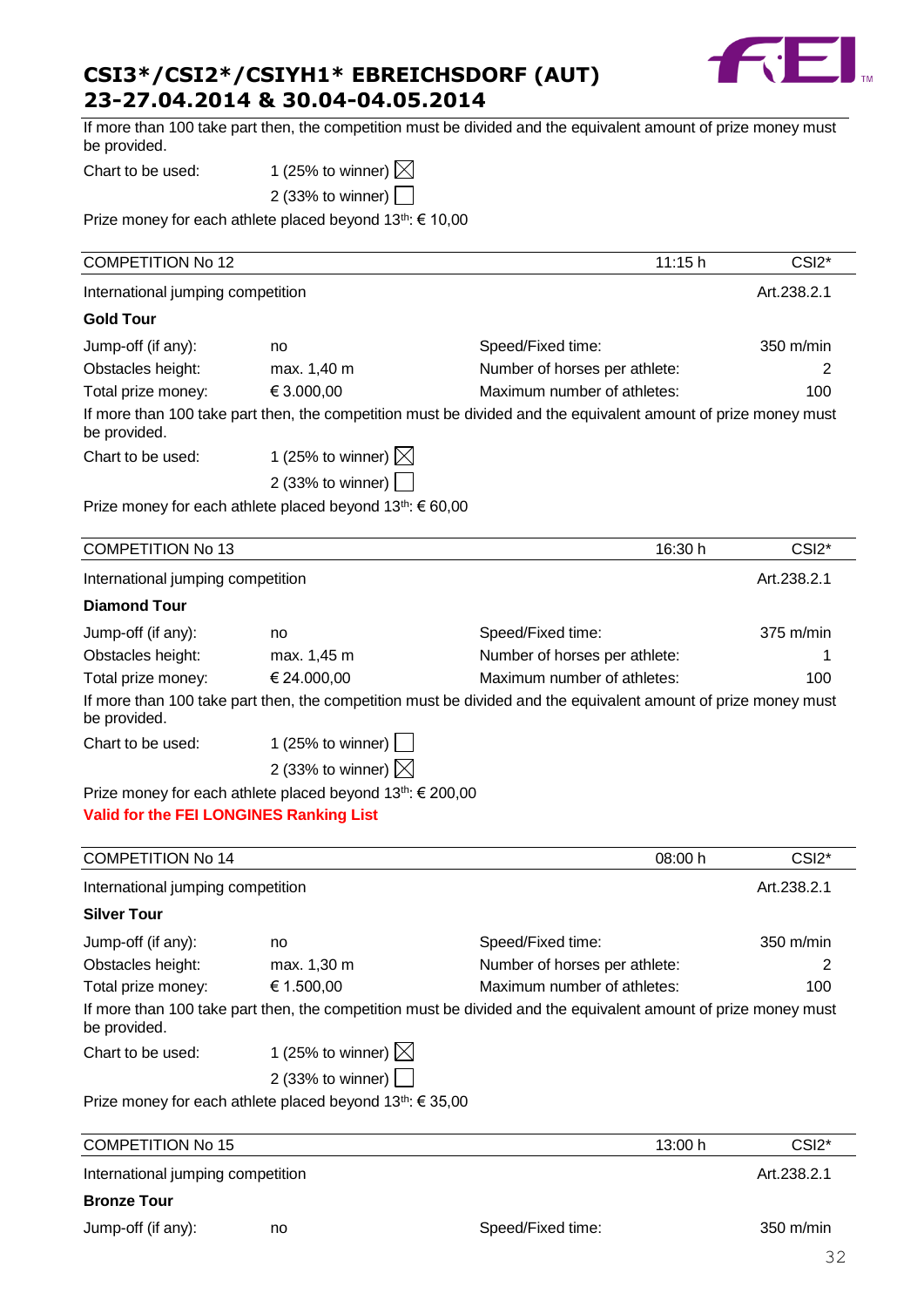

| <b>COMPETITION No 15</b><br>International jumping competition |                                                                       | 13:00 h                                                                                                        | CSI <sub>2</sub> *<br>Art.238.2.1 |
|---------------------------------------------------------------|-----------------------------------------------------------------------|----------------------------------------------------------------------------------------------------------------|-----------------------------------|
|                                                               |                                                                       |                                                                                                                |                                   |
|                                                               |                                                                       |                                                                                                                |                                   |
|                                                               |                                                                       |                                                                                                                |                                   |
|                                                               | Prize money for each athlete placed beyond 13 <sup>th</sup> : € 35,00 |                                                                                                                |                                   |
|                                                               | 2 (33% to winner)                                                     |                                                                                                                |                                   |
| Chart to be used:                                             | 1 (25% to winner) $\boxtimes$                                         |                                                                                                                |                                   |
| be provided.                                                  |                                                                       | If more than 100 take part then, the competition must be divided and the equivalent amount of prize money must |                                   |
| Total prize money:                                            | € 1.500,00                                                            | Maximum number of athletes:                                                                                    | 100                               |
| Obstacles height:                                             | max. 1,30 m                                                           | Number of horses per athlete:                                                                                  |                                   |
| Jump-off (if any):                                            | no                                                                    | Speed/Fixed time:                                                                                              | 350 m/min                         |
| <b>Silver Tour</b>                                            |                                                                       |                                                                                                                |                                   |
| International jumping competition                             |                                                                       |                                                                                                                | Art.238.2.1                       |
| <b>COMPETITION No 14</b>                                      |                                                                       | 08:00 h                                                                                                        | CSI <sub>2</sub> *                |
|                                                               |                                                                       |                                                                                                                |                                   |
| Valid for the FEI LONGINES Ranking List                       |                                                                       |                                                                                                                |                                   |
|                                                               | Prize money for each athlete placed beyond 13th: € 200,00             |                                                                                                                |                                   |
|                                                               | 2 (33% to winner) $\boxtimes$                                         |                                                                                                                |                                   |
| Chart to be used:                                             | 1 (25% to winner)                                                     |                                                                                                                |                                   |
| be provided.                                                  |                                                                       | If more than 100 take part then, the competition must be divided and the equivalent amount of prize money must |                                   |
| Total prize money:                                            | € 24.000,00                                                           | Maximum number of athletes:                                                                                    | 100                               |
| Obstacles height:                                             | max. 1,45 m                                                           | Number of horses per athlete:                                                                                  |                                   |
| Jump-off (if any):                                            | no                                                                    | Speed/Fixed time:                                                                                              | 375 m/min                         |
| <b>Diamond Tour</b>                                           |                                                                       |                                                                                                                |                                   |
| International jumping competition                             |                                                                       |                                                                                                                | Art.238.2.1                       |
| <b>COMPETITION No 13</b>                                      |                                                                       | 16:30 h                                                                                                        | CSI <sub>2</sub> *                |
|                                                               |                                                                       |                                                                                                                |                                   |
|                                                               | Prize money for each athlete placed beyond 13th: € 60,00              |                                                                                                                |                                   |
|                                                               | 2 (33% to winner)                                                     |                                                                                                                |                                   |
| Chart to be used:                                             | 1 (25% to winner) $\boxtimes$                                         |                                                                                                                |                                   |
| be provided.                                                  |                                                                       | If more than 100 take part then, the competition must be divided and the equivalent amount of prize money must |                                   |
| Total prize money:                                            | € 3.000,00                                                            | Maximum number of athletes:                                                                                    | 100                               |
| Obstacles height:                                             | max. 1,40 m                                                           | Number of horses per athlete:                                                                                  | 2                                 |
| Jump-off (if any):                                            | no                                                                    | Speed/Fixed time:                                                                                              | 350 m/min                         |
| <b>Gold Tour</b>                                              |                                                                       |                                                                                                                |                                   |
| International jumping competition                             |                                                                       |                                                                                                                | Art.238.2.1                       |
| <b>COMPETITION No 12</b>                                      |                                                                       | 11:15h                                                                                                         | CSI <sub>2</sub> *                |
|                                                               |                                                                       |                                                                                                                |                                   |
|                                                               | Prize money for each athlete placed beyond 13th: € 10,00              |                                                                                                                |                                   |
|                                                               | 2 (33% to winner)                                                     |                                                                                                                |                                   |
|                                                               |                                                                       |                                                                                                                |                                   |
| be provided.<br>Chart to be used:                             | 1 (25% to winner) $\boxtimes$                                         |                                                                                                                |                                   |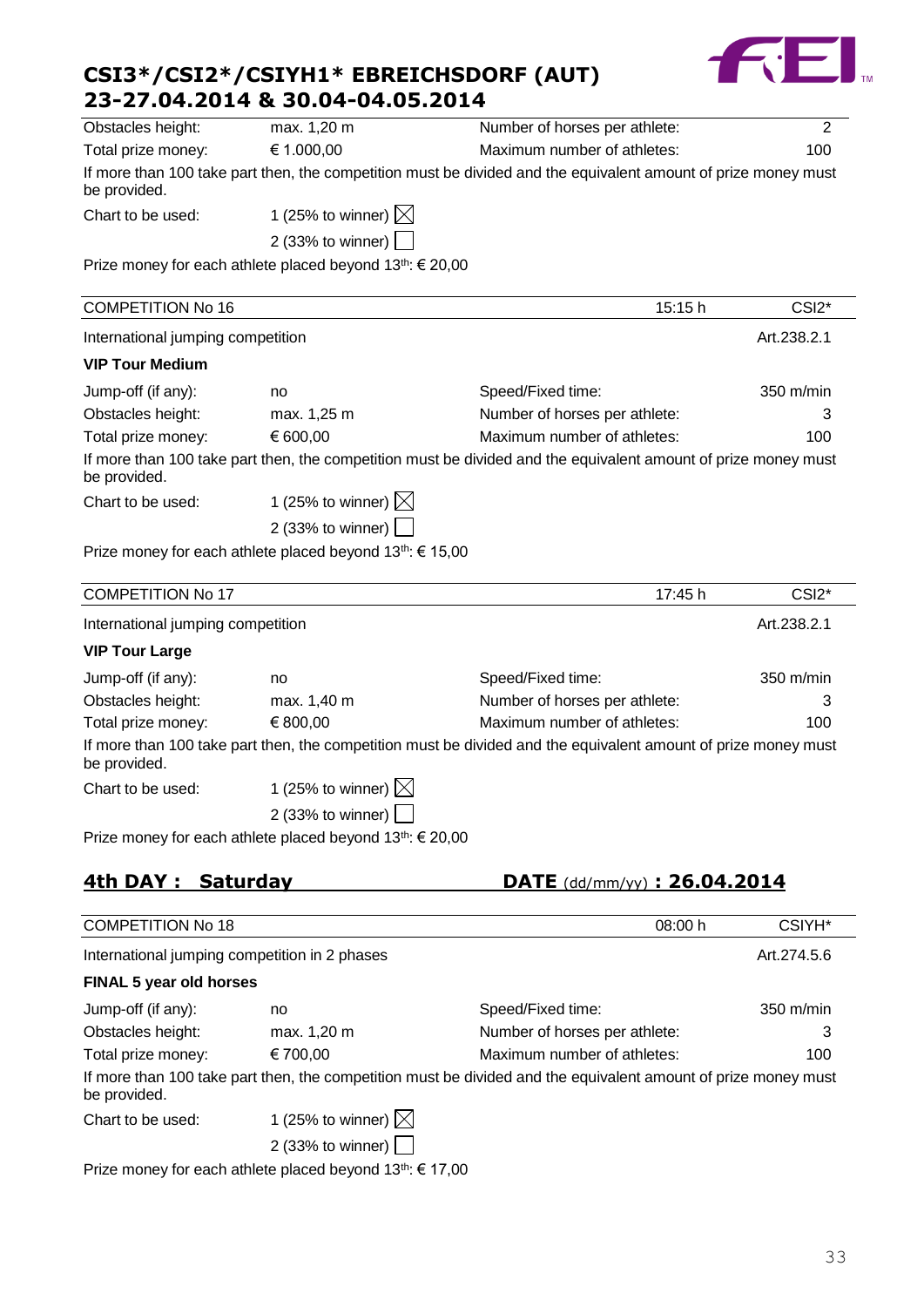| CSI3*/CSI2*/CSIYH1* EBREICHSDORF (AUT) |  |
|----------------------------------------|--|
| 23-27.04.2014 & 30.04-04.05.2014       |  |



| 4th DAY: Saturday                 |                                                                       | DATE $(dd/\text{mm/yy})$ : 26.04.2014                                                                          |                    |
|-----------------------------------|-----------------------------------------------------------------------|----------------------------------------------------------------------------------------------------------------|--------------------|
|                                   | Prize money for each athlete placed beyond 13 <sup>th</sup> : € 20,00 |                                                                                                                |                    |
|                                   | 2 (33% to winner) $ $                                                 |                                                                                                                |                    |
| Chart to be used:                 | 1 (25% to winner) $\times$                                            |                                                                                                                |                    |
| be provided.                      |                                                                       |                                                                                                                |                    |
|                                   |                                                                       | If more than 100 take part then, the competition must be divided and the equivalent amount of prize money must |                    |
| Total prize money:                | € 800,00                                                              | Maximum number of athletes:                                                                                    | 100                |
| Obstacles height:                 | max. 1,40 m                                                           | Number of horses per athlete:                                                                                  | 3                  |
| Jump-off (if any):                | no                                                                    | Speed/Fixed time:                                                                                              | 350 m/min          |
| <b>VIP Tour Large</b>             |                                                                       |                                                                                                                |                    |
| International jumping competition |                                                                       |                                                                                                                | Art.238.2.1        |
| <b>COMPETITION No 17</b>          |                                                                       | 17:45 h                                                                                                        | CSI <sub>2</sub> * |
|                                   | Prize money for each athlete placed beyond 13 <sup>th</sup> : € 15,00 |                                                                                                                |                    |
|                                   | 2 (33% to winner)                                                     |                                                                                                                |                    |
| Chart to be used:                 | 1 (25% to winner) $\boxtimes$                                         |                                                                                                                |                    |
| be provided.                      |                                                                       |                                                                                                                |                    |
|                                   |                                                                       | If more than 100 take part then, the competition must be divided and the equivalent amount of prize money must |                    |
| Total prize money:                | € 600,00                                                              | Maximum number of athletes:                                                                                    | 100                |
| Obstacles height:                 | max. 1,25 m                                                           | Number of horses per athlete:                                                                                  | 3                  |
| Jump-off (if any):                | no                                                                    | Speed/Fixed time:                                                                                              | 350 m/min          |
| <b>VIP Tour Medium</b>            |                                                                       |                                                                                                                |                    |
| International jumping competition |                                                                       |                                                                                                                | Art.238.2.1        |
| <b>COMPETITION No 16</b>          |                                                                       | 15:15 h                                                                                                        | CSI <sub>2</sub> * |
|                                   | Prize money for each athlete placed beyond 13th: € 20,00              |                                                                                                                |                    |
|                                   | 2 (33% to winner)                                                     |                                                                                                                |                    |
| Chart to be used:                 | 1 (25% to winner) $\boxtimes$                                         |                                                                                                                |                    |
| be provided.                      |                                                                       |                                                                                                                |                    |
|                                   |                                                                       | If more than 100 take part then, the competition must be divided and the equivalent amount of prize money must |                    |
| Total prize money:                | € 1.000,00                                                            | Maximum number of athletes:                                                                                    | 100                |
| Obstacles height:                 | max. 1,20 m                                                           | Number of horses per athlete:                                                                                  | $\overline{2}$     |

Jump-off (if any): no Speed/Fixed time: 350 m/min Obstacles height: max. 1,20 m Number of horses per athlete: 3 Total prize money: € 700,00 Maximum number of athletes: 100 If more than 100 take part then, the competition must be divided and the equivalent amount of prize money must be provided.

Chart to be used:  $1$  (25% to winner)  $\boxtimes$ 2 (33% to winner)

Prize money for each athlete placed beyond 13<sup>th</sup>: € 17,00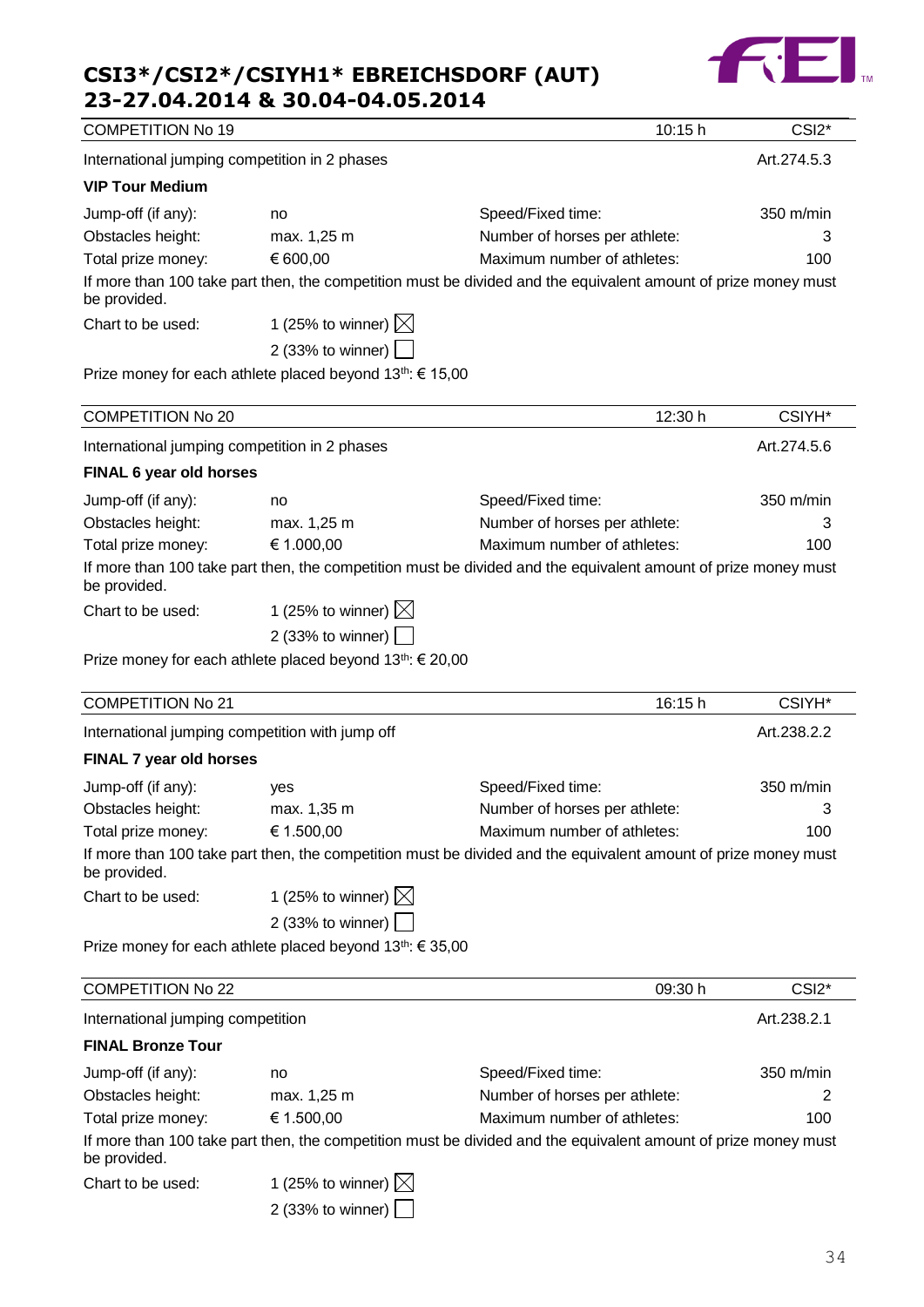## **TEL**

## **CSI3\*/CSI2\*/CSIYH1\* EBREICHSDORF (AUT)**

|                                               | 23-27.04.2014 & 30.04-04.05.2014                                      |                                                                                                                |                    |
|-----------------------------------------------|-----------------------------------------------------------------------|----------------------------------------------------------------------------------------------------------------|--------------------|
| <b>COMPETITION No 19</b>                      |                                                                       | 10:15 h                                                                                                        | CSI <sub>2</sub> * |
| International jumping competition in 2 phases |                                                                       |                                                                                                                | Art.274.5.3        |
| <b>VIP Tour Medium</b>                        |                                                                       |                                                                                                                |                    |
| Jump-off (if any):                            | no                                                                    | Speed/Fixed time:                                                                                              | 350 m/min          |
| Obstacles height:                             | max. 1,25 m                                                           | Number of horses per athlete:                                                                                  | 3                  |
| Total prize money:                            | € 600,00                                                              | Maximum number of athletes:                                                                                    | 100                |
| be provided.                                  |                                                                       | If more than 100 take part then, the competition must be divided and the equivalent amount of prize money must |                    |
| Chart to be used:                             | 1 (25% to winner) $\boxtimes$                                         |                                                                                                                |                    |
|                                               | 2 (33% to winner) [                                                   |                                                                                                                |                    |
|                                               | Prize money for each athlete placed beyond 13 <sup>th</sup> : € 15,00 |                                                                                                                |                    |
|                                               |                                                                       |                                                                                                                |                    |
| <b>COMPETITION No 20</b>                      |                                                                       | 12:30 h                                                                                                        | CSIYH*             |
| International jumping competition in 2 phases |                                                                       |                                                                                                                | Art.274.5.6        |
| FINAL 6 year old horses                       |                                                                       |                                                                                                                |                    |
| Jump-off (if any):                            | no                                                                    | Speed/Fixed time:                                                                                              | 350 m/min          |
| Obstacles height:                             | max. 1,25 m                                                           | Number of horses per athlete:                                                                                  | 3                  |
| Total prize money:                            | € 1.000,00                                                            | Maximum number of athletes:                                                                                    | 100                |
| be provided.                                  |                                                                       | If more than 100 take part then, the competition must be divided and the equivalent amount of prize money must |                    |
| Chart to be used:                             | 1 (25% to winner) $\boxtimes$                                         |                                                                                                                |                    |
|                                               | 2 (33% to winner)                                                     |                                                                                                                |                    |
|                                               | Prize money for each athlete placed beyond 13 <sup>th</sup> : € 20,00 |                                                                                                                |                    |
| <b>COMPETITION No 21</b>                      |                                                                       | 16:15 h                                                                                                        | CSIYH*             |
|                                               | International jumping competition with jump off                       |                                                                                                                | Art.238.2.2        |
| FINAL 7 year old horses                       |                                                                       |                                                                                                                |                    |
| Jump-off (if any): yes                        |                                                                       | Speed/Fixed time:                                                                                              | 350 m/min          |
| Obstacles height:                             | max. 1,35 m                                                           | Number of horses per athlete:                                                                                  | 3                  |
| Total prize money:                            | € 1.500,00                                                            | Maximum number of athletes:                                                                                    | 100                |
| be provided.                                  |                                                                       | If more than 100 take part then, the competition must be divided and the equivalent amount of prize money must |                    |
| Chart to be used:                             | 1 (25% to winner) $\boxtimes$                                         |                                                                                                                |                    |
|                                               | 2 (33% to winner)                                                     |                                                                                                                |                    |
|                                               | Prize money for each athlete placed beyond 13th: € 35,00              |                                                                                                                |                    |
| <b>COMPETITION No 22</b>                      |                                                                       | 09:30 h                                                                                                        | CSI <sub>2</sub> * |
| International jumping competition             |                                                                       |                                                                                                                | Art.238.2.1        |
| <b>FINAL Bronze Tour</b>                      |                                                                       |                                                                                                                |                    |
| Jump-off (if any):                            | no                                                                    | Speed/Fixed time:                                                                                              | 350 m/min          |
| Obstacles height:                             | max. 1,25 m                                                           | Number of horses per athlete:                                                                                  | 2                  |
| Total prize money:                            | € 1.500,00                                                            | Maximum number of athletes:                                                                                    | 100                |

If more than 100 take part then, the competition must be divided and the equivalent amount of prize money must be provided.

| 1 (25% to winner) $\boxtimes$ |
|-------------------------------|
|                               |

2 (33% to winner)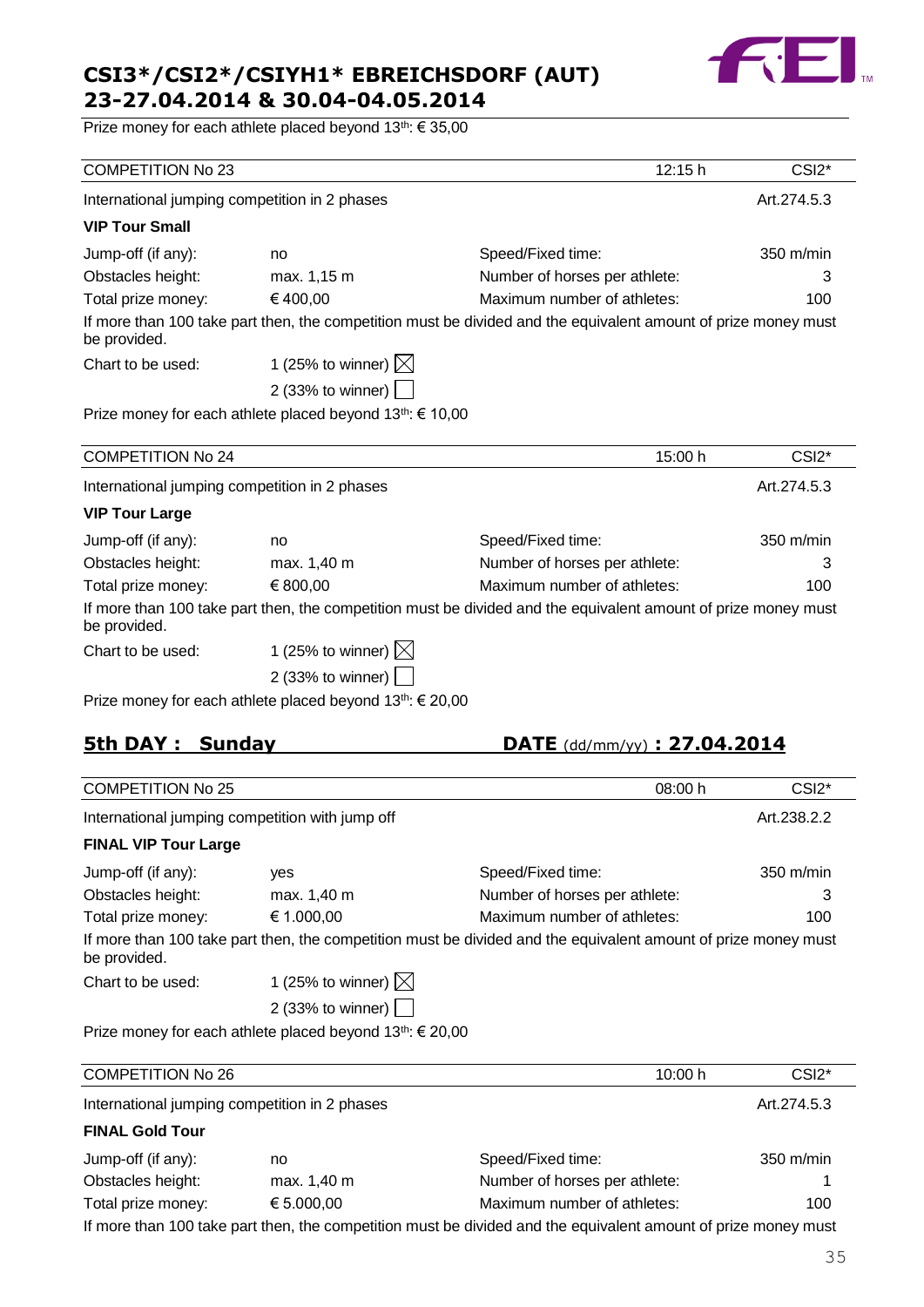

Prize money for each athlete placed beyond 13<sup>th</sup>: € 35,00

| <b>COMPETITION No 23</b>                      |                                                                       | 12:15 h                                                                                                        | CSI <sub>2</sub> * |
|-----------------------------------------------|-----------------------------------------------------------------------|----------------------------------------------------------------------------------------------------------------|--------------------|
| International jumping competition in 2 phases |                                                                       |                                                                                                                | Art.274.5.3        |
| <b>VIP Tour Small</b>                         |                                                                       |                                                                                                                |                    |
| Jump-off (if any):                            | no                                                                    | Speed/Fixed time:                                                                                              | 350 m/min          |
| Obstacles height:                             | max. 1,15 m                                                           | Number of horses per athlete:                                                                                  | 3                  |
| Total prize money:                            | €400,00                                                               | Maximum number of athletes:                                                                                    | 100                |
| be provided.                                  |                                                                       | If more than 100 take part then, the competition must be divided and the equivalent amount of prize money must |                    |
| Chart to be used:                             | 1 (25% to winner) $\boxtimes$                                         |                                                                                                                |                    |
|                                               | 2 (33% to winner) $\boxed{\phantom{a}}$                               |                                                                                                                |                    |
|                                               | Prize money for each athlete placed beyond 13 <sup>th</sup> : € 10,00 |                                                                                                                |                    |
| <b>COMPETITION No 24</b>                      |                                                                       | 15:00 h                                                                                                        | CSI <sub>2</sub> * |
| International jumping competition in 2 phases |                                                                       |                                                                                                                | Art.274.5.3        |
| <b>VIP Tour Large</b>                         |                                                                       |                                                                                                                |                    |
| Jump-off (if any):                            | no                                                                    | Speed/Fixed time:                                                                                              | 350 m/min          |
| Obstacles height:                             | max. 1,40 m                                                           | Number of horses per athlete:                                                                                  | 3                  |
| Total prize money:                            | € 800,00                                                              | Maximum number of athletes:                                                                                    | 100                |
| be provided.                                  |                                                                       | If more than 100 take part then, the competition must be divided and the equivalent amount of prize money must |                    |
| Chart to be used:                             | 1 (25% to winner) $\boxtimes$                                         |                                                                                                                |                    |
|                                               | 2 (33% to winner) $\boxed{\phantom{1}}$                               |                                                                                                                |                    |
|                                               | Prize money for each athlete placed beyond $13^{th}$ : $\in$ 20,00    |                                                                                                                |                    |

## **5th DAY : Sunday DATE** (dd/mm/yy) **: 27.04.2014**

| <b>COMPETITION No 25</b>    |                                                 | 08:00 h                                                                                                        | CSI <sub>2</sub> *  |
|-----------------------------|-------------------------------------------------|----------------------------------------------------------------------------------------------------------------|---------------------|
|                             | International jumping competition with jump off |                                                                                                                | Art.238.2.2         |
| <b>FINAL VIP Tour Large</b> |                                                 |                                                                                                                |                     |
| Jump-off (if any):          | ves                                             | Speed/Fixed time:                                                                                              | $350 \text{ m/min}$ |
| Obstacles height:           | max. 1,40 m                                     | Number of horses per athlete:                                                                                  | 3                   |
| Total prize money:          | € 1.000,00                                      | Maximum number of athletes:                                                                                    | 100                 |
| be provided.                |                                                 | If more than 100 take part then, the competition must be divided and the equivalent amount of prize money must |                     |
| Chart to be used:           | 1 (25% to winner) $\boxtimes$                   |                                                                                                                |                     |
|                             | 2 (33% to winner)                               |                                                                                                                |                     |

Prize money for each athlete placed beyond 13<sup>th</sup>: € 20,00

| <b>COMPETITION No 26</b>                                                                                       |             | 10:00 h                       | CSI <sub>2</sub> * |  |
|----------------------------------------------------------------------------------------------------------------|-------------|-------------------------------|--------------------|--|
| International jumping competition in 2 phases                                                                  |             |                               | Art.274.5.3        |  |
| <b>FINAL Gold Tour</b>                                                                                         |             |                               |                    |  |
| Jump-off (if any):                                                                                             | no.         | Speed/Fixed time:             | 350 m/min          |  |
| Obstacles height:                                                                                              | max. 1,40 m | Number of horses per athlete: |                    |  |
| Total prize money:                                                                                             | € 5.000,00  | Maximum number of athletes:   | 100                |  |
| If more than 100 take part then, the competition must be divided and the equivalent amount of prize money must |             |                               |                    |  |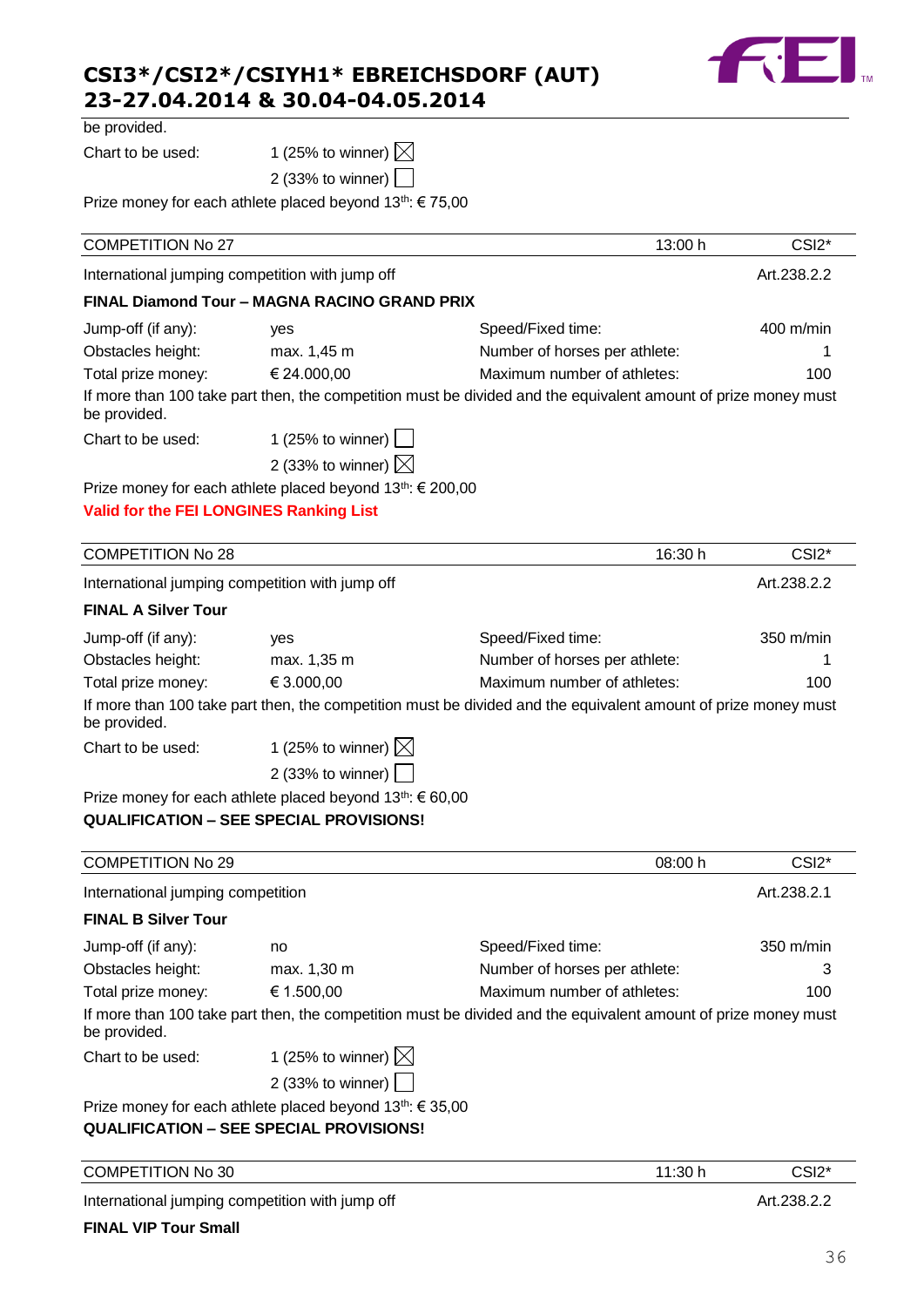

| be provided. |  |
|--------------|--|

Chart to be used: 1 (25% to winner)  $\boxtimes$ 

|   |  | $\sum$ (20 % to writted) $\sum$ |  |
|---|--|---------------------------------|--|
| . |  |                                 |  |

2 (33% to winner)

Prize money for each athlete placed beyond 13<sup>th</sup>: € 75,00

| <b>COMPETITION No 27</b>                        |                                                                                                            | 13:00 h                                                                                                        | CSI <sub>2</sub> * |
|-------------------------------------------------|------------------------------------------------------------------------------------------------------------|----------------------------------------------------------------------------------------------------------------|--------------------|
| International jumping competition with jump off |                                                                                                            |                                                                                                                | Art.238.2.2        |
|                                                 | FINAL Diamond Tour - MAGNA RACINO GRAND PRIX                                                               |                                                                                                                |                    |
| Jump-off (if any):                              | yes                                                                                                        | Speed/Fixed time:                                                                                              | 400 m/min          |
| Obstacles height:                               | max. 1,45 m                                                                                                | Number of horses per athlete:                                                                                  | 1                  |
| Total prize money:                              | € 24.000,00                                                                                                | Maximum number of athletes:                                                                                    | 100                |
| be provided.                                    |                                                                                                            | If more than 100 take part then, the competition must be divided and the equivalent amount of prize money must |                    |
| Chart to be used:                               | 1 (25% to winner) $\Box$                                                                                   |                                                                                                                |                    |
|                                                 | 2 (33% to winner) $\boxtimes$                                                                              |                                                                                                                |                    |
|                                                 | Prize money for each athlete placed beyond 13 <sup>th</sup> : € 200,00                                     |                                                                                                                |                    |
| <b>Valid for the FEI LONGINES Ranking List</b>  |                                                                                                            |                                                                                                                |                    |
|                                                 |                                                                                                            |                                                                                                                |                    |
| <b>COMPETITION No 28</b>                        |                                                                                                            | 16:30 h                                                                                                        | CSI <sub>2</sub> * |
| International jumping competition with jump off |                                                                                                            |                                                                                                                | Art.238.2.2        |
| <b>FINAL A Silver Tour</b>                      |                                                                                                            |                                                                                                                |                    |
| Jump-off (if any):                              | yes                                                                                                        | Speed/Fixed time:                                                                                              | 350 m/min          |
| Obstacles height:                               | max. 1,35 m                                                                                                | Number of horses per athlete:                                                                                  |                    |
| Total prize money:                              | € 3.000,00                                                                                                 | Maximum number of athletes:                                                                                    | 100                |
| be provided.                                    |                                                                                                            | If more than 100 take part then, the competition must be divided and the equivalent amount of prize money must |                    |
| Chart to be used:                               | 1 (25% to winner) $\boxtimes$                                                                              |                                                                                                                |                    |
|                                                 | 2 (33% to winner)                                                                                          |                                                                                                                |                    |
|                                                 | Prize money for each athlete placed beyond 13th: € 60,00<br><b>QUALIFICATION - SEE SPECIAL PROVISIONS!</b> |                                                                                                                |                    |
| <b>COMPETITION No 29</b>                        |                                                                                                            | 08:00 h                                                                                                        | CSI <sub>2</sub> * |
| International jumping competition               |                                                                                                            |                                                                                                                | Art.238.2.1        |
| <b>FINAL B Silver Tour</b>                      |                                                                                                            |                                                                                                                |                    |
| Jump-off (if any):                              | no                                                                                                         | Speed/Fixed time:                                                                                              | 350 m/min          |
| Obstacles height:                               | max. 1,30 m                                                                                                | Number of horses per athlete:                                                                                  | З                  |
| Total prize money:                              | € 1.500,00                                                                                                 | Maximum number of athletes:                                                                                    | 100                |
| be provided.                                    |                                                                                                            | If more than 100 take part then, the competition must be divided and the equivalent amount of prize money must |                    |
| Chart to be used:                               | 1 (25% to winner) $\boxtimes$                                                                              |                                                                                                                |                    |
|                                                 | 2 (33% to winner)                                                                                          |                                                                                                                |                    |
|                                                 | Prize money for each athlete placed beyond 13 <sup>th</sup> : € 35,00                                      |                                                                                                                |                    |
|                                                 | <b>QUALIFICATION - SEE SPECIAL PROVISIONS!</b>                                                             |                                                                                                                |                    |
| <b>COMPETITION No 30</b>                        |                                                                                                            | 11:30 h                                                                                                        | CSI <sub>2</sub> * |
|                                                 |                                                                                                            |                                                                                                                |                    |

International jumping competition with jump off **Art.238.2.2** Art.238.2.2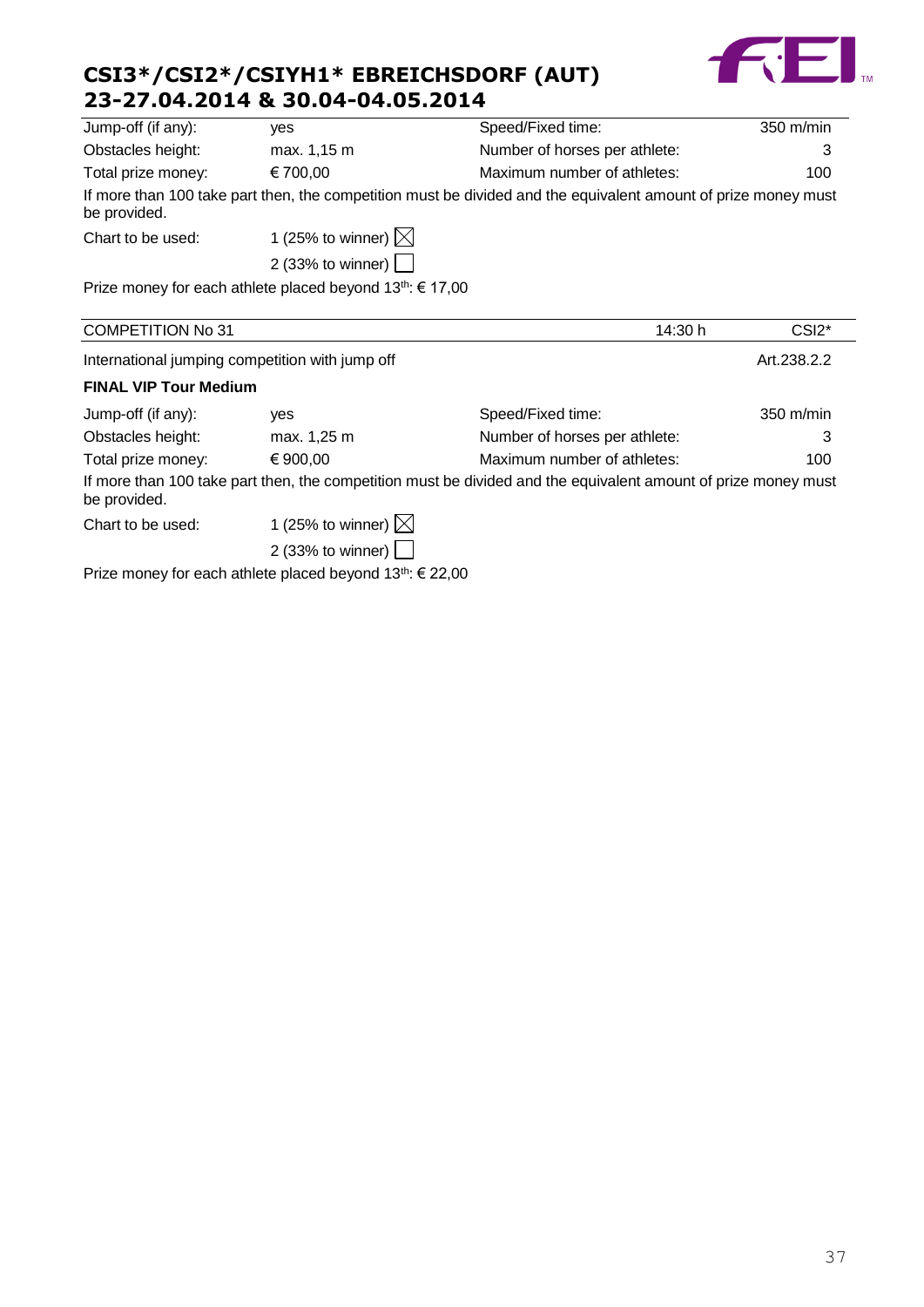

| Jump-off (if any):       | yes                                                                | Speed/Fixed time:                                                                                              | $350 \text{ m/min}$ |
|--------------------------|--------------------------------------------------------------------|----------------------------------------------------------------------------------------------------------------|---------------------|
| Obstacles height:        | max. 1,15 m                                                        | Number of horses per athlete:                                                                                  | 3                   |
| Total prize money:       | € 700,00                                                           | Maximum number of athletes:                                                                                    | 100                 |
| be provided.             |                                                                    | If more than 100 take part then, the competition must be divided and the equivalent amount of prize money must |                     |
| Chart to be used:        | 1 (25% to winner) $\boxtimes$                                      |                                                                                                                |                     |
|                          | 2 (33% to winner) $\vert \ \vert$                                  |                                                                                                                |                     |
|                          | Prize money for each athlete placed beyond $13^{th}$ : $\in$ 17,00 |                                                                                                                |                     |
| <b>COMPETITION No 31</b> |                                                                    | 14:30 h                                                                                                        | CSI <sub>2</sub> *  |
|                          | International jumping competition with jump off                    |                                                                                                                | Art.238.2.2         |
|                          |                                                                    |                                                                                                                |                     |

#### **FINAL VIP Tour Medium**

| Jump-off (if any): | ves                           | Speed/Fixed time:                                                                                              | $350 \text{ m/min}$ |
|--------------------|-------------------------------|----------------------------------------------------------------------------------------------------------------|---------------------|
| Obstacles height:  | max. 1,25 m                   | Number of horses per athlete:                                                                                  |                     |
| Total prize money: | € 900.00                      | Maximum number of athletes:                                                                                    | 100                 |
| be provided.       |                               | If more than 100 take part then, the competition must be divided and the equivalent amount of prize money must |                     |
| Chart to be used:  | 1 (25% to winner) $\boxtimes$ |                                                                                                                |                     |

2 (33% to winner)

Prize money for each athlete placed beyond 13<sup>th</sup>: € 22,00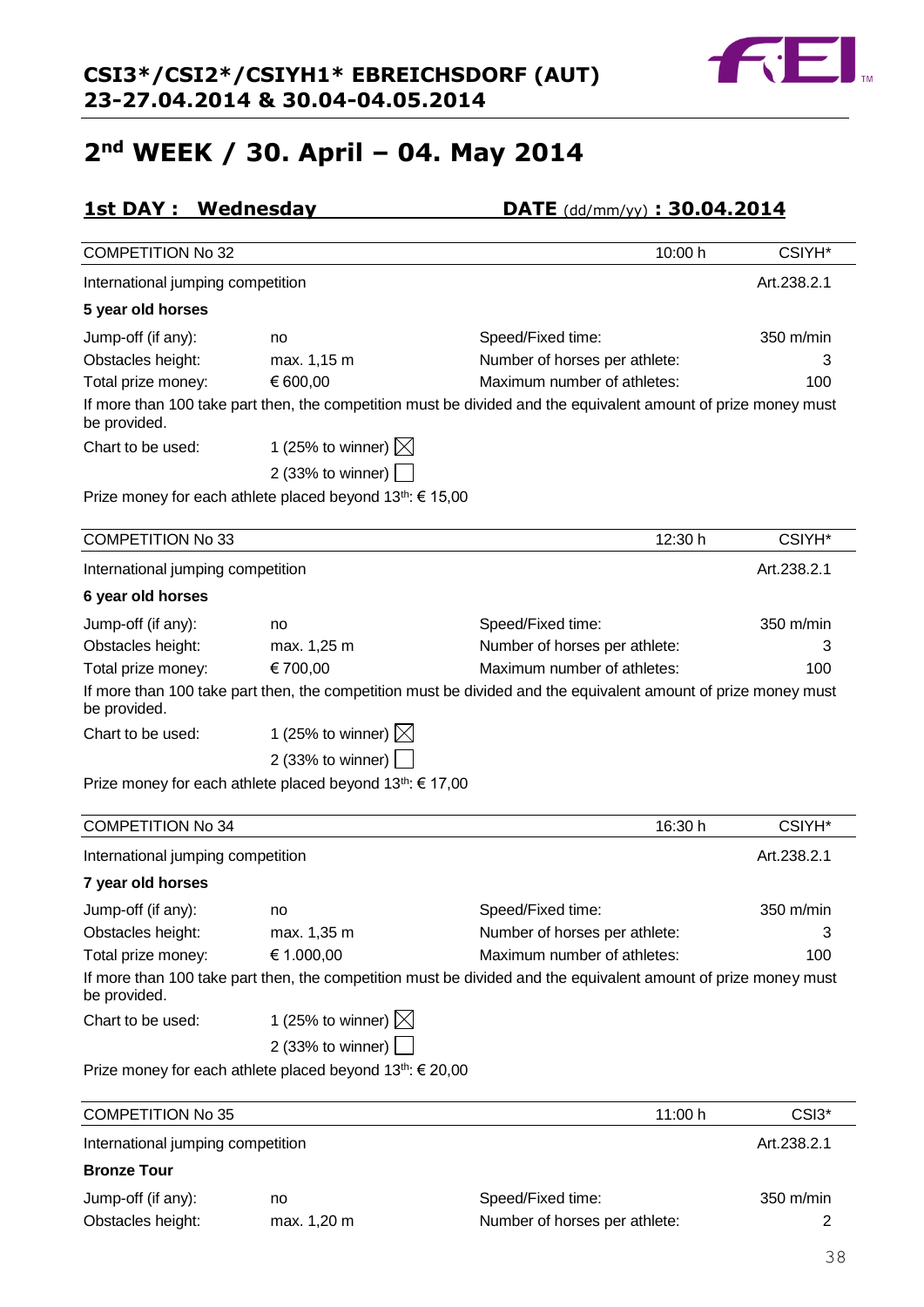## **2nd WEEK / 30. April – 04. May 2014**

## **1st DAY : Wednesday DATE** (dd/mm/yy) **: 30.04.2014**

| <b>COMPETITION No 32</b>          |                                                                       | 10:00 h                                                                                                        | CSIYH*      |
|-----------------------------------|-----------------------------------------------------------------------|----------------------------------------------------------------------------------------------------------------|-------------|
| International jumping competition |                                                                       |                                                                                                                | Art.238.2.1 |
| 5 year old horses                 |                                                                       |                                                                                                                |             |
| Jump-off (if any):                | no                                                                    | Speed/Fixed time:                                                                                              | 350 m/min   |
| Obstacles height:                 | max. 1,15 m                                                           | Number of horses per athlete:                                                                                  | 3           |
| Total prize money:                | € 600,00                                                              | Maximum number of athletes:                                                                                    | 100         |
| be provided.                      |                                                                       | If more than 100 take part then, the competition must be divided and the equivalent amount of prize money must |             |
| Chart to be used:                 | 1 (25% to winner) $\boxtimes$                                         |                                                                                                                |             |
|                                   | 2 (33% to winner)                                                     |                                                                                                                |             |
|                                   | Prize money for each athlete placed beyond $13^{th}$ : $\in$ 15,00    |                                                                                                                |             |
| <b>COMPETITION No 33</b>          |                                                                       | 12:30 h                                                                                                        | CSIYH*      |
| International jumping competition |                                                                       |                                                                                                                | Art.238.2.1 |
| 6 year old horses                 |                                                                       |                                                                                                                |             |
| Jump-off (if any):                | no                                                                    | Speed/Fixed time:                                                                                              | 350 m/min   |
| Obstacles height:                 | max. 1,25 m                                                           | Number of horses per athlete:                                                                                  | 3           |
| Total prize money:                | € 700,00                                                              | Maximum number of athletes:                                                                                    | 100         |
| be provided.                      |                                                                       | If more than 100 take part then, the competition must be divided and the equivalent amount of prize money must |             |
| Chart to be used:                 | 1 (25% to winner) $\boxtimes$                                         |                                                                                                                |             |
|                                   | 2 (33% to winner)                                                     |                                                                                                                |             |
|                                   | Prize money for each athlete placed beyond 13 <sup>th</sup> : € 17,00 |                                                                                                                |             |
| <b>COMPETITION No 34</b>          |                                                                       | 16:30 h                                                                                                        | CSIYH*      |
| International jumping competition |                                                                       |                                                                                                                | Art.238.2.1 |
|                                   |                                                                       |                                                                                                                |             |
| 7 year old horses                 |                                                                       |                                                                                                                |             |
| Jump-off (if any):                | no                                                                    | Speed/Fixed time:                                                                                              | 350 m/min   |

| $5 - 11$           |                                         |                                                                                                                |     |
|--------------------|-----------------------------------------|----------------------------------------------------------------------------------------------------------------|-----|
| Obstacles height:  | max. 1,35 m                             | Number of horses per athlete:                                                                                  |     |
| Total prize money: | € 1.000,00                              | Maximum number of athletes:                                                                                    | 100 |
| be provided.       |                                         | If more than 100 take part then, the competition must be divided and the equivalent amount of prize money must |     |
| Chart to be used:  | 1 (25% to winner) $\boxtimes$           |                                                                                                                |     |
|                    | 2 (33% to winner) $\boxed{\phantom{1}}$ |                                                                                                                |     |

Prize money for each athlete placed beyond 13<sup>th</sup>: € 20,00

| <b>COMPETITION No 35</b>          |             | 11:00 h                       | CSI3 <sup>*</sup>   |
|-----------------------------------|-------------|-------------------------------|---------------------|
| International jumping competition |             |                               | Art.238.2.1         |
| <b>Bronze Tour</b>                |             |                               |                     |
| Jump-off (if any):                | no          | Speed/Fixed time:             | $350 \text{ m/min}$ |
| Obstacles height:                 | max. 1,20 m | Number of horses per athlete: |                     |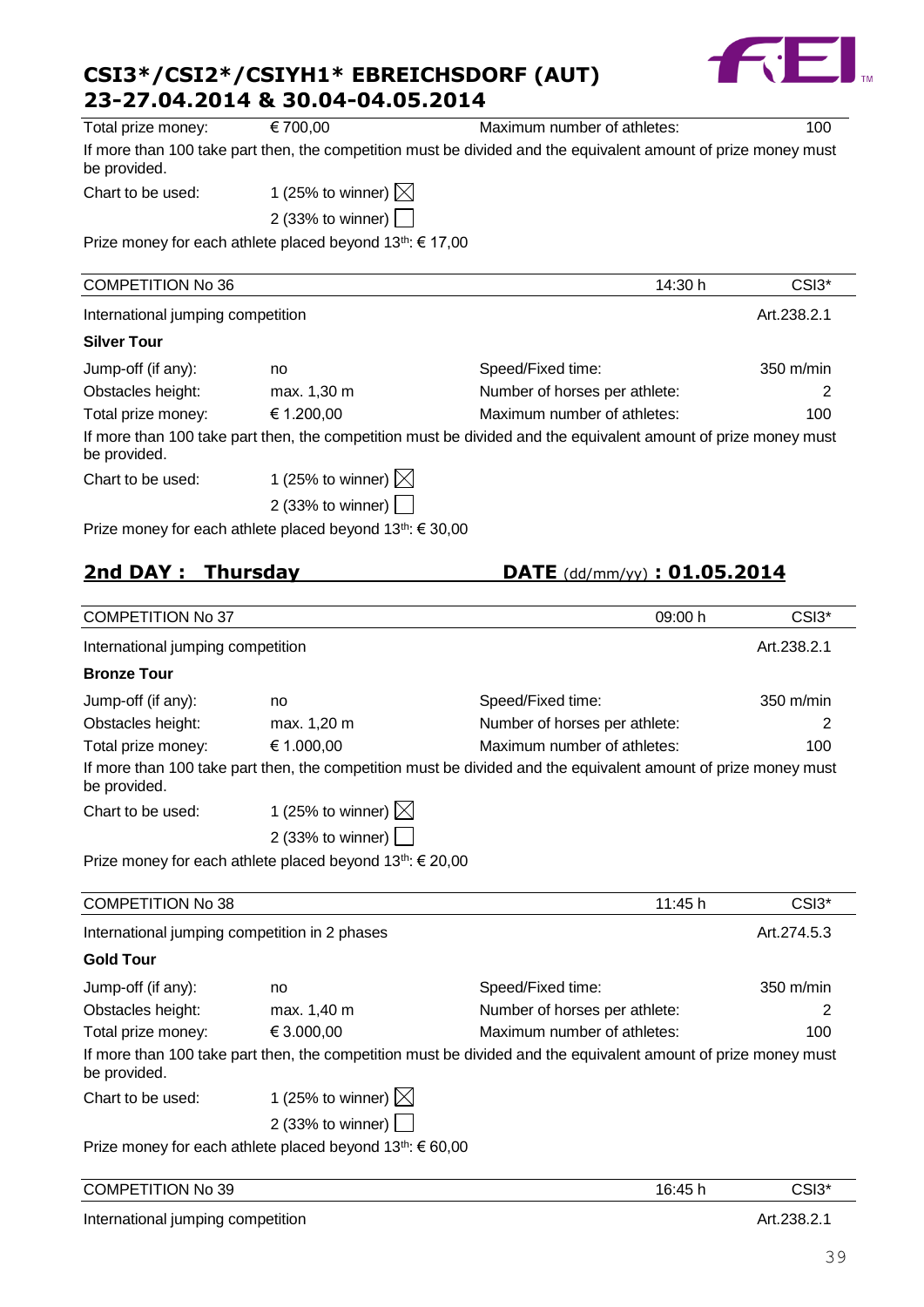

| Total prize money:                                                                                             | € 700,00                                                              | Maximum number of athletes:                                                                                    | 100               |
|----------------------------------------------------------------------------------------------------------------|-----------------------------------------------------------------------|----------------------------------------------------------------------------------------------------------------|-------------------|
| be provided.                                                                                                   |                                                                       | If more than 100 take part then, the competition must be divided and the equivalent amount of prize money must |                   |
| Chart to be used:                                                                                              | 1 (25% to winner) $\boxtimes$                                         |                                                                                                                |                   |
|                                                                                                                | 2 (33% to winner)                                                     |                                                                                                                |                   |
|                                                                                                                | Prize money for each athlete placed beyond 13 <sup>th</sup> : € 17,00 |                                                                                                                |                   |
| <b>COMPETITION No 36</b>                                                                                       |                                                                       | 14:30 h                                                                                                        | CSI3*             |
| International jumping competition                                                                              |                                                                       |                                                                                                                | Art.238.2.1       |
| <b>Silver Tour</b>                                                                                             |                                                                       |                                                                                                                |                   |
| Jump-off (if any):                                                                                             | no                                                                    | Speed/Fixed time:                                                                                              | 350 m/min         |
| Obstacles height:                                                                                              | max. 1,30 m                                                           | Number of horses per athlete:                                                                                  | 2                 |
| Total prize money:                                                                                             | € 1.200,00                                                            | Maximum number of athletes:                                                                                    | 100               |
| be provided.                                                                                                   |                                                                       | If more than 100 take part then, the competition must be divided and the equivalent amount of prize money must |                   |
| Chart to be used:                                                                                              | 1 (25% to winner) $\boxtimes$                                         |                                                                                                                |                   |
|                                                                                                                | 2 (33% to winner)                                                     |                                                                                                                |                   |
|                                                                                                                | Prize money for each athlete placed beyond 13th: € 30,00              |                                                                                                                |                   |
|                                                                                                                |                                                                       |                                                                                                                |                   |
| 2nd DAY: Thursday                                                                                              |                                                                       | $\overline{\text{DATE}}$ (dd/mm/yy) : 01.05.2014                                                               |                   |
| <b>COMPETITION No 37</b>                                                                                       |                                                                       | 09:00 h                                                                                                        | CSI3 <sup>*</sup> |
| International jumping competition                                                                              |                                                                       |                                                                                                                | Art.238.2.1       |
| <b>Bronze Tour</b>                                                                                             |                                                                       |                                                                                                                |                   |
|                                                                                                                |                                                                       |                                                                                                                |                   |
| Jump-off (if any):                                                                                             | no                                                                    | Speed/Fixed time:                                                                                              | 350 m/min         |
| Obstacles height:                                                                                              | max. 1,20 m<br>€ 1.000,00                                             | Number of horses per athlete:<br>Maximum number of athletes:                                                   | 2<br>100          |
| Total prize money:<br>be provided.                                                                             |                                                                       | If more than 100 take part then, the competition must be divided and the equivalent amount of prize money must |                   |
| Chart to be used:                                                                                              | 1 (25% to winner) $\boxtimes$                                         |                                                                                                                |                   |
|                                                                                                                | 2 (33% to winner)                                                     |                                                                                                                |                   |
|                                                                                                                | Prize money for each athlete placed beyond 13 <sup>th</sup> : € 20,00 |                                                                                                                |                   |
|                                                                                                                |                                                                       |                                                                                                                |                   |
| <b>COMPETITION No 38</b>                                                                                       |                                                                       | 11:45 h                                                                                                        | CSI3*             |
| International jumping competition in 2 phases                                                                  |                                                                       |                                                                                                                | Art.274.5.3       |
| <b>Gold Tour</b>                                                                                               |                                                                       |                                                                                                                |                   |
| Jump-off (if any):                                                                                             | no                                                                    | Speed/Fixed time:                                                                                              | 350 m/min         |
| Obstacles height:                                                                                              | max. 1,40 m                                                           | Number of horses per athlete:                                                                                  | 2                 |
| Total prize money:                                                                                             |                                                                       |                                                                                                                |                   |
| If more than 100 take part then, the competition must be divided and the equivalent amount of prize money must | € 3.000,00                                                            | Maximum number of athletes:                                                                                    | 100               |

Chart to be used: 1 (25% to winner)  $\boxtimes$ 

2 (33% to winner)

Prize money for each athlete placed beyond 13<sup>th</sup>: € 60,00

| <b>COMPETITION No 39</b> | $\cdot$ AF<br>U.<br>᠇᠊ | ∗ו^<br>دוح<br>$\overline{\phantom{a}}$ |
|--------------------------|------------------------|----------------------------------------|
|                          |                        |                                        |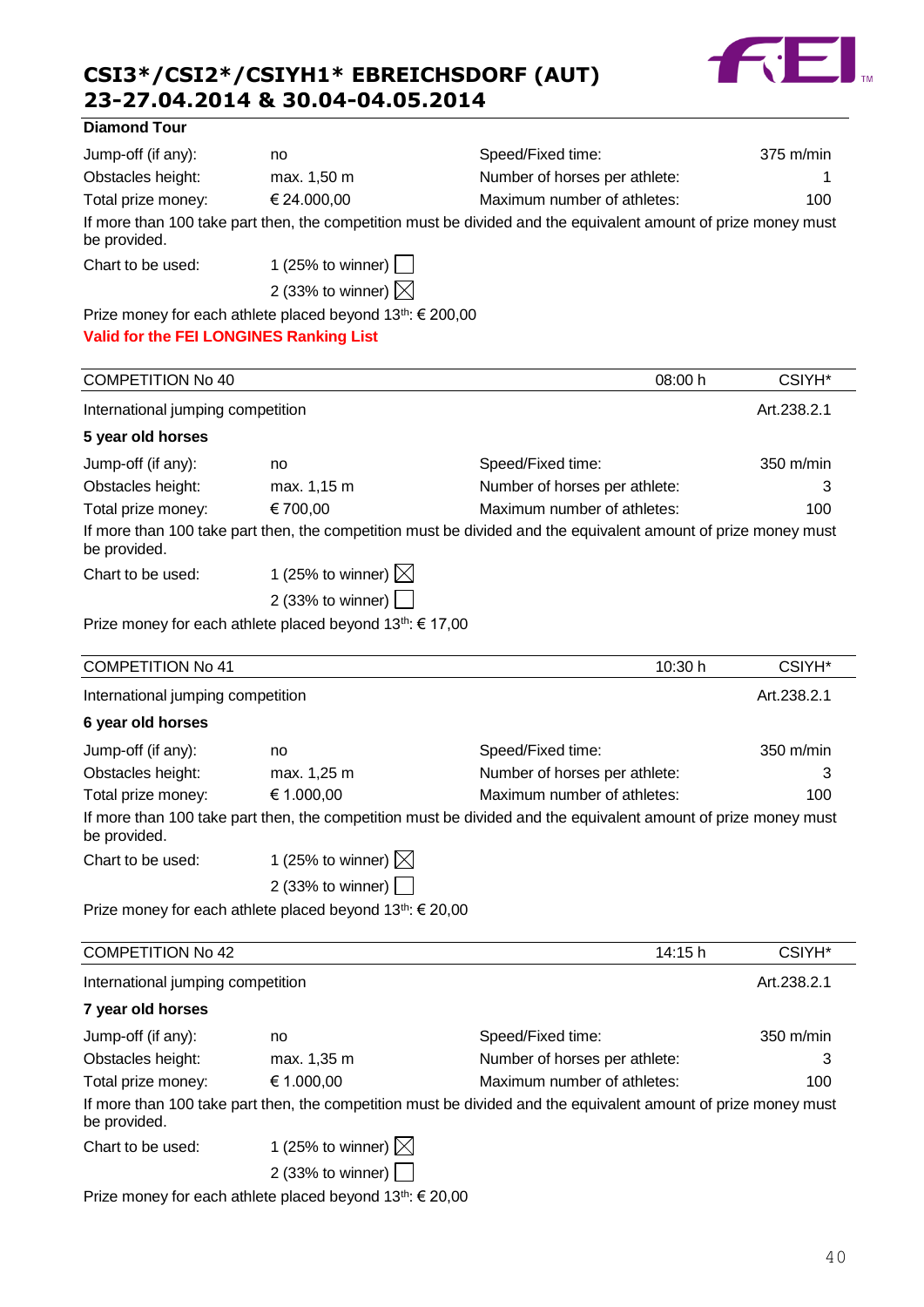

#### **Diamond Tour**

| Jump-off (if any): | no                                                                     | Speed/Fixed time:                                                                                              | $375 \text{ m/min}$ |
|--------------------|------------------------------------------------------------------------|----------------------------------------------------------------------------------------------------------------|---------------------|
| Obstacles height:  | max. 1,50 m                                                            | Number of horses per athlete:                                                                                  |                     |
| Total prize money: | € 24.000,00                                                            | Maximum number of athletes:                                                                                    | 100                 |
| be provided.       |                                                                        | If more than 100 take part then, the competition must be divided and the equivalent amount of prize money must |                     |
| Chart to be used:  | 1 (25% to winner) $ $                                                  |                                                                                                                |                     |
|                    | 2 (33% to winner) $\boxtimes$                                          |                                                                                                                |                     |
|                    | Prize money for each athlete placed beyond 13 <sup>th</sup> : € 200,00 |                                                                                                                |                     |

**Valid for the FEI LONGINES Ranking List**

| <b>COMPETITION No 40</b>          |                               | 08:00 h                                                                                                        | CSIYH <sup>*</sup> |
|-----------------------------------|-------------------------------|----------------------------------------------------------------------------------------------------------------|--------------------|
| International jumping competition |                               |                                                                                                                | Art.238.2.1        |
| 5 year old horses                 |                               |                                                                                                                |                    |
| Jump-off (if any):                | no                            | Speed/Fixed time:                                                                                              | 350 m/min          |
| Obstacles height:                 | max. 1,15 m                   | Number of horses per athlete:                                                                                  | 3                  |
| Total prize money:                | € 700,00                      | Maximum number of athletes:                                                                                    | 100                |
| be provided.                      |                               | If more than 100 take part then, the competition must be divided and the equivalent amount of prize money must |                    |
| Chart to be used:                 | 1 (25% to winner) $\boxtimes$ |                                                                                                                |                    |
|                                   | 2 (33% to winner) $\vert$     |                                                                                                                |                    |

Prize money for each athlete placed beyond 13<sup>th</sup>: € 17,00

| <b>COMPETITION No 41</b>          |                                                                    | 10:30 h                                                                                                        | CSIYH <sup>*</sup>  |
|-----------------------------------|--------------------------------------------------------------------|----------------------------------------------------------------------------------------------------------------|---------------------|
| International jumping competition |                                                                    |                                                                                                                | Art.238.2.1         |
| 6 year old horses                 |                                                                    |                                                                                                                |                     |
| Jump-off (if any):                | no                                                                 | Speed/Fixed time:                                                                                              | $350 \text{ m/min}$ |
| Obstacles height:                 | max. 1,25 m                                                        | Number of horses per athlete:                                                                                  | 3                   |
| Total prize money:                | € 1.000,00                                                         | Maximum number of athletes:                                                                                    | 100                 |
| be provided.                      |                                                                    | If more than 100 take part then, the competition must be divided and the equivalent amount of prize money must |                     |
| Chart to be used:                 | 1 (25% to winner) $\boxtimes$                                      |                                                                                                                |                     |
|                                   | 2 (33% to winner) $\vert$                                          |                                                                                                                |                     |
|                                   | Prize money for each athlete placed beyond $13^{th}$ : $\in$ 20,00 |                                                                                                                |                     |
| <b>COMPETITION No 42</b>          |                                                                    | 14:15 h                                                                                                        | CSIYH*              |
| International jumping competition |                                                                    |                                                                                                                | Art.238.2.1         |
| 7 year old horses                 |                                                                    |                                                                                                                |                     |
| Jump-off (if any):                | no                                                                 | Speed/Fixed time:                                                                                              | 350 m/min           |
| Obstacles height:                 | max. 1,35 m                                                        | Number of horses per athlete:                                                                                  | 3                   |
| Total prize money:                | € 1.000,00                                                         | Maximum number of athletes:                                                                                    | 100                 |

If more than 100 take part then, the competition must be divided and the equivalent amount of prize money must be provided.

| Chart to be used: | 1 (25% to winner) $\boxtimes$ |  |
|-------------------|-------------------------------|--|
|                   |                               |  |

|  | 2 (33% to winner) $\Box$ |  |  |
|--|--------------------------|--|--|
|  |                          |  |  |

Prize money for each athlete placed beyond 13<sup>th</sup>: € 20,00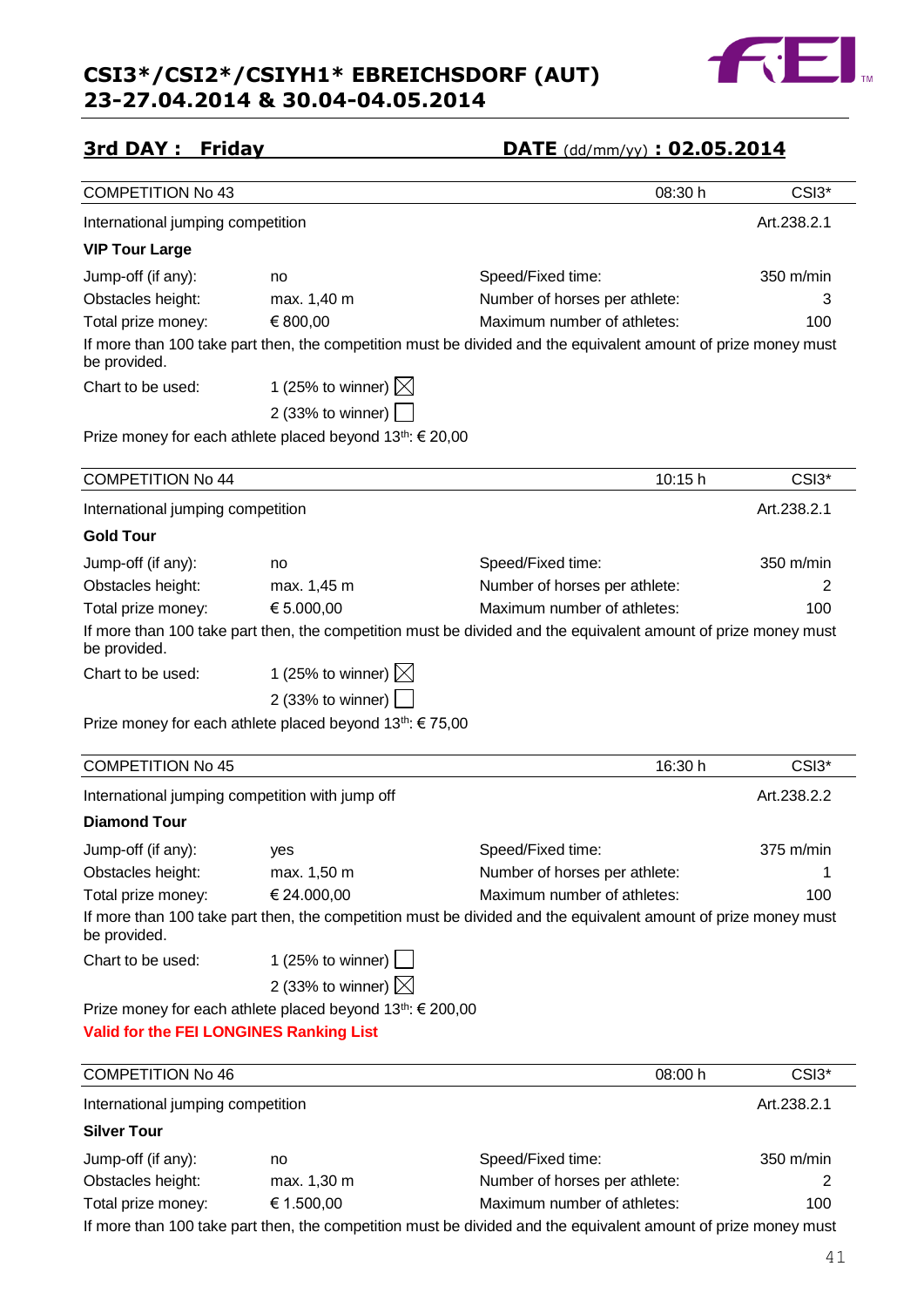

|  | 3rd DAY: |  | Friday |
|--|----------|--|--------|
|--|----------|--|--------|

## **3rd DAY : Friday DATE** (dd/mm/yy) **: 02.05.2014**

| <b>COMPETITION No 43</b>                       |                                                                    | 08:30 h                                                                                                        | CSI3*       |
|------------------------------------------------|--------------------------------------------------------------------|----------------------------------------------------------------------------------------------------------------|-------------|
| International jumping competition              |                                                                    |                                                                                                                | Art.238.2.1 |
| <b>VIP Tour Large</b>                          |                                                                    |                                                                                                                |             |
| Jump-off (if any):                             | no                                                                 | Speed/Fixed time:                                                                                              | 350 m/min   |
| Obstacles height:                              | max. 1,40 m                                                        | Number of horses per athlete:                                                                                  | З           |
| Total prize money:                             | € 800,00                                                           | Maximum number of athletes:                                                                                    | 100         |
| be provided.                                   |                                                                    | If more than 100 take part then, the competition must be divided and the equivalent amount of prize money must |             |
| Chart to be used:                              | 1 (25% to winner) $\boxtimes$                                      |                                                                                                                |             |
|                                                | 2 (33% to winner)                                                  |                                                                                                                |             |
|                                                | Prize money for each athlete placed beyond $13^{th}$ : $\in$ 20,00 |                                                                                                                |             |
| <b>COMPETITION No 44</b>                       |                                                                    | 10:15 h                                                                                                        | CSI3*       |
| International jumping competition              |                                                                    |                                                                                                                | Art.238.2.1 |
| <b>Gold Tour</b>                               |                                                                    |                                                                                                                |             |
| Jump-off (if any):                             | no                                                                 | Speed/Fixed time:                                                                                              | 350 m/min   |
| Obstacles height:                              | max. 1,45 m                                                        | Number of horses per athlete:                                                                                  | 2           |
| Total prize money:                             | € 5.000,00                                                         | Maximum number of athletes:                                                                                    | 100         |
| be provided.                                   |                                                                    | If more than 100 take part then, the competition must be divided and the equivalent amount of prize money must |             |
| Chart to be used:                              | 1 (25% to winner) $\boxtimes$                                      |                                                                                                                |             |
|                                                | 2 (33% to winner) $\boxed{\phantom{1}}$                            |                                                                                                                |             |
|                                                | Prize money for each athlete placed beyond $13^{th}$ : $\in$ 75,00 |                                                                                                                |             |
|                                                |                                                                    |                                                                                                                |             |
| <b>COMPETITION No 45</b>                       |                                                                    | 16:30 h                                                                                                        | CSI3*       |
|                                                | International jumping competition with jump off                    |                                                                                                                | Art.238.2.2 |
| <b>Diamond Tour</b>                            |                                                                    |                                                                                                                |             |
| Jump-off (if any):                             | yes                                                                | Speed/Fixed time:                                                                                              | 375 m/min   |
| Obstacles height:                              | max. 1,50 m                                                        | Number of horses per athlete:                                                                                  | 1           |
| Total prize money:                             | € 24.000,00                                                        | Maximum number of athletes:                                                                                    | 100         |
| be provided.                                   |                                                                    | If more than 100 take part then, the competition must be divided and the equivalent amount of prize money must |             |
| Chart to be used:                              | 1 (25% to winner) $\Box$                                           |                                                                                                                |             |
|                                                | 2 (33% to winner) $\times$                                         |                                                                                                                |             |
|                                                | Prize money for each athlete placed beyond 13th: € 200,00          |                                                                                                                |             |
| <b>Valid for the FEI LONGINES Ranking List</b> |                                                                    |                                                                                                                |             |
| <b>COMPETITION No 46</b>                       |                                                                    | 08:00 h                                                                                                        | CSI3*       |
| International jumping competition              |                                                                    |                                                                                                                | Art.238.2.1 |
| <b>Silver Tour</b>                             |                                                                    |                                                                                                                |             |
| Jump-off (if any):                             | no                                                                 | Speed/Fixed time:                                                                                              | 350 m/min   |
| Obstacles height:                              | max. 1,30 m                                                        | Number of horses per athlete:                                                                                  | 2           |
| Total prize money:                             | € 1.500,00                                                         | Maximum number of athletes:                                                                                    | 100         |

If more than 100 take part then, the competition must be divided and the equivalent amount of prize money must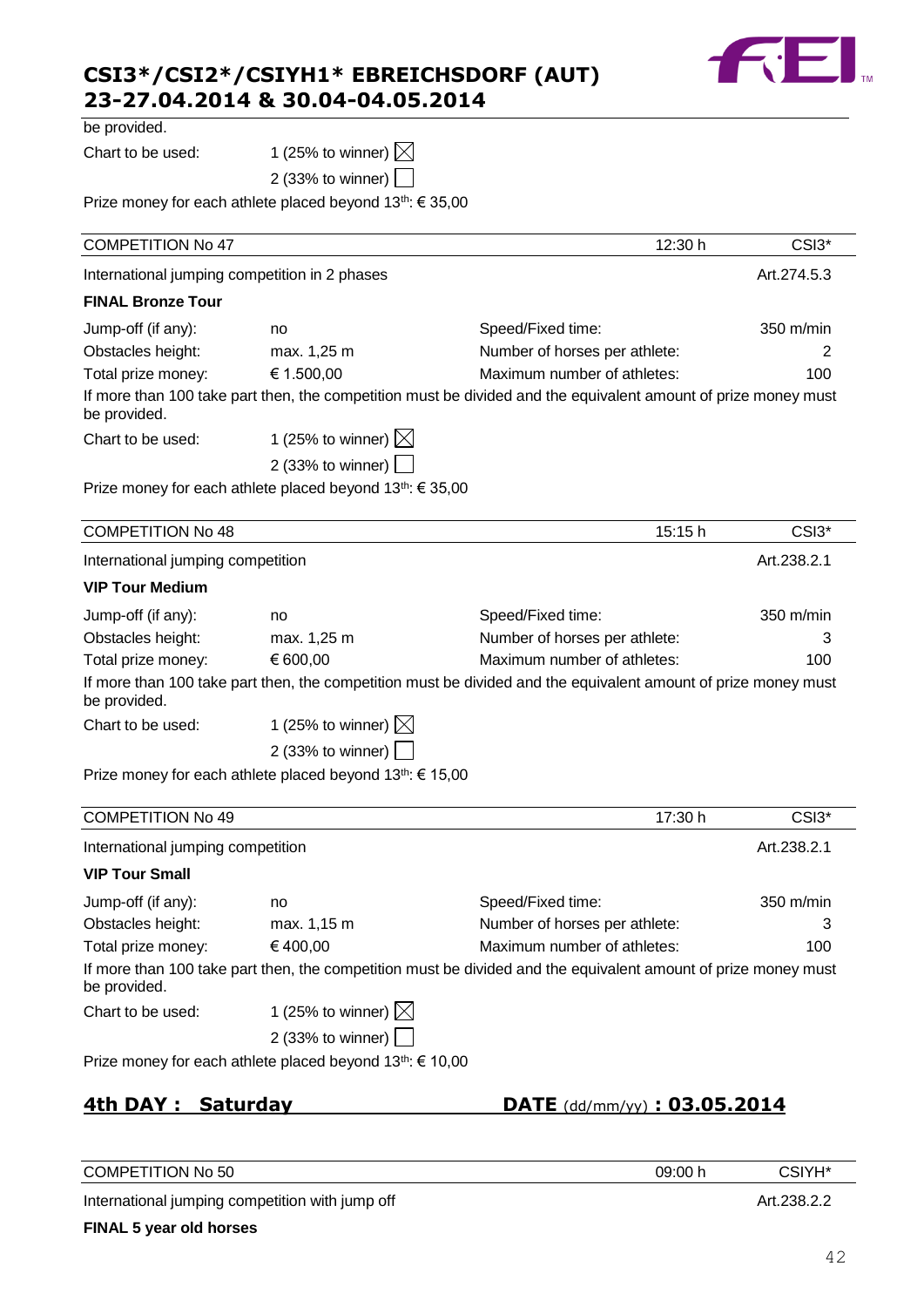

| be provided. |  |  |
|--------------|--|--|
|--------------|--|--|

Chart to be used: 1 (25% to winner)  $\boxtimes$ 

2 (33% to winner)

Prize money for each athlete placed beyond 13<sup>th</sup>: € 35,00

| <b>COMPETITION No 47</b>                      |                                                                       | 12:30 h                                                                                                        | CSI3*       |
|-----------------------------------------------|-----------------------------------------------------------------------|----------------------------------------------------------------------------------------------------------------|-------------|
| International jumping competition in 2 phases |                                                                       |                                                                                                                | Art.274.5.3 |
| <b>FINAL Bronze Tour</b>                      |                                                                       |                                                                                                                |             |
| Jump-off (if any):                            | no                                                                    | Speed/Fixed time:                                                                                              | 350 m/min   |
| Obstacles height:                             | max. 1,25 m                                                           | Number of horses per athlete:                                                                                  | 2           |
| Total prize money:                            | € 1.500,00                                                            | Maximum number of athletes:                                                                                    | 100         |
| be provided.                                  |                                                                       | If more than 100 take part then, the competition must be divided and the equivalent amount of prize money must |             |
| Chart to be used:                             | 1 (25% to winner) $\boxtimes$                                         |                                                                                                                |             |
|                                               | 2 (33% to winner)                                                     |                                                                                                                |             |
|                                               | Prize money for each athlete placed beyond 13 <sup>th</sup> : € 35,00 |                                                                                                                |             |
| <b>COMPETITION No 48</b>                      |                                                                       | 15:15 h                                                                                                        | CSI3*       |
| International jumping competition             |                                                                       |                                                                                                                | Art.238.2.1 |
| <b>VIP Tour Medium</b>                        |                                                                       |                                                                                                                |             |
| Jump-off (if any):                            | no                                                                    | Speed/Fixed time:                                                                                              | 350 m/min   |
| Obstacles height:                             | max. 1,25 m                                                           | Number of horses per athlete:                                                                                  | 3           |
| Total prize money:                            | € 600,00                                                              | Maximum number of athletes:                                                                                    | 100         |
| be provided.                                  |                                                                       | If more than 100 take part then, the competition must be divided and the equivalent amount of prize money must |             |
| Chart to be used:                             | 1 (25% to winner) $\boxtimes$                                         |                                                                                                                |             |
|                                               | 2 (33% to winner)                                                     |                                                                                                                |             |
|                                               | Prize money for each athlete placed beyond 13 <sup>th</sup> : € 15,00 |                                                                                                                |             |
| <b>COMPETITION No 49</b>                      |                                                                       | 17:30 h                                                                                                        | CSI3*       |
| International jumping competition             |                                                                       |                                                                                                                | Art.238.2.1 |
| <b>VIP Tour Small</b>                         |                                                                       |                                                                                                                |             |
| Jump-off (if any):                            | no                                                                    | Speed/Fixed time:                                                                                              | 350 m/min   |
| Obstacles height:                             | max. 1,15 m                                                           | Number of horses per athlete:                                                                                  | 3           |
| Total prize money:                            | €400,00                                                               | Maximum number of athletes:                                                                                    | 100         |

If more than 100 take part then, the competition must be divided and the equivalent amount of prize money must be provided.

Chart to be used: 1 (25% to winner)  $\boxtimes$ 

2 (33% to winner)

Prize money for each athlete placed beyond 13<sup>th</sup>: € 10,00

**4th DAY : Saturday DATE** (dd/mm/yy) **: 03.05.2014**

| <b>COMPETITION No 50</b>                        | 09:00 h | CSIYH <sup>*</sup> |
|-------------------------------------------------|---------|--------------------|
| International jumping competition with jump off |         | Art.238.2.2        |
| FINAL 5 year old horses                         |         |                    |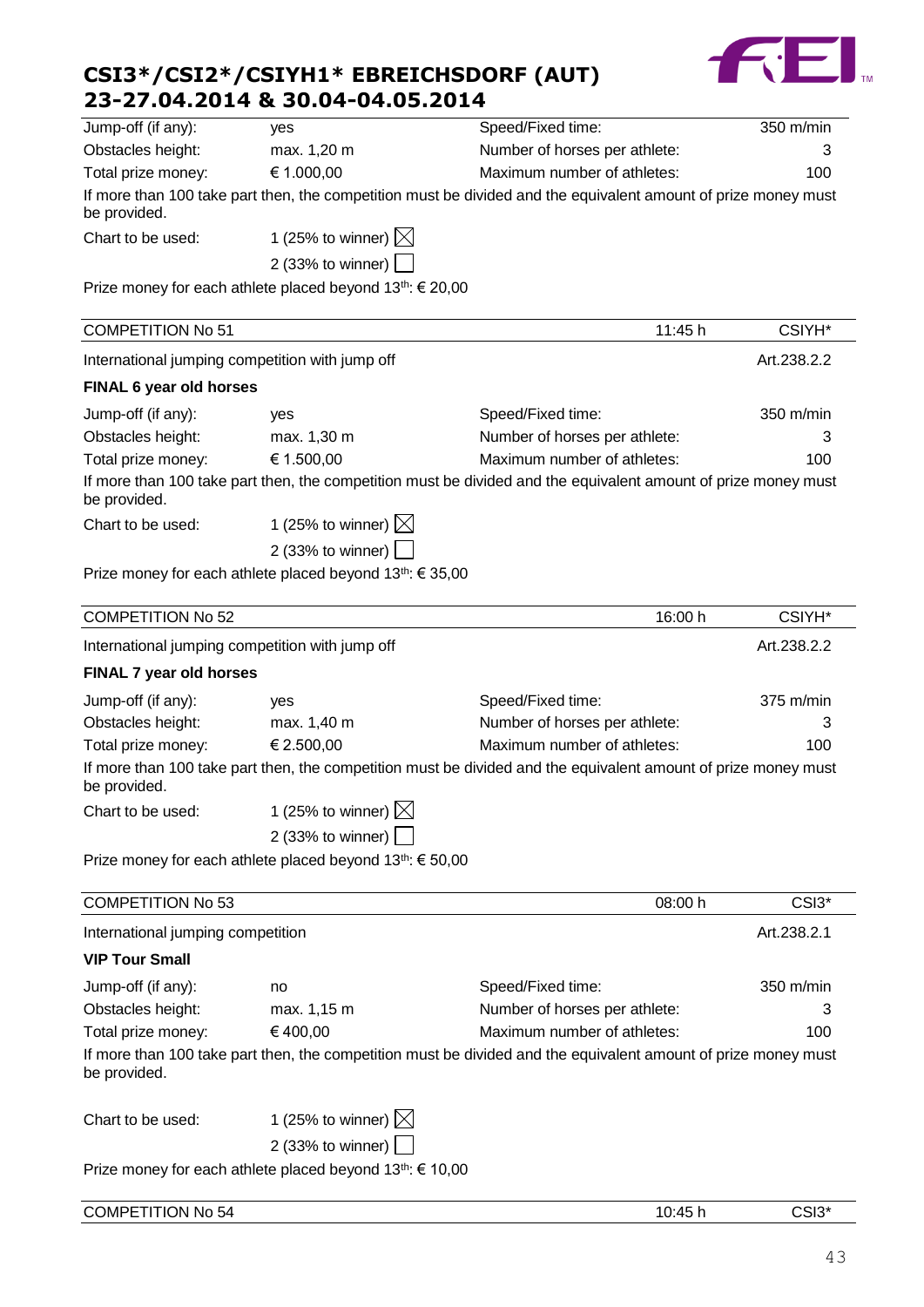

| Jump-off (if any):                                         | yes                                                                                                            | Speed/Fixed time:             |         | 350 m/min          |
|------------------------------------------------------------|----------------------------------------------------------------------------------------------------------------|-------------------------------|---------|--------------------|
| Obstacles height:                                          | max. 1,20 m                                                                                                    | Number of horses per athlete: |         | 3                  |
| Total prize money:                                         | € 1.000,00<br>Maximum number of athletes:                                                                      |                               |         | 100                |
| be provided.                                               | If more than 100 take part then, the competition must be divided and the equivalent amount of prize money must |                               |         |                    |
| Chart to be used:                                          | 1 (25% to winner) $\boxtimes$                                                                                  |                               |         |                    |
|                                                            | 2 (33% to winner) $\Box$                                                                                       |                               |         |                    |
|                                                            | Prize money for each athlete placed beyond 13th: € 20,00                                                       |                               |         |                    |
| <b>COMPETITION No 51</b>                                   |                                                                                                                |                               | 11:45 h | CSIYH <sup>*</sup> |
| International jumping competition with jump off            |                                                                                                                |                               |         | Art.238.2.2        |
| FINAL 6 year old horses                                    |                                                                                                                |                               |         |                    |
| Jump-off (if any):                                         | yes                                                                                                            | Speed/Fixed time:             |         | 350 m/min          |
| Obstacles height:                                          | max. 1,30 m                                                                                                    | Number of horses per athlete: |         | З                  |
| Total prize money:                                         | € 1.500,00                                                                                                     | Maximum number of athletes:   |         | 100                |
| be provided.                                               | If more than 100 take part then, the competition must be divided and the equivalent amount of prize money must |                               |         |                    |
| Chart to be used:                                          | 1 (25% to winner) $\boxtimes$                                                                                  |                               |         |                    |
|                                                            | 2 (33% to winner)                                                                                              |                               |         |                    |
|                                                            | Prize money for each athlete placed beyond $13^{th}$ : € 35,00                                                 |                               |         |                    |
| <b>COMPETITION No 52</b>                                   |                                                                                                                |                               | 16:00 h | CSIYH <sup>*</sup> |
| International jumping competition with jump off            |                                                                                                                |                               |         | Art.238.2.2        |
| FINAL 7 year old horses                                    |                                                                                                                |                               |         |                    |
| Jump-off (if any):                                         | yes                                                                                                            | Speed/Fixed time:             |         | $375$ m/min        |
| Obstacles height:                                          | max. 1,40 m                                                                                                    | Number of horses per athlete: |         | З                  |
| Total prize money:                                         | € 2.500,00                                                                                                     | Maximum number of athletes:   |         | 100                |
| be provided.                                               | If more than 100 take part then, the competition must be divided and the equivalent amount of prize money must |                               |         |                    |
| Chart to be used:                                          | 1 (25% to winner) $\boxtimes$                                                                                  |                               |         |                    |
|                                                            | 2 (33% to winner)                                                                                              |                               |         |                    |
|                                                            | Prize money for each athlete placed beyond 13th: € 50,00                                                       |                               |         |                    |
| <b>COMPETITION No 53</b>                                   |                                                                                                                |                               | 08:00 h | CSI3*              |
|                                                            |                                                                                                                |                               |         | Art.238.2.1        |
| International jumping competition<br><b>VIP Tour Small</b> |                                                                                                                |                               |         |                    |
| Jump-off (if any):                                         |                                                                                                                | Speed/Fixed time:             |         | 350 m/min          |
| Obstacles height:                                          | no<br>max. 1,15 m                                                                                              | Number of horses per athlete: |         | 3                  |
| Total prize money:                                         | €400,00                                                                                                        | Maximum number of athletes:   |         | 100                |
|                                                            | If more than 100 take part then, the competition must be divided and the equivalent amount of prize money must |                               |         |                    |
| be provided.                                               |                                                                                                                |                               |         |                    |
| Chart to be used:                                          | 1 (25% to winner) $\boxtimes$                                                                                  |                               |         |                    |
|                                                            | 2 (33% to winner)                                                                                              |                               |         |                    |
|                                                            | Prize money for each athlete placed beyond $13th$ : € 10,00                                                    |                               |         |                    |
| <b>COMPETITION No 54</b>                                   |                                                                                                                |                               | 10:45 h | CSI3*              |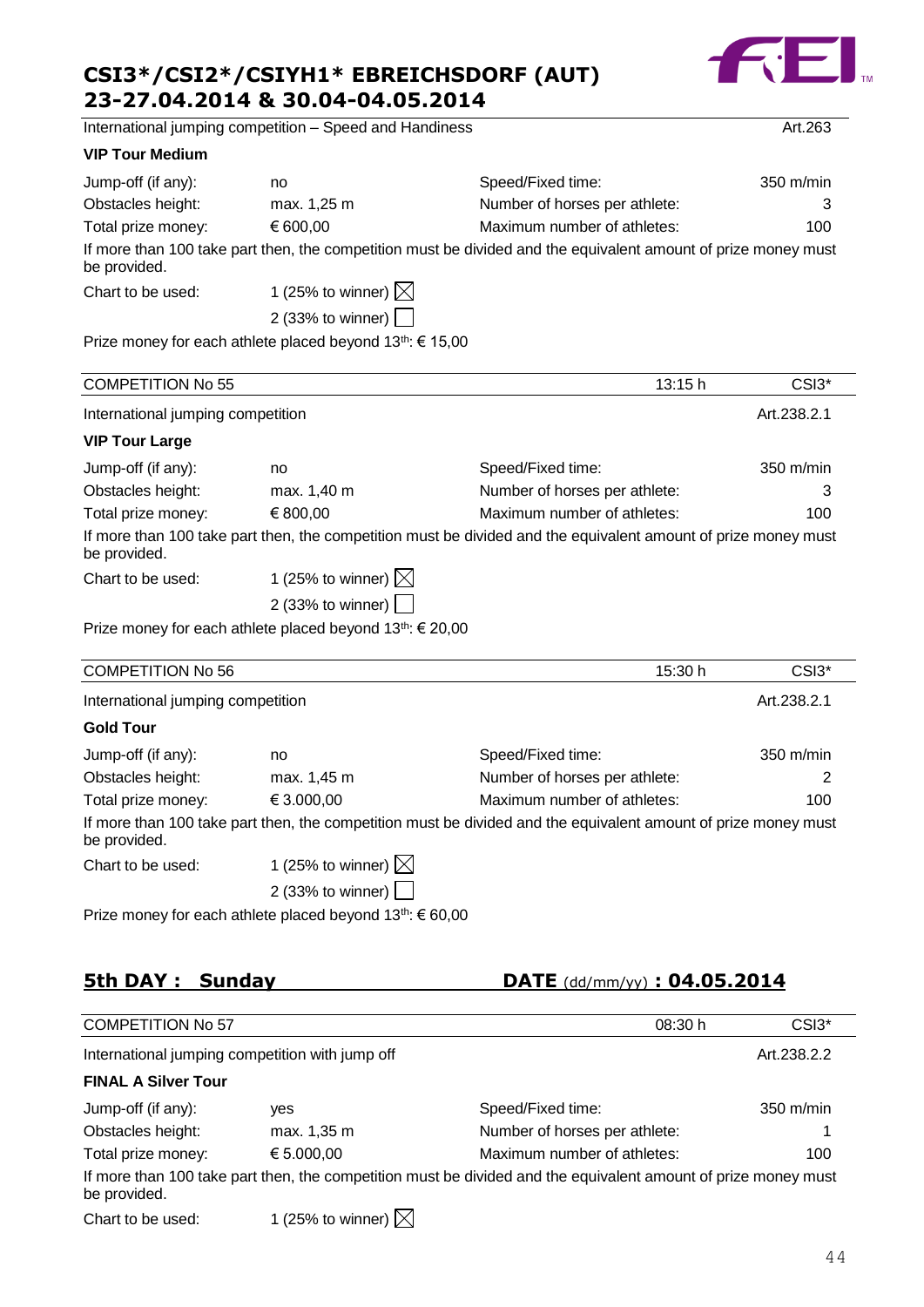

International jumping competition – Speed and Handiness Art.263

#### **VIP Tour Medium**

| Jump-off (if any): | no                                      | Speed/Fixed time:                                                                                              | $350 \text{ m/min}$ |
|--------------------|-----------------------------------------|----------------------------------------------------------------------------------------------------------------|---------------------|
| Obstacles height:  | max. 1,25 m                             | Number of horses per athlete:                                                                                  |                     |
| Total prize money: | € 600.00                                | Maximum number of athletes:                                                                                    | 100                 |
| be provided.       |                                         | If more than 100 take part then, the competition must be divided and the equivalent amount of prize money must |                     |
| Chart to be used:  | 1 (25% to winner) $\boxtimes$           |                                                                                                                |                     |
|                    | 2 (33% to winner) $\boxed{\phantom{a}}$ |                                                                                                                |                     |

Prize money for each athlete placed beyond 13<sup>th</sup>: € 15,00

| <b>COMPETITION No 55</b>          |                               | 13:15 h                                                                                                        | CSI <sub>3</sub> *  |
|-----------------------------------|-------------------------------|----------------------------------------------------------------------------------------------------------------|---------------------|
| International jumping competition |                               |                                                                                                                | Art.238.2.1         |
| <b>VIP Tour Large</b>             |                               |                                                                                                                |                     |
| Jump-off (if any):                | no                            | Speed/Fixed time:                                                                                              | $350 \text{ m/min}$ |
| Obstacles height:                 | max. 1,40 m                   | Number of horses per athlete:                                                                                  | 3                   |
| Total prize money:                | € 800,00                      | Maximum number of athletes:                                                                                    | 100                 |
| be provided.                      |                               | If more than 100 take part then, the competition must be divided and the equivalent amount of prize money must |                     |
| Chart to be used:                 | 1 (25% to winner) $\boxtimes$ |                                                                                                                |                     |
|                                   | 2 (33% to winner)             |                                                                                                                |                     |

Prize money for each athlete placed beyond 13<sup>th</sup>: € 20,00

| <b>COMPETITION No 56</b>          |                                   | 15:30 h                                                                                                        | CSI <sub>3</sub> *  |
|-----------------------------------|-----------------------------------|----------------------------------------------------------------------------------------------------------------|---------------------|
| International jumping competition |                                   |                                                                                                                | Art.238.2.1         |
| <b>Gold Tour</b>                  |                                   |                                                                                                                |                     |
| Jump-off (if any):                | no                                | Speed/Fixed time:                                                                                              | $350 \text{ m/min}$ |
| Obstacles height:                 | max. 1,45 m                       | Number of horses per athlete:                                                                                  | 2                   |
| Total prize money:                | € 3.000,00                        | Maximum number of athletes:                                                                                    | 100                 |
| be provided.                      |                                   | If more than 100 take part then, the competition must be divided and the equivalent amount of prize money must |                     |
| Chart to be used:                 | 1 (25% to winner) $\boxtimes$     |                                                                                                                |                     |
|                                   | 2 (33% to winner) $\vert$ $\vert$ |                                                                                                                |                     |
|                                   |                                   |                                                                                                                |                     |

Prize money for each athlete placed beyond  $13^{th} \in 60,00$ 

## **5th DAY : Sunday DATE** (dd/mm/yy) **: 04.05.2014**

| <b>COMPETITION No 57</b>                        |                               | 08:30 h                                                                                                        | CSI3 <sup>*</sup>   |
|-------------------------------------------------|-------------------------------|----------------------------------------------------------------------------------------------------------------|---------------------|
| International jumping competition with jump off |                               |                                                                                                                | Art.238.2.2         |
| <b>FINAL A Silver Tour</b>                      |                               |                                                                                                                |                     |
| Jump-off (if any):                              | ves                           | Speed/Fixed time:                                                                                              | $350 \text{ m/min}$ |
| Obstacles height:                               | max. 1,35 m                   | Number of horses per athlete:                                                                                  |                     |
| Total prize money:                              | € 5.000,00                    | Maximum number of athletes:                                                                                    | 100                 |
| be provided.                                    |                               | If more than 100 take part then, the competition must be divided and the equivalent amount of prize money must |                     |
| Chart to be used:                               | 1 (25% to winner) $\boxtimes$ |                                                                                                                |                     |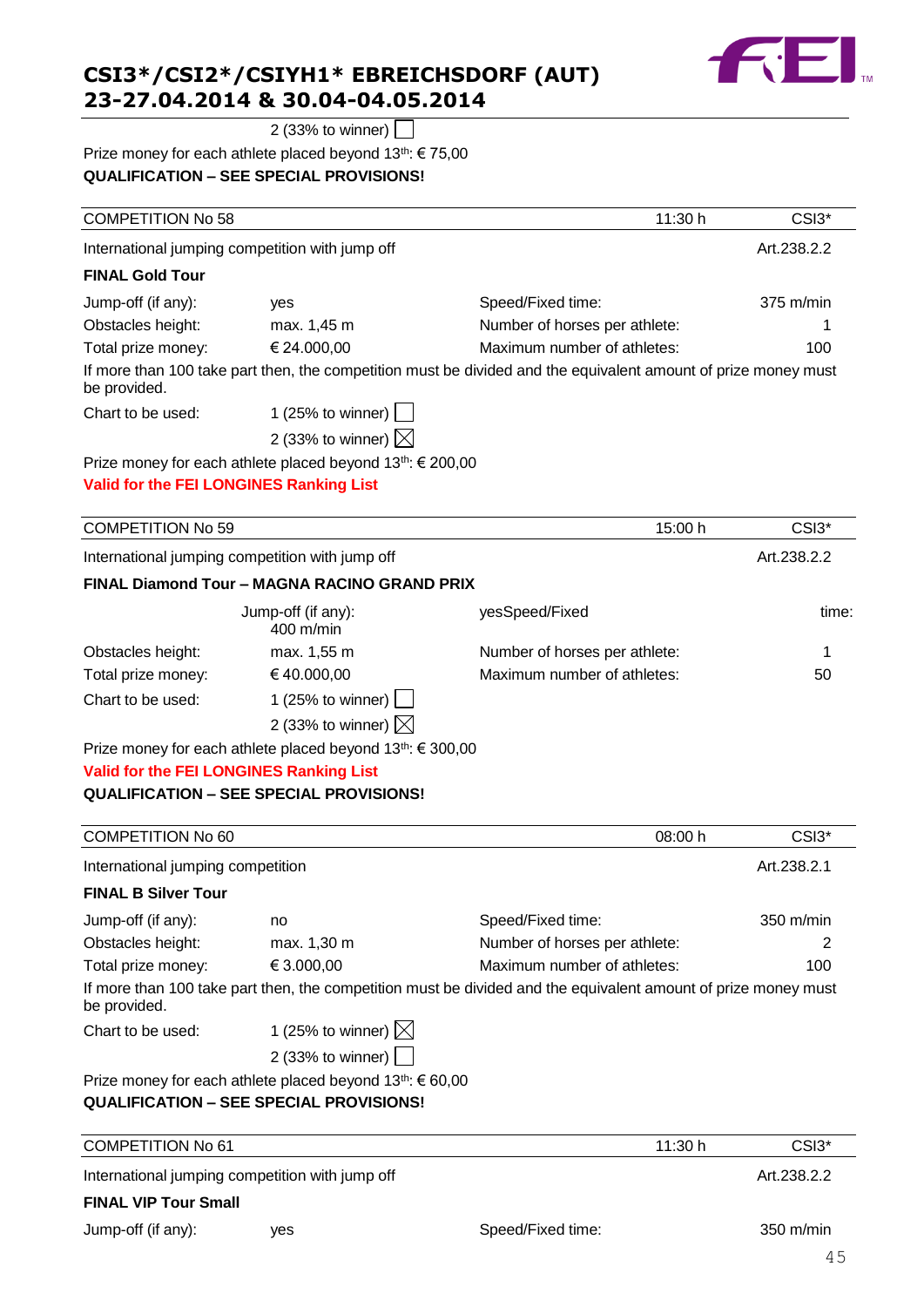

2 (33% to winner)

#### Prize money for each athlete placed beyond 13<sup>th</sup>: € 75,00 **QUALIFICATION – SEE SPECIAL PROVISIONS!**

| <b>COMPETITION No 58</b>                       |                                                                        | 11:30 h                                                                                                        | CSI3*       |
|------------------------------------------------|------------------------------------------------------------------------|----------------------------------------------------------------------------------------------------------------|-------------|
|                                                | International jumping competition with jump off                        |                                                                                                                | Art.238.2.2 |
| <b>FINAL Gold Tour</b>                         |                                                                        |                                                                                                                |             |
| Jump-off (if any):                             | yes                                                                    | Speed/Fixed time:                                                                                              | 375 m/min   |
| Obstacles height:                              | max. 1,45 m                                                            | Number of horses per athlete:                                                                                  | 1           |
| Total prize money:                             | € 24.000,00                                                            | Maximum number of athletes:                                                                                    | 100         |
| be provided.                                   |                                                                        | If more than 100 take part then, the competition must be divided and the equivalent amount of prize money must |             |
| Chart to be used:                              | 1 (25% to winner) $ $                                                  |                                                                                                                |             |
|                                                | 2 (33% to winner) $\boxtimes$                                          |                                                                                                                |             |
|                                                | Prize money for each athlete placed beyond 13 <sup>th</sup> : € 200,00 |                                                                                                                |             |
| Valid for the FEI LONGINES Ranking List        |                                                                        |                                                                                                                |             |
|                                                |                                                                        |                                                                                                                |             |
| <b>COMPETITION No 59</b>                       |                                                                        | 15:00 h                                                                                                        | CSI3*       |
|                                                | International jumping competition with jump off                        |                                                                                                                | Art.238.2.2 |
|                                                | FINAL Diamond Tour - MAGNA RACINO GRAND PRIX                           |                                                                                                                |             |
|                                                | Jump-off (if any):<br>400 m/min                                        | yesSpeed/Fixed                                                                                                 | time:       |
| Obstacles height:                              | max. 1,55 m                                                            | Number of horses per athlete:                                                                                  | 1           |
| Total prize money:                             | €40.000,00                                                             | Maximum number of athletes:                                                                                    | 50          |
| Chart to be used:                              | 1 (25% to winner) $\vert$                                              |                                                                                                                |             |
|                                                | 2 (33% to winner) $\boxtimes$                                          |                                                                                                                |             |
|                                                | Prize money for each athlete placed beyond $13^{th}$ : $\in$ 300,00    |                                                                                                                |             |
| <b>Valid for the FEI LONGINES Ranking List</b> |                                                                        |                                                                                                                |             |
|                                                | <b>QUALIFICATION - SEE SPECIAL PROVISIONS!</b>                         |                                                                                                                |             |
|                                                |                                                                        |                                                                                                                |             |
| COMPETITION NA 60                              |                                                                        | no.nn h                                                                                                        | $\sim$      |

| <b>COMPETITION No 60</b>          |                                                                                                                |                               | 08:00 h | CSI3*               |
|-----------------------------------|----------------------------------------------------------------------------------------------------------------|-------------------------------|---------|---------------------|
| International jumping competition |                                                                                                                |                               |         | Art.238.2.1         |
| <b>FINAL B Silver Tour</b>        |                                                                                                                |                               |         |                     |
| Jump-off (if any):                | no                                                                                                             | Speed/Fixed time:             |         | $350 \text{ m/min}$ |
| Obstacles height:                 | max. 1,30 m                                                                                                    | Number of horses per athlete: |         | 2                   |
| Total prize money:                | € 3.000,00                                                                                                     | Maximum number of athletes:   |         | 100                 |
| be provided.                      | If more than 100 take part then, the competition must be divided and the equivalent amount of prize money must |                               |         |                     |
| Chart to be used:                 | 1 (25% to winner) $\boxtimes$                                                                                  |                               |         |                     |
|                                   | 2 (33% to winner) $\vert$                                                                                      |                               |         |                     |
|                                   | Prize money for each athlete placed beyond $13^{th}$ : $\in 60,00$                                             |                               |         |                     |
|                                   | <b>QUALIFICATION - SEE SPECIAL PROVISIONS!</b>                                                                 |                               |         |                     |
| <b>COMPETITION No 61</b>          |                                                                                                                |                               | 11:30 h | CSI3 <sup>*</sup>   |
|                                   | International jumping competition with jump off                                                                |                               |         | Art.238.2.2         |
| <b>FINAL VIP Tour Small</b>       |                                                                                                                |                               |         |                     |
| Jump-off (if any):                | yes                                                                                                            | Speed/Fixed time:             |         | 350 m/min           |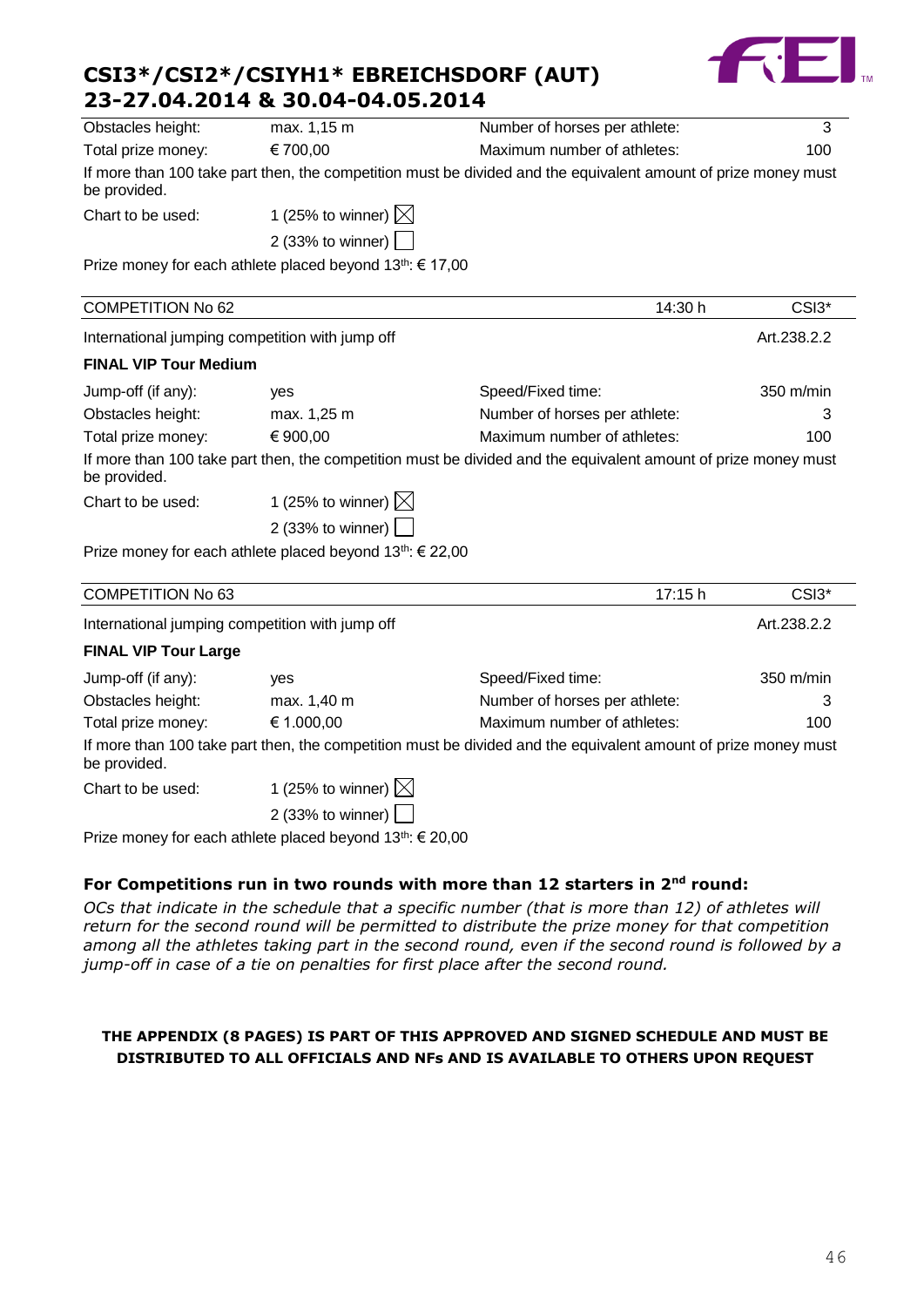| CSI3*/CSI2*/CSIYH1* EBREICHSDORF (AUT) |
|----------------------------------------|
| 23-27.04.2014 & 30.04-04.05.2014       |



| Obstacles height:            | max. 1,15 m                                                           | Number of horses per athlete:                                                                                  | 3           |
|------------------------------|-----------------------------------------------------------------------|----------------------------------------------------------------------------------------------------------------|-------------|
| Total prize money:           | € 700,00                                                              | Maximum number of athletes:                                                                                    | 100         |
| be provided.                 |                                                                       | If more than 100 take part then, the competition must be divided and the equivalent amount of prize money must |             |
| Chart to be used:            | 1 (25% to winner) $\boxtimes$                                         |                                                                                                                |             |
|                              | 2 (33% to winner)                                                     |                                                                                                                |             |
|                              | Prize money for each athlete placed beyond 13 <sup>th</sup> : € 17,00 |                                                                                                                |             |
| COMPETITION No 62            |                                                                       | 14:30 h                                                                                                        | CSI3*       |
|                              | International jumping competition with jump off                       |                                                                                                                | Art.238.2.2 |
| <b>FINAL VIP Tour Medium</b> |                                                                       |                                                                                                                |             |
| Jump-off (if any):           | yes                                                                   | Speed/Fixed time:                                                                                              | 350 m/min   |
| Obstacles height:            | max. 1,25 m                                                           | Number of horses per athlete:                                                                                  | 3           |
| Total prize money:           | € 900,00                                                              | Maximum number of athletes:                                                                                    | 100         |
| be provided.                 |                                                                       | If more than 100 take part then, the competition must be divided and the equivalent amount of prize money must |             |
| Chart to be used:            | 1 (25% to winner) $\boxtimes$                                         |                                                                                                                |             |
|                              | 2 (33% to winner)                                                     |                                                                                                                |             |
|                              | Prize money for each athlete placed beyond $13^{th}$ : $\in$ 22,00    |                                                                                                                |             |
| <b>COMPETITION No 63</b>     |                                                                       | 17:15 h                                                                                                        | CSI3*       |
|                              | International jumping competition with jump off                       |                                                                                                                | Art.238.2.2 |
| <b>FINAL VIP Tour Large</b>  |                                                                       |                                                                                                                |             |
| Jump-off (if any):           | yes                                                                   | Speed/Fixed time:                                                                                              | 350 m/min   |
| Obstacles height:            | max. 1,40 m                                                           | Number of horses per athlete:                                                                                  | 3           |
| Total prize money:           | € 1.000,00                                                            | Maximum number of athletes:                                                                                    | 100         |
| be provided.                 |                                                                       | If more than 100 take part then, the competition must be divided and the equivalent amount of prize money must |             |
| Chart to be used:            | 1 (25% to winner) $\boxtimes$                                         |                                                                                                                |             |
|                              | 2 (33% to winner) $\vert$                                             |                                                                                                                |             |
|                              | Prize money for each athlete placed beyond 13th: € 20,00              |                                                                                                                |             |

## **For Competitions run in two rounds with more than 12 starters in 2nd round:**

*OCs that indicate in the schedule that a specific number (that is more than 12) of athletes will return for the second round will be permitted to distribute the prize money for that competition among all the athletes taking part in the second round, even if the second round is followed by a jump-off in case of a tie on penalties for first place after the second round.* 

#### **THE APPENDIX (8 PAGES) IS PART OF THIS APPROVED AND SIGNED SCHEDULE AND MUST BE DISTRIBUTED TO ALL OFFICIALS AND NFs AND IS AVAILABLE TO OTHERS UPON REQUEST**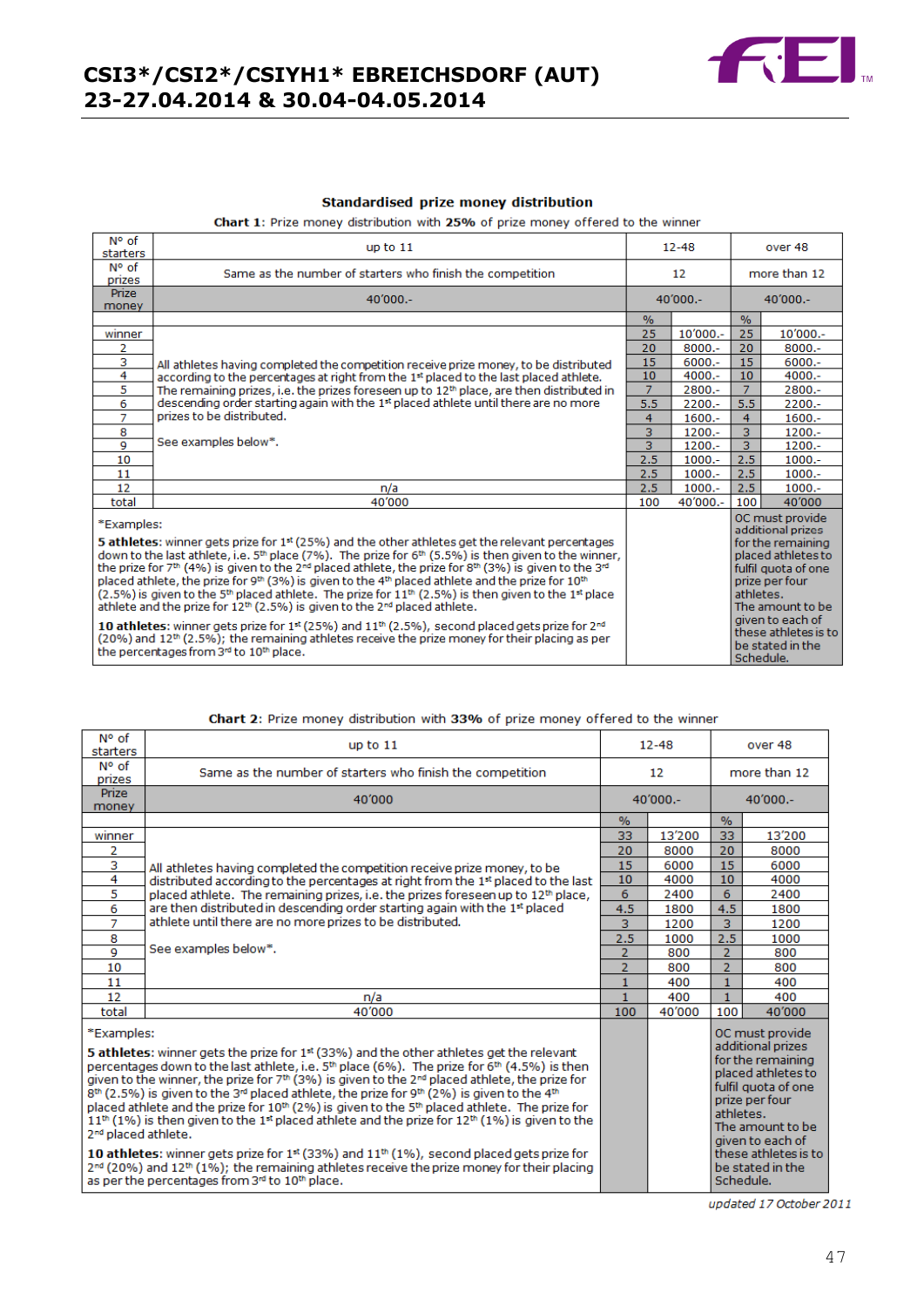

#### **Standardised prize money distribution**

Chart 1: Prize money distribution with 25% of prize money offered to the winner

| N° of<br>starters     | up to $11$                                                                                                                                                                                                                                                                                                                                                                                                                                                                                                                                                                                                                                                                                             |                | $12 - 48$  |                | over 48                                                                                                                                                          |
|-----------------------|--------------------------------------------------------------------------------------------------------------------------------------------------------------------------------------------------------------------------------------------------------------------------------------------------------------------------------------------------------------------------------------------------------------------------------------------------------------------------------------------------------------------------------------------------------------------------------------------------------------------------------------------------------------------------------------------------------|----------------|------------|----------------|------------------------------------------------------------------------------------------------------------------------------------------------------------------|
| N° of<br>prizes       | Same as the number of starters who finish the competition                                                                                                                                                                                                                                                                                                                                                                                                                                                                                                                                                                                                                                              |                | 12         |                | more than 12                                                                                                                                                     |
| <b>Prize</b><br>money | $40'000 -$                                                                                                                                                                                                                                                                                                                                                                                                                                                                                                                                                                                                                                                                                             |                | $40'000 -$ |                | $40'000 -$                                                                                                                                                       |
|                       |                                                                                                                                                                                                                                                                                                                                                                                                                                                                                                                                                                                                                                                                                                        | $\frac{9}{6}$  |            | $\%$           |                                                                                                                                                                  |
| winner                |                                                                                                                                                                                                                                                                                                                                                                                                                                                                                                                                                                                                                                                                                                        | 25             | $10'000 -$ | 25             | 10'000 .-                                                                                                                                                        |
| 2                     |                                                                                                                                                                                                                                                                                                                                                                                                                                                                                                                                                                                                                                                                                                        | 20             | $8000 -$   | 20             | $8000 -$                                                                                                                                                         |
| 3                     | All athletes having completed the competition receive prize money, to be distributed                                                                                                                                                                                                                                                                                                                                                                                                                                                                                                                                                                                                                   | 15             | $6000 -$   | 15             | $6000 -$                                                                                                                                                         |
| 4                     | according to the percentages at right from the 1 <sup>st</sup> placed to the last placed athlete.                                                                                                                                                                                                                                                                                                                                                                                                                                                                                                                                                                                                      | 10             | $4000 -$   | 10             | $4000 -$                                                                                                                                                         |
| 5                     | The remaining prizes, i.e. the prizes foreseen up to $12th$ place, are then distributed in                                                                                                                                                                                                                                                                                                                                                                                                                                                                                                                                                                                                             | $\overline{7}$ | 2800.-     | $\overline{7}$ | 2800.-                                                                                                                                                           |
| 6                     | descending order starting again with the 1 <sup>st</sup> placed athlete until there are no more                                                                                                                                                                                                                                                                                                                                                                                                                                                                                                                                                                                                        | 5.5            | $2200 -$   | 5.5            | $2200 -$                                                                                                                                                         |
| 7                     | prizes to be distributed.                                                                                                                                                                                                                                                                                                                                                                                                                                                                                                                                                                                                                                                                              | 4              | $1600 -$   | 4              | $1600 -$                                                                                                                                                         |
| 8                     | See examples below*.                                                                                                                                                                                                                                                                                                                                                                                                                                                                                                                                                                                                                                                                                   | 3              | $1200 -$   | 3              | $1200 -$                                                                                                                                                         |
| 9                     |                                                                                                                                                                                                                                                                                                                                                                                                                                                                                                                                                                                                                                                                                                        | 3              | $1200 -$   | $\overline{3}$ | $1200 -$                                                                                                                                                         |
| 10                    |                                                                                                                                                                                                                                                                                                                                                                                                                                                                                                                                                                                                                                                                                                        | 2.5            | $1000.-$   | 2.5            | $1000.-$                                                                                                                                                         |
| 11                    |                                                                                                                                                                                                                                                                                                                                                                                                                                                                                                                                                                                                                                                                                                        | 2.5            | $1000 -$   | 2.5            | $1000 -$                                                                                                                                                         |
| 12                    | n/a                                                                                                                                                                                                                                                                                                                                                                                                                                                                                                                                                                                                                                                                                                    | 2.5            | $1000.-$   | 2.5            | $1000.-$                                                                                                                                                         |
| total                 | 40'000                                                                                                                                                                                                                                                                                                                                                                                                                                                                                                                                                                                                                                                                                                 | 100            | $40'000 -$ | 100            | 40'000                                                                                                                                                           |
| *Examples:            | 5 athletes: winner gets prize for 1st (25%) and the other athletes get the relevant percentages<br>down to the last athlete, i.e. $5th$ place (7%). The prize for $6th$ (5.5%) is then given to the winner,<br>the prize for 7th (4%) is given to the 2 <sup>nd</sup> placed athlete, the prize for 8th (3%) is given to the 3 <sup>nd</sup><br>placed athlete, the prize for 9th (3%) is given to the 4th placed athlete and the prize for 10th<br>$(2.5\%)$ is given to the 5 <sup>th</sup> placed athlete. The prize for 11 <sup>th</sup> $(2.5\%)$ is then given to the 1 <sup>st</sup> place<br>athlete and the prize for 12 <sup>th</sup> (2.5%) is given to the 2 <sup>nd</sup> placed athlete. |                |            | athletes.      | OC must provide<br>additional prizes<br>for the remaining<br>placed athletes to<br>fulfil quota of one<br>prize per four<br>The amount to be<br>given to each of |
|                       | 10 athletes: winner gets prize for $1^{st}$ (25%) and $11^{th}$ (2.5%), second placed gets prize for $2^{nd}$<br>(20%) and 12 <sup>th</sup> (2.5%); the remaining athletes receive the prize money for their placing as per<br>the percentages from 3 <sup>rd</sup> to 10 <sup>th</sup> place.                                                                                                                                                                                                                                                                                                                                                                                                         |                |            | Schedule       | these athletes is to<br>be stated in the                                                                                                                         |

#### Chart 2: Prize money distribution with 33% of prize money offered to the winner

| N° of<br>starters                             | up to $11$                                                                                                                                                                                                                                                                                                                                                                                                                                                                                                                                                                                                                                                                                                               |                | $12 - 48$       |                | over 48                                                                                                                                                          |
|-----------------------------------------------|--------------------------------------------------------------------------------------------------------------------------------------------------------------------------------------------------------------------------------------------------------------------------------------------------------------------------------------------------------------------------------------------------------------------------------------------------------------------------------------------------------------------------------------------------------------------------------------------------------------------------------------------------------------------------------------------------------------------------|----------------|-----------------|----------------|------------------------------------------------------------------------------------------------------------------------------------------------------------------|
| N° of<br>prizes                               | Same as the number of starters who finish the competition                                                                                                                                                                                                                                                                                                                                                                                                                                                                                                                                                                                                                                                                |                | 12 <sup>2</sup> |                | more than 12                                                                                                                                                     |
| <b>Prize</b><br>money                         | 40'000                                                                                                                                                                                                                                                                                                                                                                                                                                                                                                                                                                                                                                                                                                                   |                | $40'000 -$      |                | $40'000 -$                                                                                                                                                       |
|                                               |                                                                                                                                                                                                                                                                                                                                                                                                                                                                                                                                                                                                                                                                                                                          | %              |                 | $\%$           |                                                                                                                                                                  |
| winner                                        |                                                                                                                                                                                                                                                                                                                                                                                                                                                                                                                                                                                                                                                                                                                          | 33             | 13'200          | 33             | 13'200                                                                                                                                                           |
| 2                                             |                                                                                                                                                                                                                                                                                                                                                                                                                                                                                                                                                                                                                                                                                                                          | 20             | 8000            | 20             | 8000                                                                                                                                                             |
| 3                                             | All athletes having completed the competition receive prize money, to be                                                                                                                                                                                                                                                                                                                                                                                                                                                                                                                                                                                                                                                 | 15             | 6000            | 15             | 6000                                                                                                                                                             |
| 4                                             | distributed according to the percentages at right from the 1 <sup>st</sup> placed to the last                                                                                                                                                                                                                                                                                                                                                                                                                                                                                                                                                                                                                            | 10             | 4000            | 10             | 4000                                                                                                                                                             |
| 5                                             | placed athlete. The remaining prizes, i.e. the prizes foreseen up to $12th$ place,                                                                                                                                                                                                                                                                                                                                                                                                                                                                                                                                                                                                                                       | 6              | 2400            | 6              | 2400                                                                                                                                                             |
| 6                                             | are then distributed in descending order starting again with the 1st placed                                                                                                                                                                                                                                                                                                                                                                                                                                                                                                                                                                                                                                              | 4.5            | 1800            | 4.5            | 1800                                                                                                                                                             |
| 7                                             | athlete until there are no more prizes to be distributed.                                                                                                                                                                                                                                                                                                                                                                                                                                                                                                                                                                                                                                                                | 3.             | 1200            | 3              | 1200                                                                                                                                                             |
| 8                                             |                                                                                                                                                                                                                                                                                                                                                                                                                                                                                                                                                                                                                                                                                                                          | 2.5            | 1000            | 2.5            | 1000                                                                                                                                                             |
| $\overline{q}$                                | See examples below*.                                                                                                                                                                                                                                                                                                                                                                                                                                                                                                                                                                                                                                                                                                     | 2              | 800             | $\overline{2}$ | 800                                                                                                                                                              |
| 10                                            |                                                                                                                                                                                                                                                                                                                                                                                                                                                                                                                                                                                                                                                                                                                          | $\overline{2}$ | 800             | $\overline{2}$ | 800                                                                                                                                                              |
| 11                                            |                                                                                                                                                                                                                                                                                                                                                                                                                                                                                                                                                                                                                                                                                                                          | $\mathbf{1}$   | 400             | $\mathbf{1}$   | 400                                                                                                                                                              |
| 12                                            | n/a                                                                                                                                                                                                                                                                                                                                                                                                                                                                                                                                                                                                                                                                                                                      | 1              | 400             | 1              | 400                                                                                                                                                              |
| total                                         | 40'000                                                                                                                                                                                                                                                                                                                                                                                                                                                                                                                                                                                                                                                                                                                   | 100            | 40'000          | 100            | 40'000                                                                                                                                                           |
| *Examples:<br>2 <sup>nd</sup> placed athlete. | 5 athletes: winner gets the prize for 1 <sup>st</sup> (33%) and the other athletes get the relevant<br>percentages down to the last athlete, i.e. 5 <sup>th</sup> place (6%). The prize for 6 <sup>th</sup> (4.5%) is then<br>given to the winner, the prize for $7th$ (3%) is given to the $2nd$ placed athlete, the prize for<br>$8th$ (2.5%) is given to the 3 <sup>rd</sup> placed athlete, the prize for 9 <sup>th</sup> (2%) is given to the 4 <sup>th</sup><br>placed athlete and the prize for 10 <sup>th</sup> (2%) is given to the 5 <sup>th</sup> placed athlete. The prize for<br>$11^{th}$ (1%) is then given to the 1 <sup>st</sup> placed athlete and the prize for 12 <sup>th</sup> (1%) is given to the |                |                 | athletes.      | OC must provide<br>additional prizes<br>for the remaining<br>placed athletes to<br>fulfil quota of one<br>prize per four<br>The amount to be<br>given to each of |
|                                               | 10 athletes: winner gets prize for 1 <sup>st</sup> (33%) and 11 <sup>th</sup> (1%), second placed gets prize for<br>$2^{nd}$ (20%) and 12 <sup>th</sup> (1%); the remaining athletes receive the prize money for their placing<br>as per the percentages from 3rd to 10th place.                                                                                                                                                                                                                                                                                                                                                                                                                                         |                |                 | Schedule.      | these athletes is to<br>be stated in the                                                                                                                         |

updated 17 October 2011